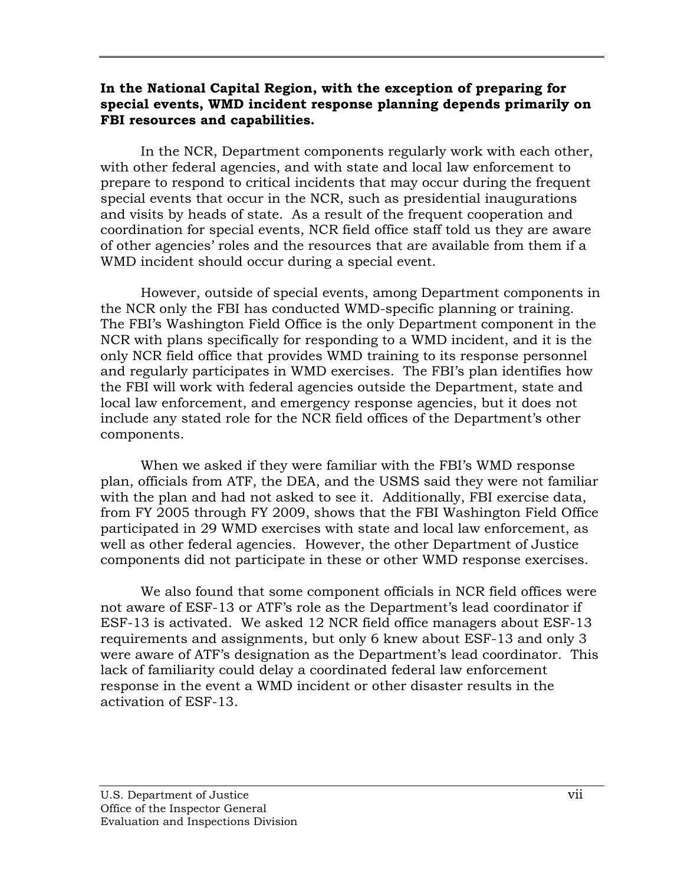### **In the National Capital Region, with the exception of preparing for special events, WMD incident response planning depends primarily on FBI resources and capabilities.**

In the NCR, Department components regularly work with each other, with other federal agencies, and with state and local law enforcement to prepare to respond to critical incidents that may occur during the frequent special events that occur in the NCR, such as presidential inaugurations and visits by heads of state. As a result of the frequent cooperation and coordination for special events, NCR field office staff told us they are aware of other agencies' roles and the resources that are available from them if a WMD incident should occur during a special event.

However, outside of special events, among Department components in the NCR only the FBI has conducted WMD-specific planning or training. The FBI's Washington Field Office is the only Department component in the NCR with plans specifically for responding to a WMD incident, and it is the only NCR field office that provides WMD training to its response personnel and regularly participates in WMD exercises. The FBI's plan identifies how the FBI will work with federal agencies outside the Department, state and local law enforcement, and emergency response agencies, but it does not include any stated role for the NCR field offices of the Department's other components.

When we asked if they were familiar with the FBI's WMD response plan, officials from ATF, the DEA, and the USMS said they were not familiar with the plan and had not asked to see it. Additionally, FBI exercise data, from FY 2005 through FY 2009, shows that the FBI Washington Field Office participated in 29 WMD exercises with state and local law enforcement, as well as other federal agencies. However, the other Department of Justice components did not participate in these or other WMD response exercises.

We also found that some component officials in NCR field offices were not aware of ESF-13 or ATF's role as the Department's lead coordinator if ESF-13 is activated. We asked 12 NCR field office managers about ESF-13 requirements and assignments, but only 6 knew about ESF-13 and only 3 were aware of ATF's designation as the Department's lead coordinator. This lack of familiarity could delay a coordinated federal law enforcement response in the event a WMD incident or other disaster results in the activation of ESF-13.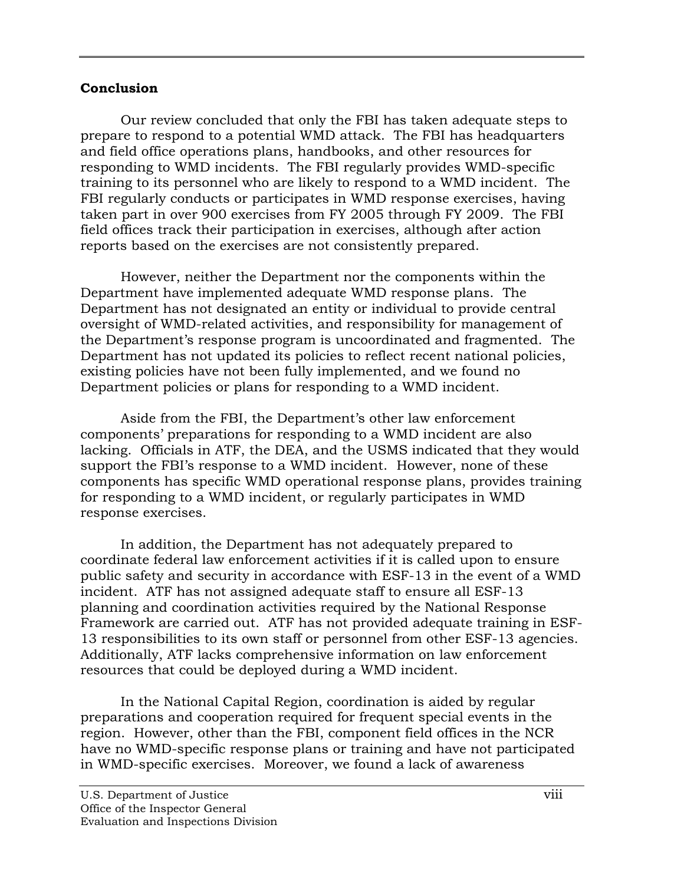### **Conclusion**

Our review concluded that only the FBI has taken adequate steps to prepare to respond to a potential WMD attack. The FBI has headquarters and field office operations plans, handbooks, and other resources for responding to WMD incidents. The FBI regularly provides WMD-specific training to its personnel who are likely to respond to a WMD incident. The FBI regularly conducts or participates in WMD response exercises, having taken part in over 900 exercises from FY 2005 through FY 2009. The FBI field offices track their participation in exercises, although after action reports based on the exercises are not consistently prepared.

However, neither the Department nor the components within the Department have implemented adequate WMD response plans. The Department has not designated an entity or individual to provide central oversight of WMD-related activities, and responsibility for management of the Department's response program is uncoordinated and fragmented. The Department has not updated its policies to reflect recent national policies, existing policies have not been fully implemented, and we found no Department policies or plans for responding to a WMD incident.

Aside from the FBI, the Department's other law enforcement components' preparations for responding to a WMD incident are also lacking. Officials in ATF, the DEA, and the USMS indicated that they would support the FBI's response to a WMD incident.However, none of these components has specific WMD operational response plans, provides training for responding to a WMD incident, or regularly participates in WMD response exercises.

In addition, the Department has not adequately prepared to coordinate federal law enforcement activities if it is called upon to ensure public safety and security in accordance with ESF-13 in the event of a WMD incident. ATF has not assigned adequate staff to ensure all ESF-13 planning and coordination activities required by the National Response Framework are carried out. ATF has not provided adequate training in ESF-13 responsibilities to its own staff or personnel from other ESF-13 agencies. Additionally, ATF lacks comprehensive information on law enforcement resources that could be deployed during a WMD incident.

In the National Capital Region, coordination is aided by regular preparations and cooperation required for frequent special events in the region. However, other than the FBI, component field offices in the NCR have no WMD-specific response plans or training and have not participated in WMD-specific exercises. Moreover, we found a lack of awareness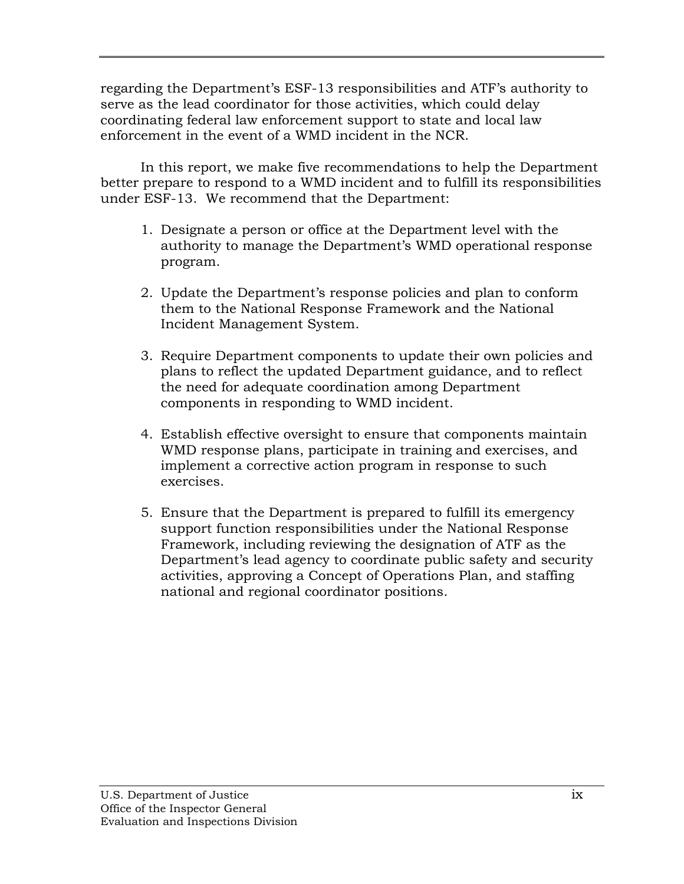regarding the Department's ESF-13 responsibilities and ATF's authority to serve as the lead coordinator for those activities, which could delay coordinating federal law enforcement support to state and local law enforcement in the event of a WMD incident in the NCR.

In this report, we make five recommendations to help the Department better prepare to respond to a WMD incident and to fulfill its responsibilities under ESF-13. We recommend that the Department:

- 1. Designate a person or office at the Department level with the authority to manage the Department's WMD operational response program.
- 2. Update the Department's response policies and plan to conform them to the National Response Framework and the National Incident Management System.
- 3. Require Department components to update their own policies and plans to reflect the updated Department guidance, and to reflect the need for adequate coordination among Department components in responding to WMD incident.
- 4. Establish effective oversight to ensure that components maintain WMD response plans, participate in training and exercises, and implement a corrective action program in response to such exercises.
- 5. Ensure that the Department is prepared to fulfill its emergency support function responsibilities under the National Response Framework, including reviewing the designation of ATF as the Department's lead agency to coordinate public safety and security activities, approving a Concept of Operations Plan, and staffing national and regional coordinator positions.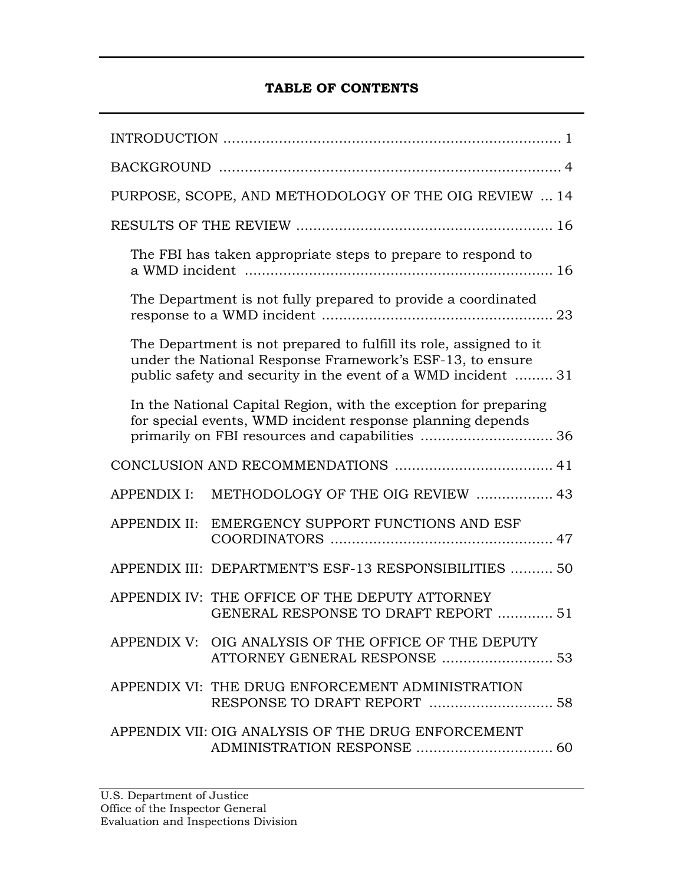# **TABLE OF CONTENTS**

| PURPOSE, SCOPE, AND METHODOLOGY OF THE OIG REVIEW  14                                                                                                                                           |                                                                                                                                |  |  |
|-------------------------------------------------------------------------------------------------------------------------------------------------------------------------------------------------|--------------------------------------------------------------------------------------------------------------------------------|--|--|
|                                                                                                                                                                                                 |                                                                                                                                |  |  |
|                                                                                                                                                                                                 | The FBI has taken appropriate steps to prepare to respond to                                                                   |  |  |
| The Department is not fully prepared to provide a coordinated                                                                                                                                   |                                                                                                                                |  |  |
| The Department is not prepared to fulfill its role, assigned to it<br>under the National Response Framework's ESF-13, to ensure<br>public safety and security in the event of a WMD incident 31 |                                                                                                                                |  |  |
|                                                                                                                                                                                                 | In the National Capital Region, with the exception for preparing<br>for special events, WMD incident response planning depends |  |  |
|                                                                                                                                                                                                 |                                                                                                                                |  |  |
| <b>APPENDIX I:</b>                                                                                                                                                                              | METHODOLOGY OF THE OIG REVIEW  43                                                                                              |  |  |
| <b>APPENDIX II:</b>                                                                                                                                                                             | EMERGENCY SUPPORT FUNCTIONS AND ESF                                                                                            |  |  |
|                                                                                                                                                                                                 | APPENDIX III: DEPARTMENT'S ESF-13 RESPONSIBILITIES  50                                                                         |  |  |
|                                                                                                                                                                                                 | APPENDIX IV: THE OFFICE OF THE DEPUTY ATTORNEY<br><b>GENERAL RESPONSE TO DRAFT REPORT  51</b>                                  |  |  |
|                                                                                                                                                                                                 | APPENDIX V: OIG ANALYSIS OF THE OFFICE OF THE DEPUTY                                                                           |  |  |
|                                                                                                                                                                                                 | APPENDIX VI: THE DRUG ENFORCEMENT ADMINISTRATION                                                                               |  |  |
|                                                                                                                                                                                                 | APPENDIX VII: OIG ANALYSIS OF THE DRUG ENFORCEMENT                                                                             |  |  |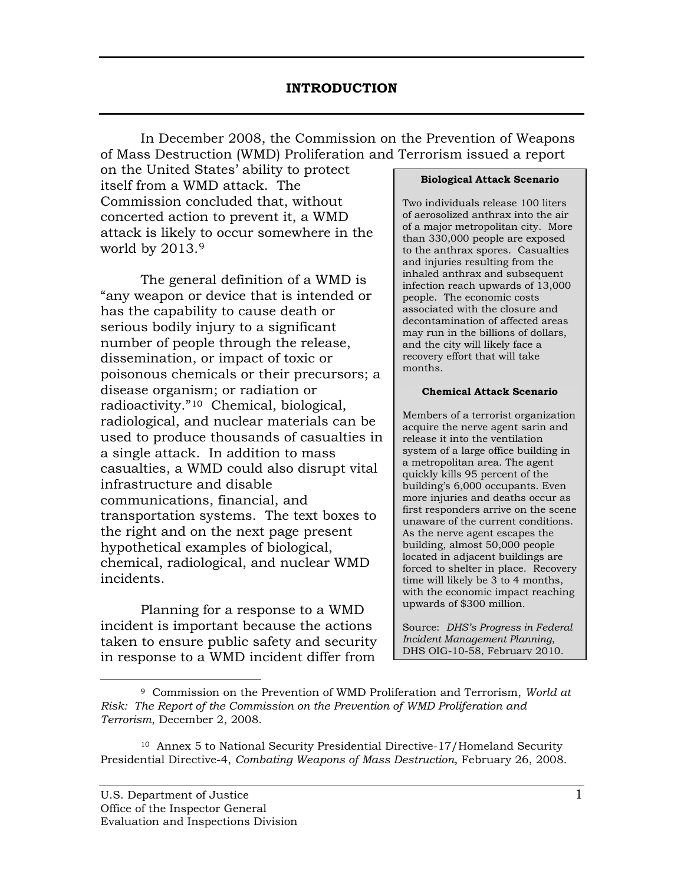In December 2008, the Commission on the Prevention of Weapons of Mass Destruction (WMD) Proliferation and Terrorism issued a report

on the United States' ability to protect itself from a WMD attack. The Commission concluded that, without concerted action to prevent it, a WMD attack is likely to occur somewhere in the world by 2013.[9](#page-12-0)

The general definition of a WMD is "any weapon or device that is intended or has the capability to cause death or serious bodily injury to a significant number of people through the release, dissemination, or impact of toxic or poisonous chemicals or their precursors; a disease organism; or radiation or radioactivity."[10](#page-12-1) Chemical, biological, radiological, and nuclear materials can be used to produce thousands of casualties in a single attack. In addition to mass casualties, a WMD could also disrupt vital infrastructure and disable communications, financial, and transportation systems. The text boxes to the right and on the next page present hypothetical examples of biological, chemical, radiological, and nuclear WMD incidents.

Planning for a response to a WMD incident is important because the actions taken to ensure public safety and security in response to a WMD incident differ from

#### **Biological Attack Scenario**

Two individuals release 100 liters of aerosolized anthrax into the air of a major metropolitan city. More than 330,000 people are exposed to the anthrax spores. Casualties and injuries resulting from the inhaled anthrax and subsequent infection reach upwards of 13,000 people. The economic costs associated with the closure and decontamination of affected areas may run in the billions of dollars, and the city will likely face a recovery effort that will take months.

#### **Chemical Attack Scenario**

Members of a terrorist organization acquire the nerve agent sarin and release it into the ventilation system of a large office building in a metropolitan area. The agent quickly kills 95 percent of the building's 6,000 occupants. Even more injuries and deaths occur as first responders arrive on the scene unaware of the current conditions. As the nerve agent escapes the building, almost 50,000 people located in adjacent buildings are forced to shelter in place. Recovery time will likely be 3 to 4 months, with the economic impact reaching upwards of \$300 million.

Source: *DHS's Progress in Federal Incident Management Planning*, DHS OIG-10-58, February 2010.

<span id="page-12-0"></span> <sup>9</sup> Commission on the Prevention of WMD Proliferation and Terrorism, *World at Risk: The Report of the Commission on the Prevention of WMD Proliferation and Terrorism*, December 2, 2008.

<span id="page-12-1"></span><sup>&</sup>lt;sup>10</sup> Annex 5 to National Security Presidential Directive-17/Homeland Security Presidential Directive-4, *Combating Weapons of Mass Destruction*, February 26, 2008.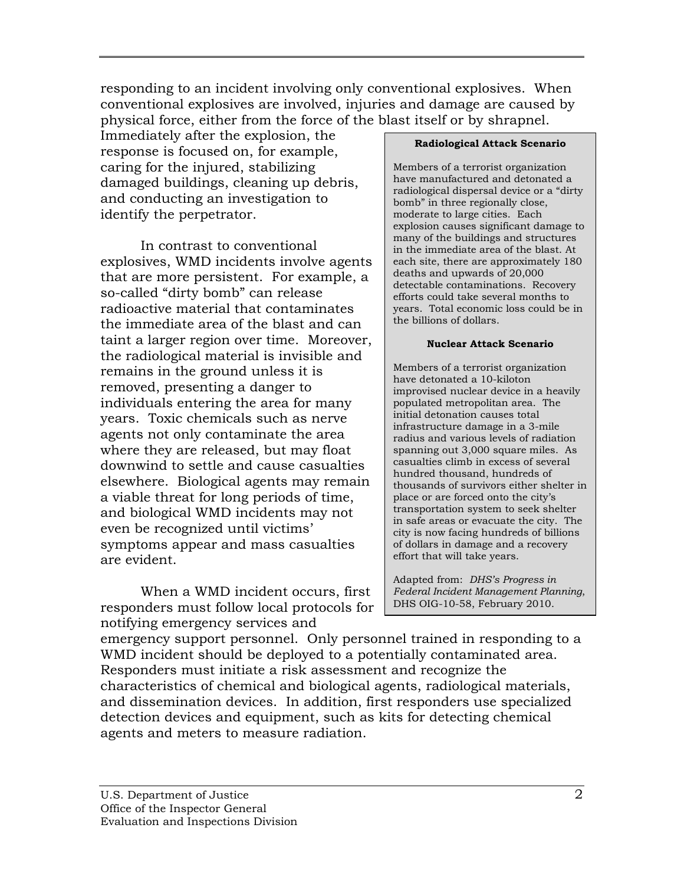responding to an incident involving only conventional explosives. When conventional explosives are involved, injuries and damage are caused by physical force, either from the force of the blast itself or by shrapnel.

Immediately after the explosion, the response is focused on, for example, caring for the injured, stabilizing damaged buildings, cleaning up debris, and conducting an investigation to identify the perpetrator.

In contrast to conventional explosives, WMD incidents involve agents that are more persistent. For example, a so-called "dirty bomb" can release radioactive material that contaminates the immediate area of the blast and can taint a larger region over time. Moreover, the radiological material is invisible and remains in the ground unless it is removed, presenting a danger to individuals entering the area for many years. Toxic chemicals such as nerve agents not only contaminate the area where they are released, but may float downwind to settle and cause casualties elsewhere. Biological agents may remain a viable threat for long periods of time, and biological WMD incidents may not even be recognized until victims' symptoms appear and mass casualties are evident.

When a WMD incident occurs, first responders must follow local protocols for notifying emergency services and

#### **Radiological Attack Scenario**

Members of a terrorist organization have manufactured and detonated a radiological dispersal device or a "dirty bomb" in three regionally close, moderate to large cities. Each explosion causes significant damage to many of the buildings and structures in the immediate area of the blast. At each site, there are approximately 180 deaths and upwards of 20,000 detectable contaminations. Recovery efforts could take several months to years. Total economic loss could be in the billions of dollars.

#### **Nuclear Attack Scenario**

Members of a terrorist organization have detonated a 10-kiloton improvised nuclear device in a heavily populated metropolitan area. The initial detonation causes total infrastructure damage in a 3-mile radius and various levels of radiation spanning out 3,000 square miles. As casualties climb in excess of several hundred thousand, hundreds of thousands of survivors either shelter in place or are forced onto the city's transportation system to seek shelter in safe areas or evacuate the city. The city is now facing hundreds of billions of dollars in damage and a recovery effort that will take years.

Adapted from: *DHS's Progress in Federal Incident Management Planning*, DHS OIG-10-58, February 2010.

emergency support personnel. Only personnel trained in responding to a WMD incident should be deployed to a potentially contaminated area. Responders must initiate a risk assessment and recognize the characteristics of chemical and biological agents, radiological materials, and dissemination devices. In addition, first responders use specialized detection devices and equipment, such as kits for detecting chemical agents and meters to measure radiation.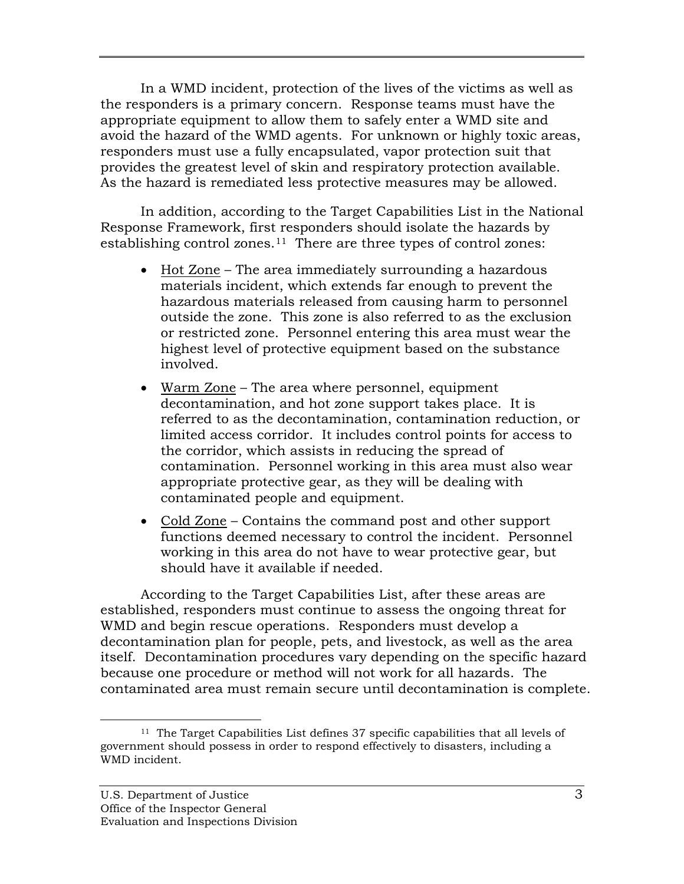In a WMD incident, protection of the lives of the victims as well as the responders is a primary concern. Response teams must have the appropriate equipment to allow them to safely enter a WMD site and avoid the hazard of the WMD agents. For unknown or highly toxic areas, responders must use a fully encapsulated, vapor protection suit that provides the greatest level of skin and respiratory protection available. As the hazard is remediated less protective measures may be allowed.

In addition, according to the Target Capabilities List in the National Response Framework, first responders should isolate the hazards by establishing control zones.[11](#page-14-0) There are three types of control zones:

- Hot Zone The area immediately surrounding a hazardous materials incident, which extends far enough to prevent the hazardous materials released from causing harm to personnel outside the zone. This zone is also referred to as the exclusion or restricted zone. Personnel entering this area must wear the highest level of protective equipment based on the substance involved.
- Warm Zone The area where personnel, equipment decontamination, and hot zone support takes place. It is referred to as the decontamination, contamination reduction, or limited access corridor. It includes control points for access to the corridor, which assists in reducing the spread of contamination. Personnel working in this area must also wear appropriate protective gear, as they will be dealing with contaminated people and equipment.
- Cold Zone Contains the command post and other support functions deemed necessary to control the incident. Personnel working in this area do not have to wear protective gear, but should have it available if needed.

According to the Target Capabilities List, after these areas are established, responders must continue to assess the ongoing threat for WMD and begin rescue operations. Responders must develop a decontamination plan for people, pets, and livestock, as well as the area itself. Decontamination procedures vary depending on the specific hazard because one procedure or method will not work for all hazards. The contaminated area must remain secure until decontamination is complete.

<span id="page-14-0"></span> <sup>11</sup> The Target Capabilities List defines 37 specific capabilities that all levels of government should possess in order to respond effectively to disasters, including a WMD incident.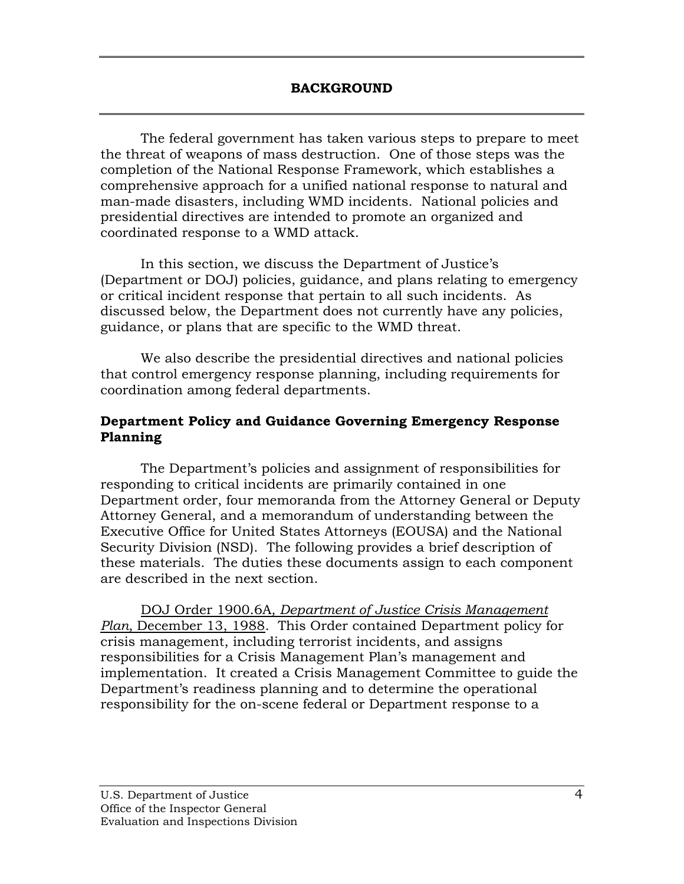The federal government has taken various steps to prepare to meet the threat of weapons of mass destruction. One of those steps was the completion of the National Response Framework, which establishes a comprehensive approach for a unified national response to natural and man-made disasters, including WMD incidents. National policies and presidential directives are intended to promote an organized and coordinated response to a WMD attack.

In this section, we discuss the Department of Justice's (Department or DOJ) policies, guidance, and plans relating to emergency or critical incident response that pertain to all such incidents. As discussed below, the Department does not currently have any policies, guidance, or plans that are specific to the WMD threat.

We also describe the presidential directives and national policies that control emergency response planning, including requirements for coordination among federal departments.

## **Department Policy and Guidance Governing Emergency Response Planning**

The Department's policies and assignment of responsibilities for responding to critical incidents are primarily contained in one Department order, four memoranda from the Attorney General or Deputy Attorney General, and a memorandum of understanding between the Executive Office for United States Attorneys (EOUSA) and the National Security Division (NSD). The following provides a brief description of these materials. The duties these documents assign to each component are described in the next section.

DOJ Order 1900.6A*, Department of Justice Crisis Management Plan,* December 13, 1988. This Order contained Department policy for crisis management, including terrorist incidents, and assigns responsibilities for a Crisis Management Plan's management and implementation. It created a Crisis Management Committee to guide the Department's readiness planning and to determine the operational responsibility for the on-scene federal or Department response to a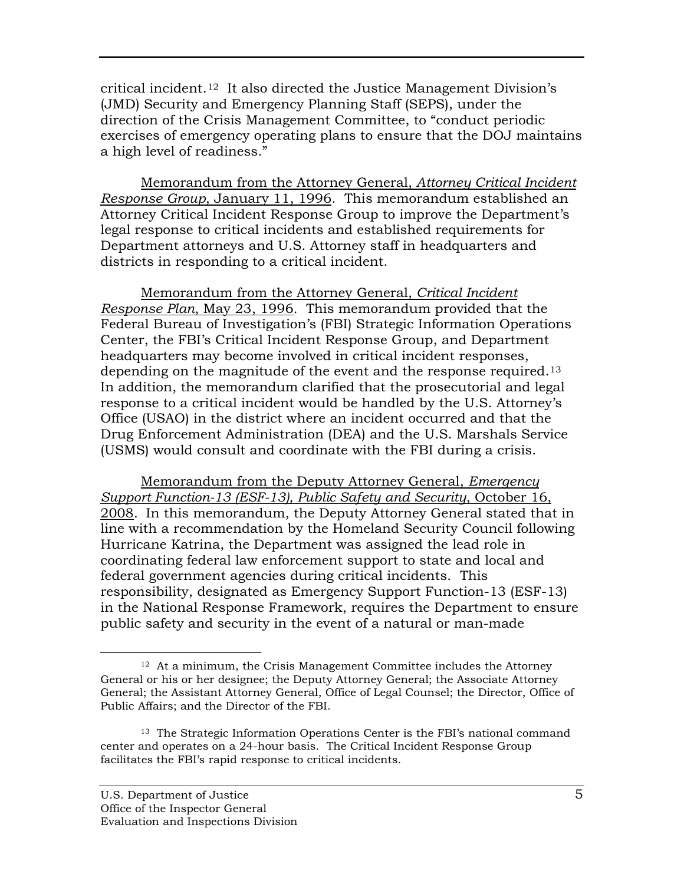critical incident.[12](#page-16-0) It also directed the Justice Management Division's (JMD) Security and Emergency Planning Staff (SEPS), under the direction of the Crisis Management Committee, to "conduct periodic exercises of emergency operating plans to ensure that the DOJ maintains a high level of readiness."

Memorandum from the Attorney General, *Attorney Critical Incident Response Group*, January 11, 1996. This memorandum established an Attorney Critical Incident Response Group to improve the Department's legal response to critical incidents and established requirements for Department attorneys and U.S. Attorney staff in headquarters and districts in responding to a critical incident.

Memorandum from the Attorney General, *Critical Incident Response Plan*, May 23, 1996*.* This memorandum provided that the Federal Bureau of Investigation's (FBI) Strategic Information Operations Center, the FBI's Critical Incident Response Group, and Department headquarters may become involved in critical incident responses, depending on the magnitude of the event and the response required.<sup>13</sup> In addition, the memorandum clarified that the prosecutorial and legal response to a critical incident would be handled by the U.S. Attorney's Office (USAO) in the district where an incident occurred and that the Drug Enforcement Administration (DEA) and the U.S. Marshals Service (USMS) would consult and coordinate with the FBI during a crisis.

Memorandum from the Deputy Attorney General, *Emergency Support Function-13 (ESF-13), Public Safety and Security*, October 16, 2008 .In this memorandum, the Deputy Attorney General stated that in line with a recommendation by the Homeland Security Council following Hurricane Katrina, the Department was assigned the lead role in coordinating federal law enforcement support to state and local and federal government agencies during critical incidents. This responsibility, designated as Emergency Support Function-13 (ESF-13) in the National Response Framework, requires the Department to ensure public safety and security in the event of a natural or man-made

<span id="page-16-0"></span> $12$  At a minimum, the Crisis Management Committee includes the Attorney General or his or her designee; the Deputy Attorney General; the Associate Attorney General; the Assistant Attorney General, Office of Legal Counsel; the Director, Office of Public Affairs; and the Director of the FBI.

<span id="page-16-1"></span><sup>&</sup>lt;sup>13</sup> The Strategic Information Operations Center is the FBI's national command center and operates on a 24-hour basis. The Critical Incident Response Group facilitates the FBI's rapid response to critical incidents.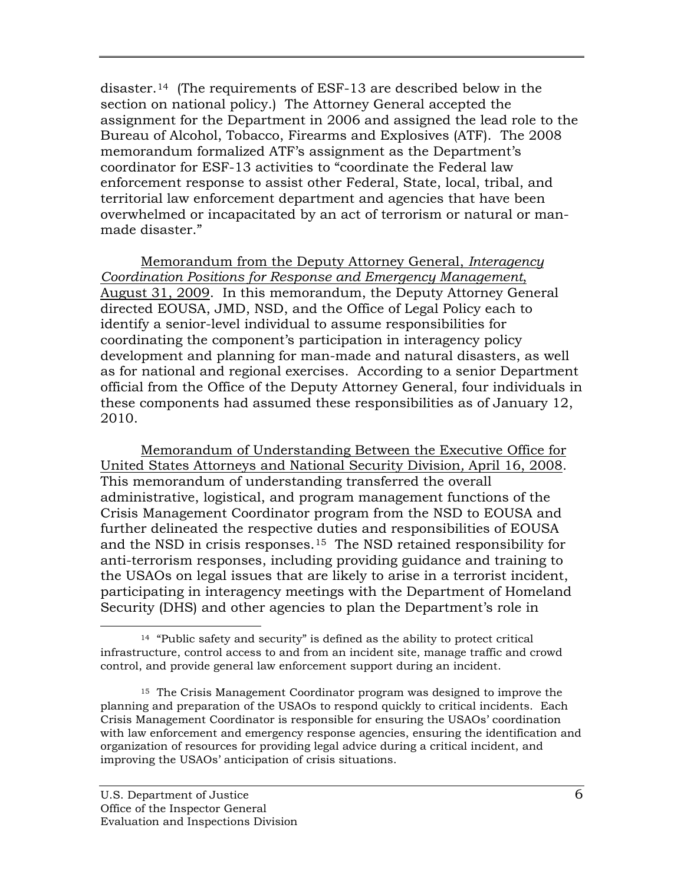disaster.[14](#page-17-0) (The requirements of ESF-13 are described below in the section on national policy.) The Attorney General accepted the assignment for the Department in 2006 and assigned the lead role to the Bureau of Alcohol, Tobacco, Firearms and Explosives (ATF). The 2008 memorandum formalized ATF's assignment as the Department's coordinator for ESF-13 activities to "coordinate the Federal law enforcement response to assist other Federal, State, local, tribal, and territorial law enforcement department and agencies that have been overwhelmed or incapacitated by an act of terrorism or natural or manmade disaster."

Memorandum from the Deputy Attorney General, *Interagency Coordination Positions for Response and Emergency Management*, August 31, 2009. In this memorandum, the Deputy Attorney General directed EOUSA, JMD, NSD, and the Office of Legal Policy each to identify a senior-level individual to assume responsibilities for coordinating the component's participation in interagency policy development and planning for man-made and natural disasters, as well as for national and regional exercises. According to a senior Department official from the Office of the Deputy Attorney General, four individuals in these components had assumed these responsibilities as of January 12, 2010.

Memorandum of Understanding Between the Executive Office for United States Attorneys and National Security Division*,* April 16, 2008. This memorandum of understanding transferred the overall administrative, logistical, and program management functions of the Crisis Management Coordinator program from the NSD to EOUSA and further delineated the respective duties and responsibilities of EOUSA and the NSD in crisis responses.[15](#page-17-1) The NSD retained responsibility for anti-terrorism responses, including providing guidance and training to the USAOs on legal issues that are likely to arise in a terrorist incident, participating in interagency meetings with the Department of Homeland Security (DHS) and other agencies to plan the Department's role in

<span id="page-17-0"></span> <sup>14 &</sup>quot;Public safety and security" is defined as the ability to protect critical infrastructure, control access to and from an incident site, manage traffic and crowd control, and provide general law enforcement support during an incident.

<span id="page-17-1"></span><sup>15</sup> The Crisis Management Coordinator program was designed to improve the planning and preparation of the USAOs to respond quickly to critical incidents. Each Crisis Management Coordinator is responsible for ensuring the USAOs' coordination with law enforcement and emergency response agencies, ensuring the identification and organization of resources for providing legal advice during a critical incident, and improving the USAOs' anticipation of crisis situations.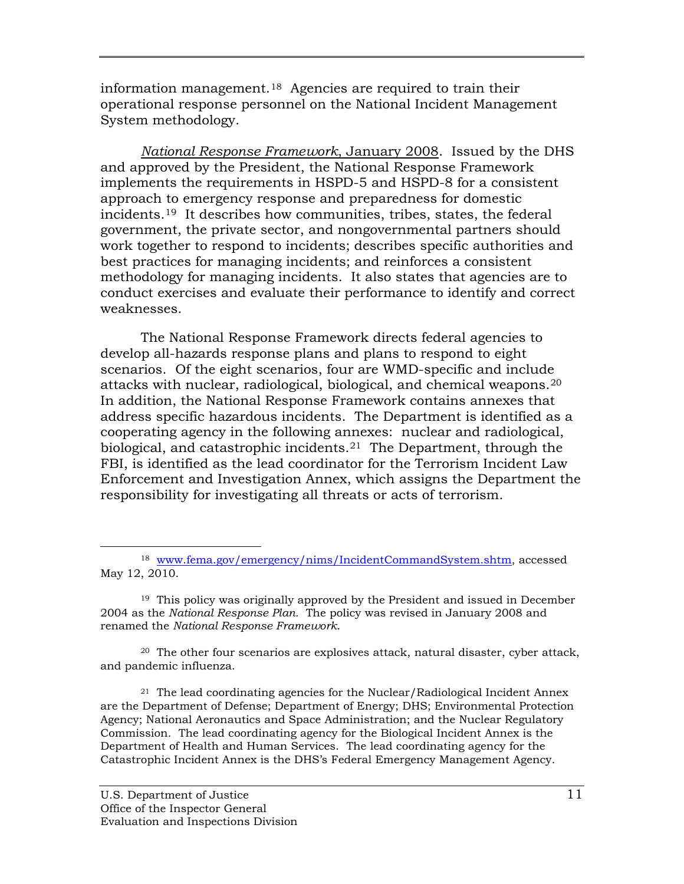information management.[18](#page-22-0) Agencies are required to train their operational response personnel on the National Incident Management System methodology.

*National Response Framework*, January 2008. Issued by the DHS and approved by the President, the National Response Framework implements the requirements in HSPD-5 and HSPD-8 for a consistent approach to emergency response and preparedness for domestic incidents.[19](#page-22-1) It describes how communities, tribes, states, the federal government, the private sector, and nongovernmental partners should work together to respond to incidents; describes specific authorities and best practices for managing incidents; and reinforces a consistent methodology for managing incidents. It also states that agencies are to conduct exercises and evaluate their performance to identify and correct weaknesses.

The National Response Framework directs federal agencies to develop all-hazards response plans and plans to respond to eight scenarios. Of the eight scenarios, four are WMD-specific and include attacks with nuclear, radiological, biological, and chemical weapons. [20](#page-22-2) In addition, the National Response Framework contains annexes that address specific hazardous incidents. The Department is identified as a cooperating agency in the following annexes: nuclear and radiological, biological, and catastrophic incidents.<sup>[21](#page-22-3)</sup> The Department, through the FBI, is identified as the lead coordinator for the Terrorism Incident Law Enforcement and Investigation Annex, which assigns the Department the responsibility for investigating all threats or acts of terrorism.

<span id="page-22-2"></span><sup>20</sup> The other four scenarios are explosives attack, natural disaster, cyber attack, and pandemic influenza.

<span id="page-22-3"></span><sup>21</sup> The lead coordinating agencies for the Nuclear/Radiological Incident Annex are the Department of Defense; Department of Energy; DHS; Environmental Protection Agency; National Aeronautics and Space Administration; and the Nuclear Regulatory Commission. The lead coordinating agency for the Biological Incident Annex is the Department of Health and Human Services. The lead coordinating agency for the Catastrophic Incident Annex is the DHS's Federal Emergency Management Agency.

<span id="page-22-0"></span> <sup>18</sup>  [www.fema.gov/emergency/nims/IncidentCommandSystem.shtm,](http://www.fema.gov/emergency/nims/IncidentCommandSystem.shtm) accessed May 12, 2010.

<span id="page-22-1"></span><sup>19</sup> This policy was originally approved by the President and issued in December 2004 as the *National Response Plan.* The policy was revised in January 2008 and renamed the *National Response Framework*.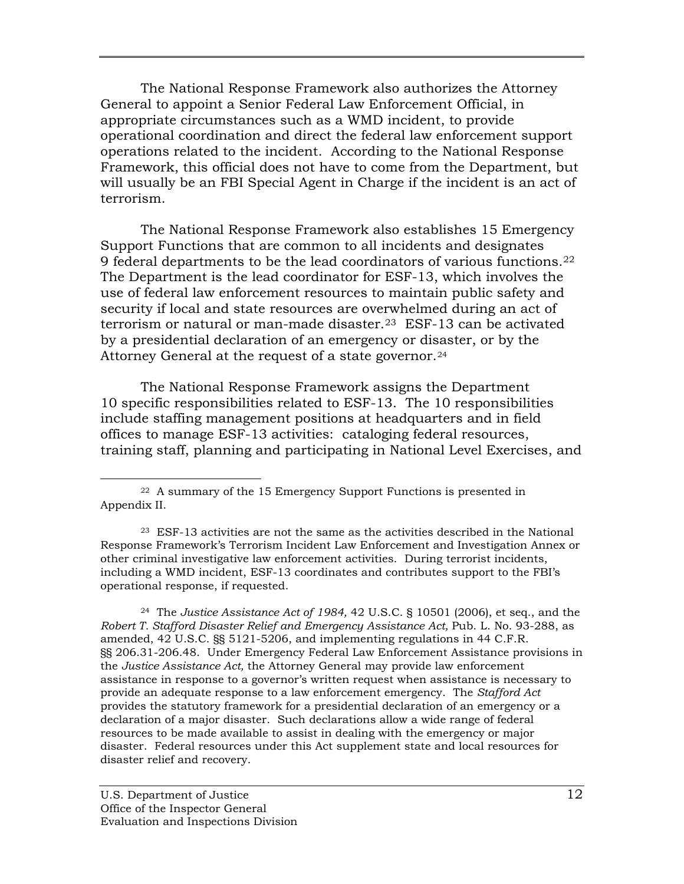The National Response Framework also authorizes the Attorney General to appoint a Senior Federal Law Enforcement Official, in appropriate circumstances such as a WMD incident, to provide operational coordination and direct the federal law enforcement support operations related to the incident. According to the National Response Framework, this official does not have to come from the Department, but will usually be an FBI Special Agent in Charge if the incident is an act of terrorism.

The National Response Framework also establishes 15 Emergency Support Functions that are common to all incidents and designates 9 federal departments to be the lead coordinators of various functions.[22](#page-23-0)  The Department is the lead coordinator for ESF-13, which involves the use of federal law enforcement resources to maintain public safety and security if local and state resources are overwhelmed during an act of terrorism or natural or man-made disaster.<sup>23</sup> ESF-13 can be activated by a presidential declaration of an emergency or disaster, or by the Attorney General at the request of a state governor.<sup>[24](#page-23-2)</sup>

The National Response Framework assigns the Department 10 specific responsibilities related to ESF-13. The 10 responsibilities include staffing management positions at headquarters and in field offices to manage ESF-13 activities: cataloging federal resources, training staff, planning and participating in National Level Exercises, and

<span id="page-23-0"></span> <sup>22</sup> A summary of the 15 Emergency Support Functions is presented in Appendix II.

<span id="page-23-1"></span><sup>23</sup> ESF-13 activities are not the same as the activities described in the National Response Framework's Terrorism Incident Law Enforcement and Investigation Annex or other criminal investigative law enforcement activities. During terrorist incidents, including a WMD incident, ESF-13 coordinates and contributes support to the FBI's operational response, if requested.

<span id="page-23-2"></span><sup>24</sup> The *Justice Assistance Act of 1984,* 42 U.S.C. § 10501 (2006), et seq., and the Robert T. Stafford Disaster Relief and Emergency Assistance Act, Pub. L. No. 93-288, as amended, 42 U.S.C. §§ 5121-5206, and implementing regulations in 44 C.F.R. §§ 206.31-206.48. Under Emergency Federal Law Enforcement Assistance provisions in the *Justice Assistance Act,* the Attorney General may provide law enforcement assistance in response to a governor's written request when assistance is necessary to provide an adequate response to a law enforcement emergency. The *Stafford Act* provides the statutory framework for a presidential declaration of an emergency or a declaration of a major disaster. Such declarations allow a wide range of federal resources to be made available to assist in dealing with the emergency or major disaster. Federal resources under this Act supplement state and local resources for disaster relief and recovery.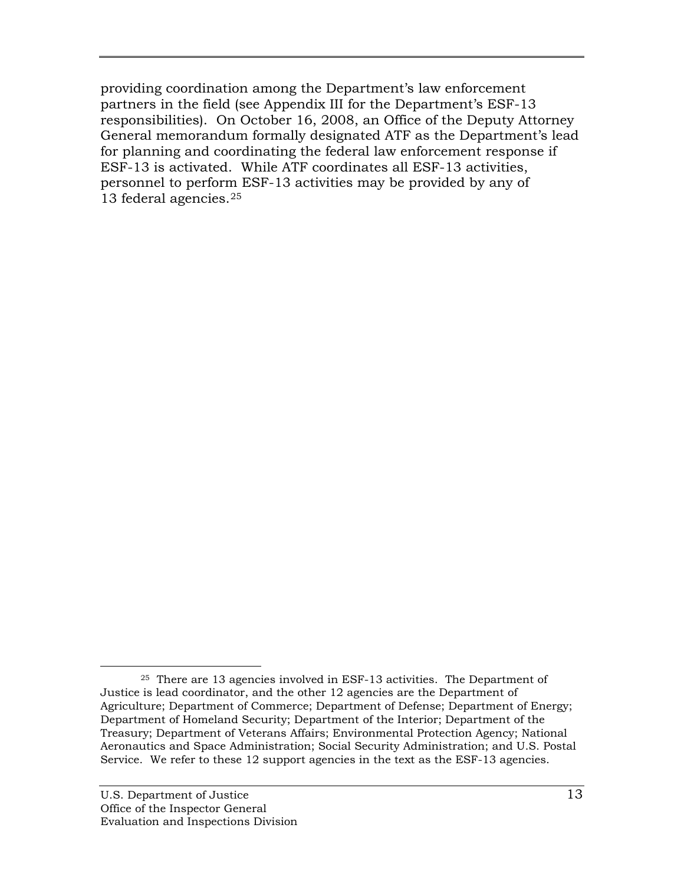providing coordination among the Department's law enforcement partners in the field (see Appendix III for the Department's ESF-13 responsibilities). On October 16, 2008, an Office of the Deputy Attorney General memorandum formally designated ATF as the Department's lead for planning and coordinating the federal law enforcement response if ESF-13 is activated. While ATF coordinates all ESF-13 activities, personnel to perform ESF-13 activities may be provided by any of 13 federal agencies.[25](#page-24-0)

<span id="page-24-0"></span><sup>&</sup>lt;sup>25</sup> There are 13 agencies involved in ESF-13 activities. The Department of Justice is lead coordinator, and the other 12 agencies are the Department of Agriculture; Department of Commerce; Department of Defense; Department of Energy; Department of Homeland Security; Department of the Interior; Department of the Treasury; Department of Veterans Affairs; Environmental Protection Agency; National Aeronautics and Space Administration; Social Security Administration; and U.S. Postal Service. We refer to these 12 support agencies in the text as the ESF-13 agencies.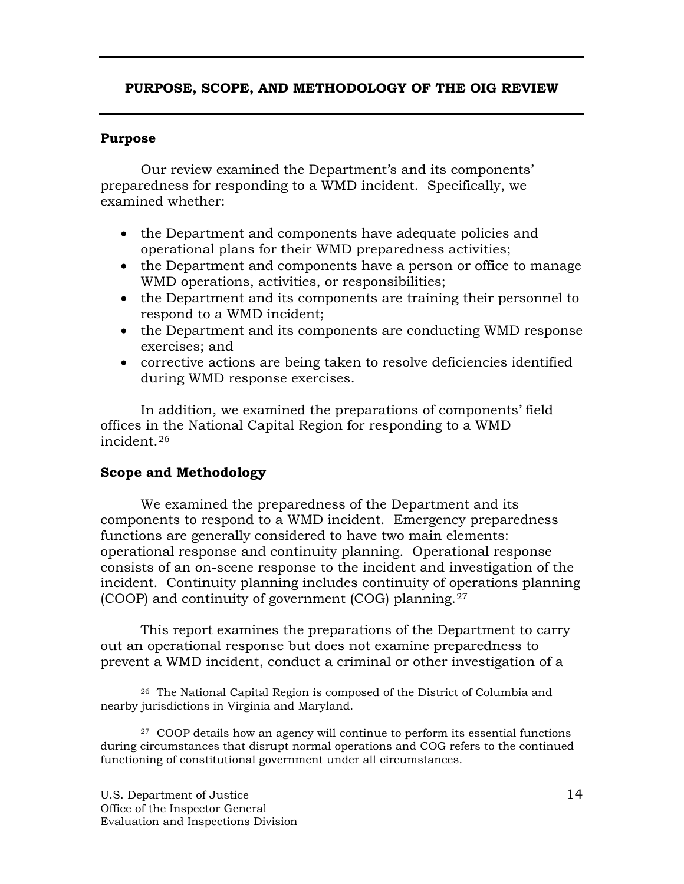# **PURPOSE, SCOPE, AND METHODOLOGY OF THE OIG REVIEW**

### **Purpose**

Our review examined the Department's and its components' preparedness for responding to a WMD incident. Specifically, we examined whether:

- the Department and components have adequate policies and operational plans for their WMD preparedness activities;
- the Department and components have a person or office to manage WMD operations, activities, or responsibilities;
- the Department and its components are training their personnel to respond to a WMD incident;
- the Department and its components are conducting WMD response exercises; and
- corrective actions are being taken to resolve deficiencies identified during WMD response exercises.

In addition, we examined the preparations of components' field offices in the National Capital Region for responding to a WMD incident.[26](#page-25-0)

## **Scope and Methodology**

We examined the preparedness of the Department and its components to respond to a WMD incident. Emergency preparedness functions are generally considered to have two main elements: operational response and continuity planning. Operational response consists of an on-scene response to the incident and investigation of the incident. Continuity planning includes continuity of operations planning (COOP) and continuity of government (COG) planning. [27](#page-25-1)

This report examines the preparations of the Department to carry out an operational response but does not examine preparedness to prevent a WMD incident, conduct a criminal or other investigation of a

<span id="page-25-0"></span> <sup>26</sup> The National Capital Region is composed of the District of Columbia and nearby jurisdictions in Virginia and Maryland.

<span id="page-25-1"></span><sup>&</sup>lt;sup>27</sup> COOP details how an agency will continue to perform its essential functions during circumstances that disrupt normal operations and COG refers to the continued functioning of constitutional government under all circumstances.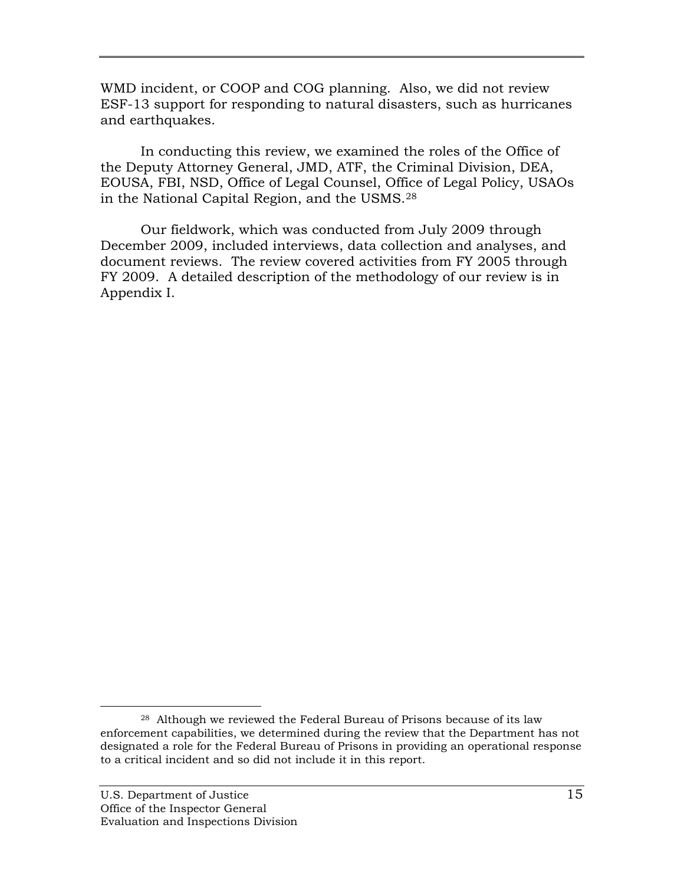WMD incident, or COOP and COG planning. Also, we did not review ESF-13 support for responding to natural disasters, such as hurricanes and earthquakes.

In conducting this review, we examined the roles of the Office of the Deputy Attorney General, JMD, ATF, the Criminal Division, DEA, EOUSA, FBI, NSD, Office of Legal Counsel, Office of Legal Policy, USAOs in the National Capital Region, and the USMS.[28](#page-26-0)

Our fieldwork, which was conducted from July 2009 through December 2009, included interviews, data collection and analyses, and document reviews. The review covered activities from FY 2005 through FY 2009. A detailed description of the methodology of our review is in Appendix I.

<span id="page-26-0"></span> <sup>28</sup> Although we reviewed the Federal Bureau of Prisons because of its law enforcement capabilities, we determined during the review that the Department has not designated a role for the Federal Bureau of Prisons in providing an operational response to a critical incident and so did not include it in this report.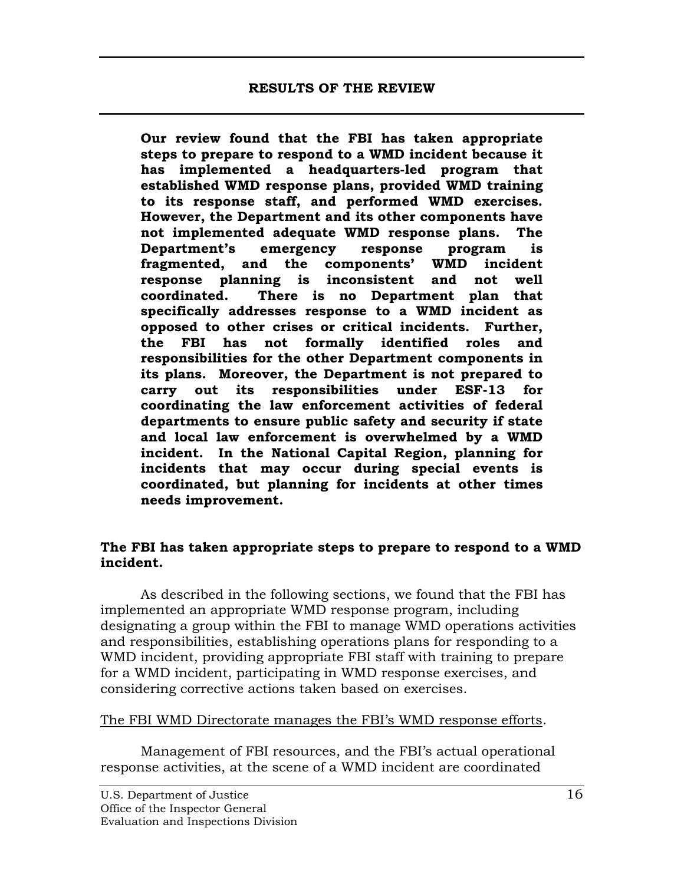**Our review found that the FBI has taken appropriate steps to prepare to respond to a WMD incident because it has implemented a headquarters-led program that established WMD response plans, provided WMD training to its response staff, and performed WMD exercises. However, the Department and its other components have not implemented adequate WMD response plans. The Department's emergency response program is fragmented, and the components' WMD incident response planning is inconsistent and not well coordinated. There is no Department plan that specifically addresses response to a WMD incident as opposed to other crises or critical incidents. Further, the FBI has not formally identified roles and responsibilities for the other Department components in its plans. Moreover, the Department is not prepared to carry out its responsibilities under ESF-13 for coordinating the law enforcement activities of federal departments to ensure public safety and security if state and local law enforcement is overwhelmed by a WMD incident. In the National Capital Region, planning for incidents that may occur during special events is coordinated, but planning for incidents at other times needs improvement.** 

### **The FBI has taken appropriate steps to prepare to respond to a WMD incident.**

As described in the following sections, we found that the FBI has implemented an appropriate WMD response program, including designating a group within the FBI to manage WMD operations activities and responsibilities, establishing operations plans for responding to a WMD incident, providing appropriate FBI staff with training to prepare for a WMD incident, participating in WMD response exercises, and considering corrective actions taken based on exercises.

### The FBI WMD Directorate manages the FBI's WMD response efforts .

Management of FBI resources, and the FBI's actual operational response activities, at the scene of a WMD incident are coordinated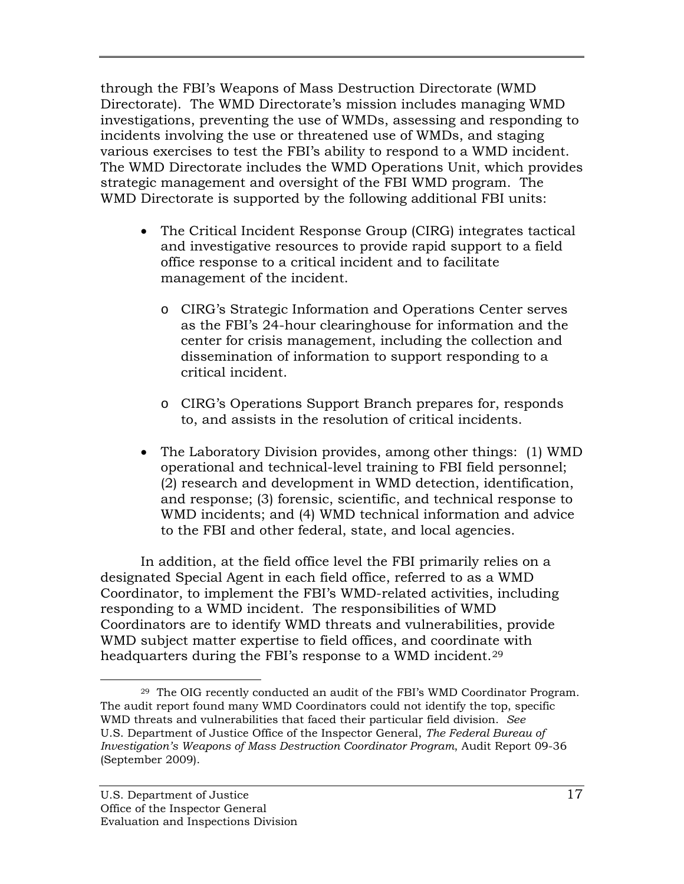through the FBI's Weapons of Mass Destruction Directorate (WMD Directorate). The WMD Directorate's mission includes managing WMD investigations, preventing the use of WMDs, assessing and responding to incidents involving the use or threatened use of WMDs, and staging various exercises to test the FBI's ability to respond to a WMD incident. The WMD Directorate includes the WMD Operations Unit, which provides strategic management and oversight of the FBI WMD program. The WMD Directorate is supported by the following additional FBI units:

- The Critical Incident Response Group (CIRG) integrates tactical and investigative resources to provide rapid support to a field office response to a critical incident and to facilitate management of the incident.
	- o CIRG's Strategic Information and Operations Center serves as the FBI's 24-hour clearinghouse for information and the center for crisis management, including the collection and dissemination of information to support responding to a critical incident.
	- o CIRG's Operations Support Branch prepares for, responds to, and assists in the resolution of critical incidents.
- The Laboratory Division provides, among other things: (1) WMD operational and technical-level training to FBI field personnel; (2) research and development in WMD detection, identification, and response; (3) forensic, scientific, and technical response to WMD incidents; and (4) WMD technical information and advice to the FBI and other federal, state, and local agencies.

In addition, at the field office level the FBI primarily relies on a designated Special Agent in each field office, referred to as a WMD Coordinator, to implement the FBI's WMD-related activities, including responding to a WMD incident. The responsibilities of WMD Coordinators are to identify WMD threats and vulnerabilities, provide WMD subject matter expertise to field offices, and coordinate with headquarters during the FBI's response to a WMD incident.<sup>[29](#page-28-0)</sup>

<span id="page-28-0"></span> <sup>29</sup> The OIG recently conducted an audit of the FBI's WMD Coordinator Program. The audit report found many WMD Coordinators could not identify the top, specific WMD threats and vulnerabilities that faced their particular field division. *See* U.S. Department of Justice Office of the Inspector General, *The Federal Bureau of Investigation's Weapons of Mass Destruction Coordinator Program*, Audit Report 09-36 (September 2009).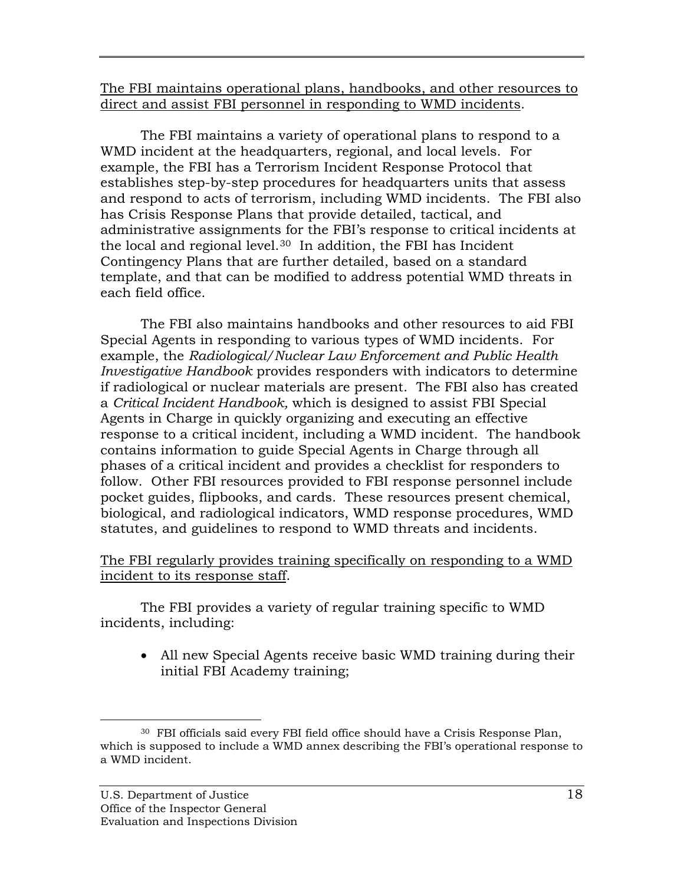The FBI maintains operational plans, handbooks, and other resources to direct and assist FBI personnel in responding to WMD incidents .

The FBI maintains a variety of operational plans to respond to a WMD incident at the headquarters, regional, and local levels. For example, the FBI has a Terrorism Incident Response Protocol that establishes step-by-step procedures for headquarters units that assess and respond to acts of terrorism, including WMD incidents. The FBI also has Crisis Response Plans that provide detailed, tactical, and administrative assignments for the FBI's response to critical incidents at the local and regional level. [30](#page-29-0) In addition, the FBI has Incident Contingency Plans that are further detailed, based on a standard template, and that can be modified to address potential WMD threats in each field office.

The FBI also maintains handbooks and other resources to aid FBI Special Agents in responding to various types of WMD incidents. For example, the *Radiological/Nuclear Law Enforcement and Public Health Investigative Handbook* provides responders with indicators to determine if radiological or nuclear materials are present. The FBI also has created a *Critical Incident Handbook,* which is designed to assist FBI Special Agents in Charge in quickly organizing and executing an effective response to a critical incident, including a WMD incident. The handbook contains information to guide Special Agents in Charge through all phases of a critical incident and provides a checklist for responders to follow. Other FBI resources provided to FBI response personnel include pocket guides, flipbooks, and cards. These resources present chemical, biological, and radiological indicators, WMD response procedures, WMD statutes, and guidelines to respond to WMD threats and incidents.

## The FBI regularly provides training specifically on responding to a WMD incident to its response staff .

The FBI provides a variety of regular training specific to WMD incidents, including:

• All new Special Agents receive basic WMD training during their initial FBI Academy training;

<span id="page-29-0"></span> <sup>30</sup> FBI officials said every FBI field office should have a Crisis Response Plan, which is supposed to include a WMD annex describing the FBI's operational response to a WMD incident.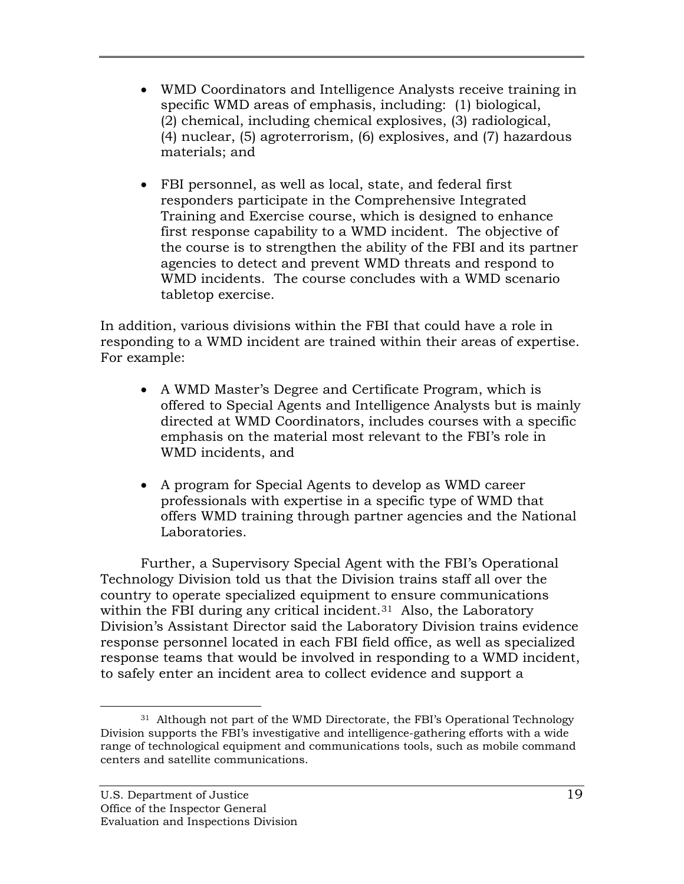- WMD Coordinators and Intelligence Analysts receive training in specific WMD areas of emphasis, including: (1) biological, (2) chemical, including chemical explosives, (3) radiological, (4) nuclear, (5) agroterrorism, (6) explosives, and (7) hazardous materials; and
- FBI personnel, as well as local, state, and federal first responders participate in the Comprehensive Integrated Training and Exercise course, which is designed to enhance first response capability to a WMD incident. The objective of the course is to strengthen the ability of the FBI and its partner agencies to detect and prevent WMD threats and respond to WMD incidents. The course concludes with a WMD scenario tabletop exercise.

In addition, various divisions within the FBI that could have a role in responding to a WMD incident are trained within their areas of expertise. For example:

- A WMD Master's Degree and Certificate Program, which is offered to Special Agents and Intelligence Analysts but is mainly directed at WMD Coordinators, includes courses with a specific emphasis on the material most relevant to the FBI's role in WMD incidents, and
- A program for Special Agents to develop as WMD career professionals with expertise in a specific type of WMD that offers WMD training through partner agencies and the National Laboratories.

Further, a Supervisory Special Agent with the FBI's Operational Technology Division told us that the Division trains staff all over the country to operate specialized equipment to ensure communications within the FBI during any critical incident.<sup>[31](#page-30-0)</sup> Also, the Laboratory Division's Assistant Director said the Laboratory Division trains evidence response personnel located in each FBI field office, as well as specialized response teams that would be involved in responding to a WMD incident, to safely enter an incident area to collect evidence and support a

<span id="page-30-0"></span><sup>&</sup>lt;sup>31</sup> Although not part of the WMD Directorate, the FBI's Operational Technology Division supports the FBI's investigative and intelligence-gathering efforts with a wide range of technological equipment and communications tools, such as mobile command centers and satellite communications.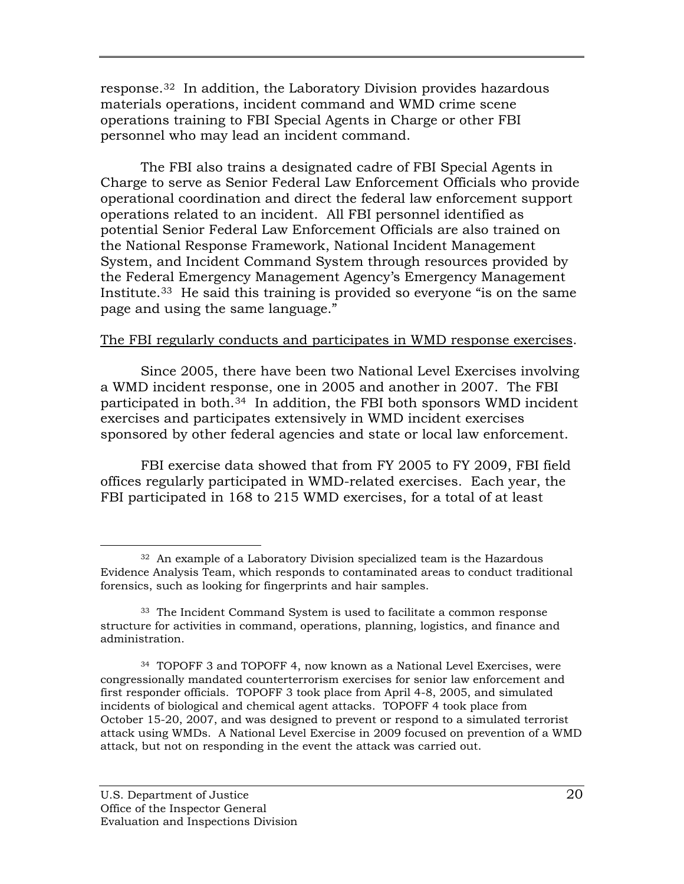response.[32](#page-31-0) In addition, the Laboratory Division provides hazardous materials operations, incident command and WMD crime scene operations training to FBI Special Agents in Charge or other FBI personnel who may lead an incident command.

The FBI also trains a designated cadre of FBI Special Agents in Charge to serve as Senior Federal Law Enforcement Officials who provide operational coordination and direct the federal law enforcement support operations related to an incident. All FBI personnel identified as potential Senior Federal Law Enforcement Officials are also trained on the National Response Framework, National Incident Management System, and Incident Command System through resources provided by the Federal Emergency Management Agency's Emergency Management Institute. [33](#page-31-1) He said this training is provided so everyone "is on the same page and using the same language."

## The FBI regularly conducts and participates in WMD response exercises .

Since 2005, there have been two National Level Exercises involving a WMD incident response, one in 2005 and another in 2007. The FBI participated in both. [34](#page-31-2) In addition, the FBI both sponsors WMD incident exercises and participates extensively in WMD incident exercises sponsored by other federal agencies and state or local law enforcement.

FBI exercise data showed that from FY 2005 to FY 2009, FBI field offices regularly participated in WMD-related exercises. Each year, the FBI participated in 168 to 215 WMD exercises, for a total of at least

<span id="page-31-0"></span> <sup>32</sup> An example of a Laboratory Division specialized team is the Hazardous Evidence Analysis Team, which responds to contaminated areas to conduct traditional forensics, such as looking for fingerprints and hair samples.

<span id="page-31-1"></span><sup>33</sup> The Incident Command System is used to facilitate a common response structure for activities in command, operations, planning, logistics, and finance and administration.

<span id="page-31-2"></span><sup>34</sup> TOPOFF 3 and TOPOFF 4, now known as a National Level Exercises, were congressionally mandated counterterrorism exercises for senior law enforcement and first responder officials. TOPOFF 3 took place from April 4-8, 2005, and simulated incidents of biological and chemical agent attacks. TOPOFF 4 took place from October 15-20, 2007, and was designed to prevent or respond to a simulated terrorist attack using WMDs. A National Level Exercise in 2009 focused on prevention of a WMD attack, but not on responding in the event the attack was carried out.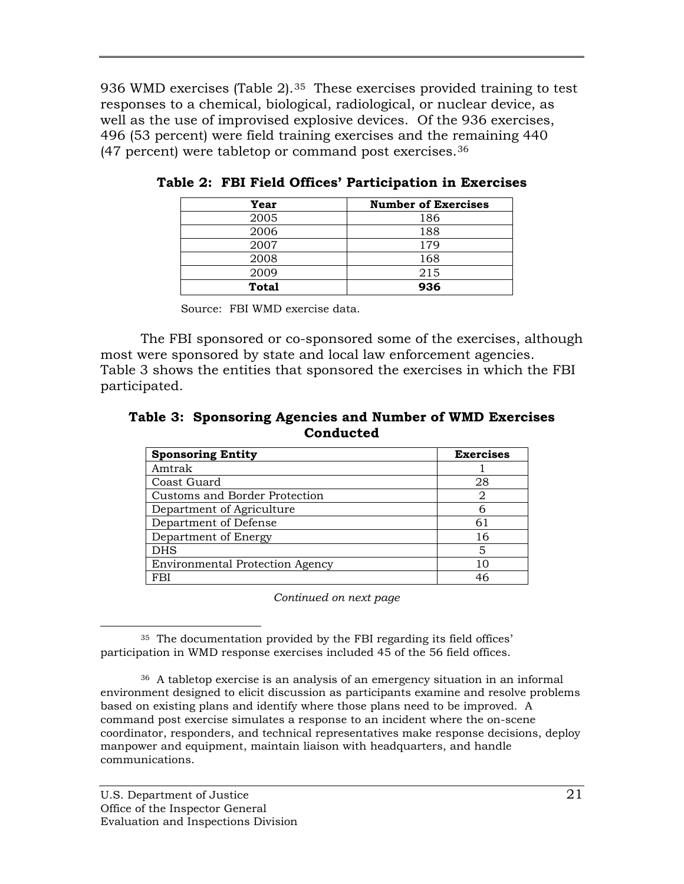936 WMD exercises (Table 2).<sup>35</sup> These exercises provided training to test responses to a chemical, biological, radiological, or nuclear device, as well as the use of improvised explosive devices. Of the 936 exercises, 496 (53 percent) were field training exercises and the remaining 440 (47 percent) were tabletop or command post exercises.[36](#page-32-1)

| Year         | <b>Number of Exercises</b> |
|--------------|----------------------------|
| 2005         | 186                        |
| 2006         | 188                        |
| 2007         | 179                        |
| 2008         | 168                        |
| 2009         | 215                        |
| <b>Total</b> | 936                        |

**Table 2: FBI Field Offices' Participation in Exercises** 

Source: FBI WMD exercise data.

 The FBI sponsored or co-sponsored some of the exercises, although most were sponsored by state and local law enforcement agencies. Table 3 shows the entities that sponsored the exercises in which the FBI participated.

**Table 3: Sponsoring Agencies and Number of WMD Exercises Conducted** 

| <b>Sponsoring Entity</b>               | <b>Exercises</b> |
|----------------------------------------|------------------|
| Amtrak                                 |                  |
| Coast Guard                            | 28               |
| Customs and Border Protection          | 2                |
| Department of Agriculture              | 6                |
| Department of Defense                  | 61               |
| Department of Energy                   | 16               |
| DHS                                    | 5                |
| <b>Environmental Protection Agency</b> | 10               |
| FBI                                    | 46               |

*Continued on next page*

<span id="page-32-0"></span> <sup>35</sup> The documentation provided by the FBI regarding its field offices' participation in WMD response exercises included 45 of the 56 field offices.

<span id="page-32-1"></span><sup>36</sup> A tabletop exercise is an analysis of an emergency situation in an informal environment designed to elicit discussion as participants examine and resolve problems based on existing plans and identify where those plans need to be improved. A command post exercise simulates a response to an incident where the on-scene coordinator, responders, and technical representatives make response decisions, deploy manpower and equipment, maintain liaison with headquarters, and handle communications.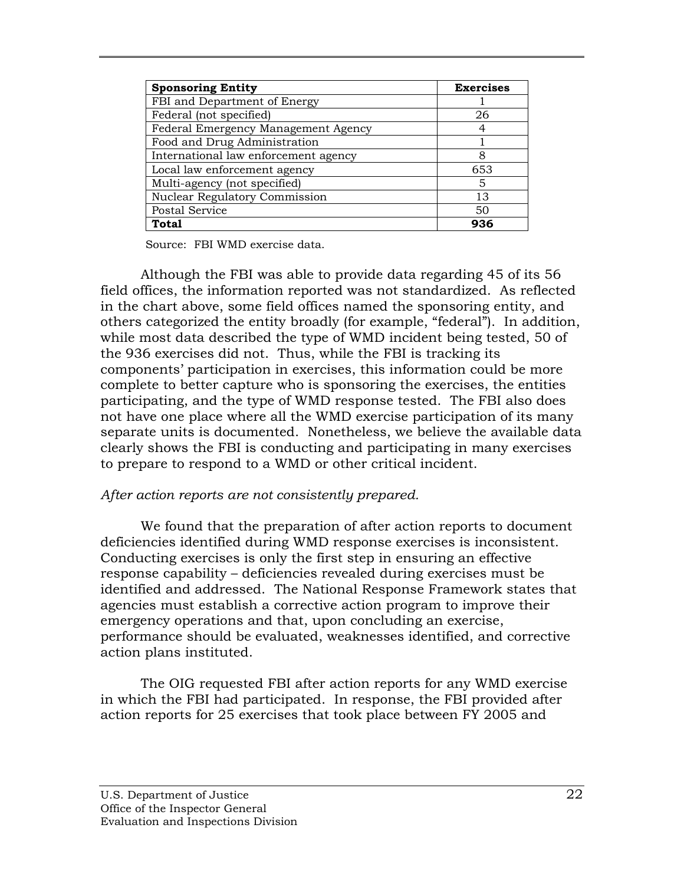| <b>Sponsoring Entity</b>             | <b>Exercises</b> |
|--------------------------------------|------------------|
| FBI and Department of Energy         |                  |
| Federal (not specified)              | 26               |
| Federal Emergency Management Agency  |                  |
| Food and Drug Administration         |                  |
| International law enforcement agency | 8                |
| Local law enforcement agency         | 653              |
| Multi-agency (not specified)         | 5                |
| Nuclear Regulatory Commission        | 13               |
| Postal Service                       | 50               |
| Total                                | 936              |

Source: FBI WMD exercise data.

 Although the FBI was able to provide data regarding 45 of its 56 field offices, the information reported was not standardized. As reflected in the chart above, some field offices named the sponsoring entity, and others categorized the entity broadly (for example, "federal"). In addition, while most data described the type of WMD incident being tested, 50 of the 936 exercises did not. Thus, while the FBI is tracking its components' participation in exercises, this information could be more complete to better capture who is sponsoring the exercises, the entities participating, and the type of WMD response tested. The FBI also does not have one place where all the WMD exercise participation of its many separate units is documented. Nonetheless, we believe the available data clearly shows the FBI is conducting and participating in many exercises to prepare to respond to a WMD or other critical incident.

## *After action reports are not consistently prepared.*

We found that the preparation of after action reports to document deficiencies identified during WMD response exercises is inconsistent. Conducting exercises is only the first step in ensuring an effective response capability – deficiencies revealed during exercises must be identified and addressed. The National Response Framework states that agencies must establish a corrective action program to improve their emergency operations and that, upon concluding an exercise, performance should be evaluated, weaknesses identified, and corrective action plans instituted.

The OIG requested FBI after action reports for any WMD exercise in which the FBI had participated. In response, the FBI provided after action reports for 25 exercises that took place between FY 2005 and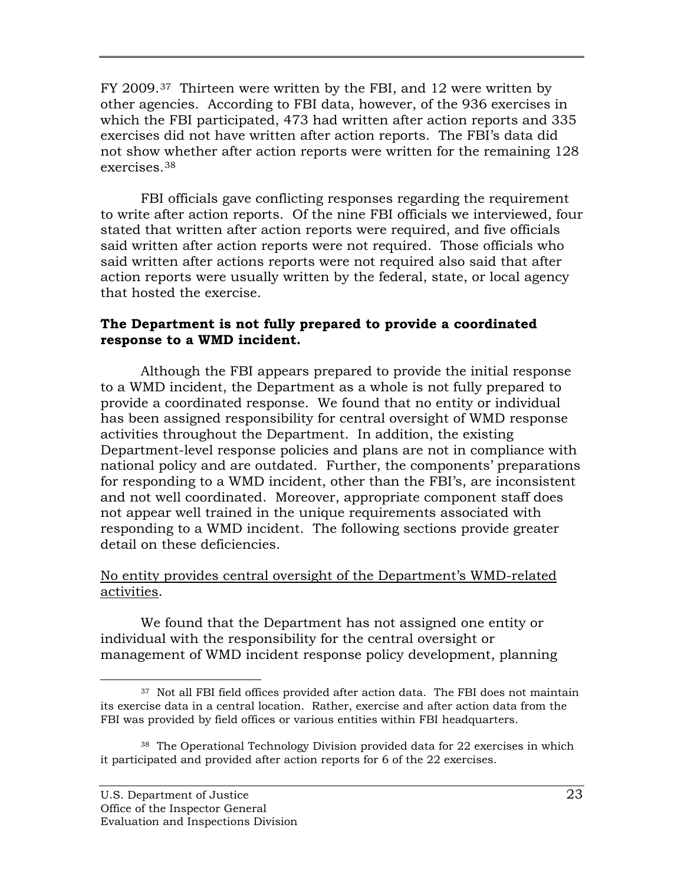FY 2009.<sup>[37](#page-34-0)</sup> Thirteen were written by the FBI, and 12 were written by other agencies. According to FBI data, however, of the 936 exercises in which the FBI participated, 473 had written after action reports and 335 exercises did not have written after action reports. The FBI's data did not show whether after action reports were written for the remaining 128 exercises.[38](#page-34-1)

FBI officials gave conflicting responses regarding the requirement to write after action reports. Of the nine FBI officials we interviewed, four stated that written after action reports were required, and five officials said written after action reports were not required. Those officials who said written after actions reports were not required also said that after action reports were usually written by the federal, state, or local agency that hosted the exercise.

## **The Department is not fully prepared to provide a coordinated response to a WMD incident.**

Although the FBI appears prepared to provide the initial response to a WMD incident, the Department as a whole is not fully prepared to provide a coordinated response. We found that no entity or individual has been assigned responsibility for central oversight of WMD response activities throughout the Department. In addition, the existing Department-level response policies and plans are not in compliance with national policy and are outdated. Further, the components' preparations for responding to a WMD incident, other than the FBI's, are inconsistent and not well coordinated. Moreover, appropriate component staff does not appear well trained in the unique requirements associated with responding to a WMD incident. The following sections provide greater detail on these deficiencies.

## No entity provides central oversight of the Department's WMD-related activities .

We found that the Department has not assigned one entity or individual with the responsibility for the central oversight or management of WMD incident response policy development, planning

<span id="page-34-0"></span><sup>&</sup>lt;sup>37</sup> Not all FBI field offices provided after action data. The FBI does not maintain its exercise data in a central location. Rather, exercise and after action data from the FBI was provided by field offices or various entities within FBI headquarters.

<span id="page-34-1"></span><sup>&</sup>lt;sup>38</sup> The Operational Technology Division provided data for 22 exercises in which it participated and provided after action reports for 6 of the 22 exercises.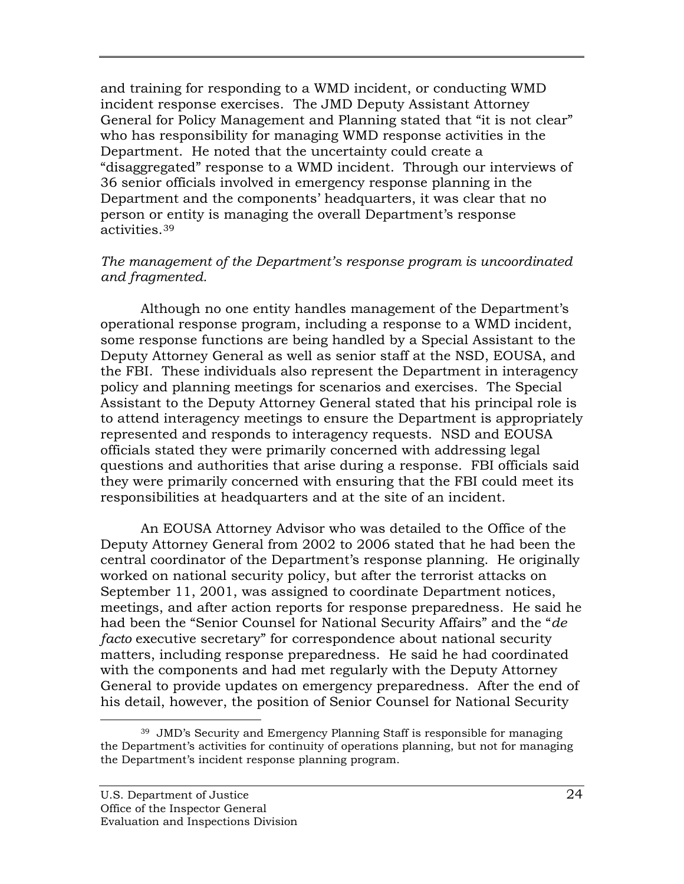and training for responding to a WMD incident, or conducting WMD incident response exercises.The JMD Deputy Assistant Attorney General for Policy Management and Planning stated that "it is not clear" who has responsibility for managing WMD response activities in the Department. He noted that the uncertainty could create a "disaggregated" response to a WMD incident. Through our interviews of 36 senior officials involved in emergency response planning in the Department and the components' headquarters, it was clear that no person or entity is managing the overall Department's response activities.[39](#page-35-0)

### *The management of the Department's response program is uncoordinated and fragmented.*

Although no one entity handles management of the Department's operational response program, including a response to a WMD incident, some response functions are being handled by a Special Assistant to the Deputy Attorney General as well as senior staff at the NSD, EOUSA, and the FBI. These individuals also represent the Department in interagency policy and planning meetings for scenarios and exercises. The Special Assistant to the Deputy Attorney General stated that his principal role is to attend interagency meetings to ensure the Department is appropriately represented and responds to interagency requests. NSD and EOUSA officials stated they were primarily concerned with addressing legal questions and authorities that arise during a response. FBI officials said they were primarily concerned with ensuring that the FBI could meet its responsibilities at headquarters and at the site of an incident.

An EOUSA Attorney Advisor who was detailed to the Office of the Deputy Attorney General from 2002 to 2006 stated that he had been the central coordinator of the Department's response planning. He originally worked on national security policy, but after the terrorist attacks on September 11, 2001, was assigned to coordinate Department notices, meetings, and after action reports for response preparedness. He said he had been the "Senior Counsel for National Security Affairs" and the "*de facto* executive secretary" for correspondence about national security matters, including response preparedness. He said he had coordinated with the components and had met regularly with the Deputy Attorney General to provide updates on emergency preparedness. After the end of his detail, however, the position of Senior Counsel for National Security

<span id="page-35-0"></span> <sup>39</sup> JMD's Security and Emergency Planning Staff is responsible for managing the Department's activities for continuity of operations planning, but not for managing the Department's incident response planning program.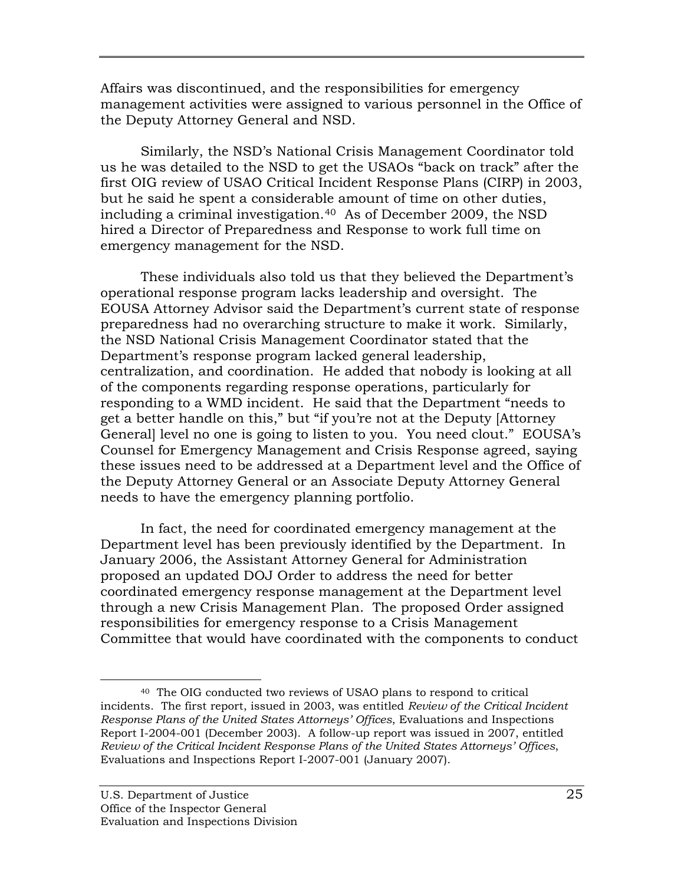Affairs was discontinued, and the responsibilities for emergency management activities were assigned to various personnel in the Office of the Deputy Attorney General and NSD.

Similarly, the NSD's National Crisis Management Coordinator told us he was detailed to the NSD to get the USAOs "back on track" after the first OIG review of USAO Critical Incident Response Plans (CIRP) in 2003, but he said he spent a considerable amount of time on other duties, including a criminal investigation.[40](#page-36-0) As of December 2009, the NSD hired a Director of Preparedness and Response to work full time on emergency management for the NSD.

These individuals also told us that they believed the Department's operational response program lacks leadership and oversight. The EOUSA Attorney Advisor said the Department's current state of response preparedness had no overarching structure to make it work. Similarly, the NSD National Crisis Management Coordinator stated that the Department's response program lacked general leadership, centralization, and coordination. He added that nobody is looking at all of the components regarding response operations, particularly for responding to a WMD incident. He said that the Department "needs to get a better handle on this," but "if you're not at the Deputy [Attorney General] level no one is going to listen to you. You need clout." EOUSA's Counsel for Emergency Management and Crisis Response agreed, saying these issues need to be addressed at a Department level and the Office of the Deputy Attorney General or an Associate Deputy Attorney General needs to have the emergency planning portfolio.

In fact, the need for coordinated emergency management at the Department level has been previously identified by the Department. In January 2006, the Assistant Attorney General for Administration proposed an updated DOJ Order to address the need for better coordinated emergency response management at the Department level through a new Crisis Management Plan. The proposed Order assigned responsibilities for emergency response to a Crisis Management Committee that would have coordinated with the components to conduct

<span id="page-36-0"></span> <sup>40</sup> The OIG conducted two reviews of USAO plans to respond to critical incidents. The first report, issued in 2003, was entitled *Review of the Critical Incident Response Plans of the United States Attorneys' Offices*, Evaluations and Inspections Report I-2004-001 (December 2003). A follow-up report was issued in 2007, entitled *Review of the Critical Incident Response Plans of the United States Attorneys' Offices*, Evaluations and Inspections Report I-2007-001 (January 2007).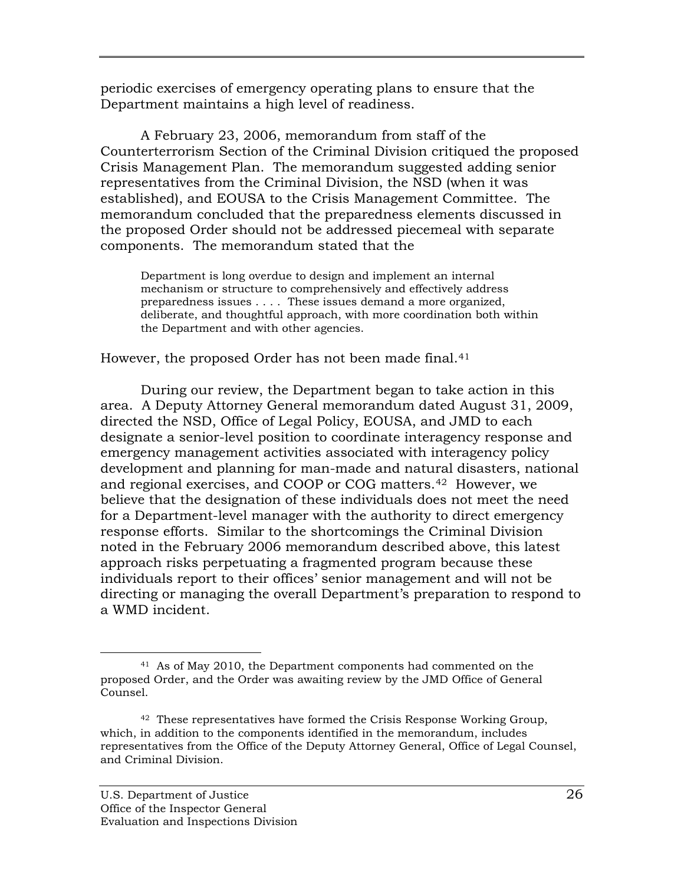periodic exercises of emergency operating plans to ensure that the Department maintains a high level of readiness.

A February 23, 2006, memorandum from staff of the Counterterrorism Section of the Criminal Division critiqued the proposed Crisis Management Plan. The memorandum suggested adding senior representatives from the Criminal Division, the NSD (when it was established), and EOUSA to the Crisis Management Committee. The memorandum concluded that the preparedness elements discussed in the proposed Order should not be addressed piecemeal with separate components. The memorandum stated that the

Department is long overdue to design and implement an internal mechanism or structure to comprehensively and effectively address preparedness issues . . . . These issues demand a more organized, deliberate, and thoughtful approach, with more coordination both within the Department and with other agencies.

However, the proposed Order has not been made final.<sup>[41](#page-37-0)</sup>

During our review, the Department began to take action in this area. A Deputy Attorney General memorandum dated August 31, 2009, directed the NSD, Office of Legal Policy, EOUSA, and JMD to each designate a senior-level position to coordinate interagency response and emergency management activities associated with interagency policy development and planning for man-made and natural disasters, national and regional exercises, and COOP or COG matters. [42](#page-37-1) However, we believe that the designation of these individuals does not meet the need for a Department-level manager with the authority to direct emergency response efforts. Similar to the shortcomings the Criminal Division noted in the February 2006 memorandum described above, this latest approach risks perpetuating a fragmented program because these individuals report to their offices' senior management and will not be directing or managing the overall Department's preparation to respond to a WMD incident.

<span id="page-37-0"></span> <sup>41</sup> As of May 2010, the Department components had commented on the proposed Order, and the Order was awaiting review by the JMD Office of General Counsel.

<span id="page-37-1"></span><sup>42</sup> These representatives have formed the Crisis Response Working Group, which, in addition to the components identified in the memorandum, includes representatives from the Office of the Deputy Attorney General, Office of Legal Counsel, and Criminal Division.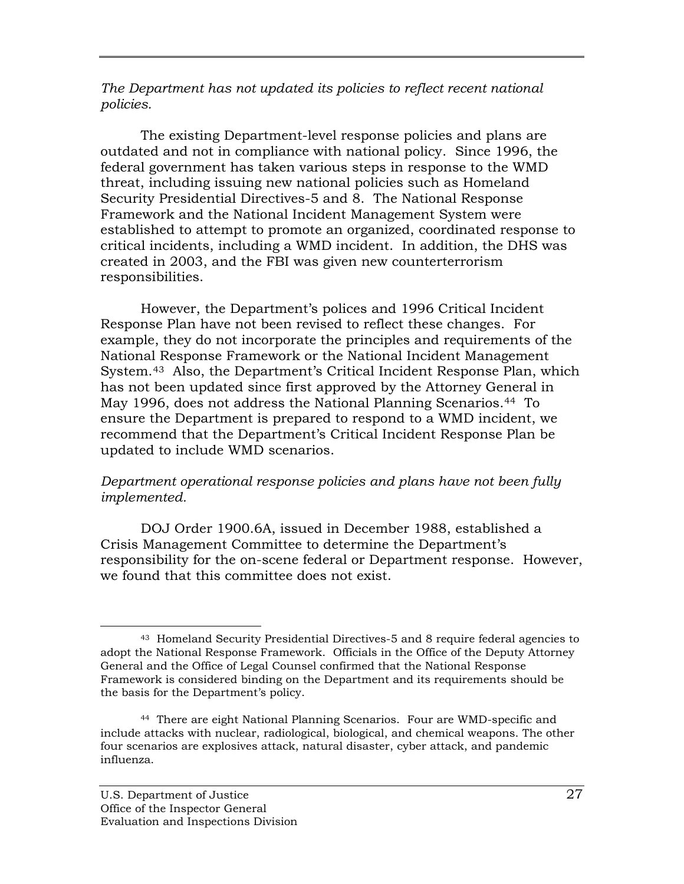*The Department has not updated its policies to reflect recent national policies.* 

The existing Department-level response policies and plans are outdated and not in compliance with national policy. Since 1996, the federal government has taken various steps in response to the WMD threat, including issuing new national policies such as Homeland Security Presidential Directives-5 and 8. The National Response Framework and the National Incident Management System were established to attempt to promote an organized, coordinated response to critical incidents, including a WMD incident. In addition, the DHS was created in 2003, and the FBI was given new counterterrorism responsibilities.

However, the Department's polices and 1996 Critical Incident Response Plan have not been revised to reflect these changes. For example, they do not incorporate the principles and requirements of the National Response Framework or the National Incident Management System.[43](#page-38-0) Also, the Department's Critical Incident Response Plan, which has not been updated since first approved by the Attorney General in May 1996, does not address the National Planning Scenarios.[44](#page-38-1) To ensure the Department is prepared to respond to a WMD incident, we recommend that the Department's Critical Incident Response Plan be updated to include WMD scenarios.

## *Department operational response policies and plans have not been fully implemented.*

DOJ Order 1900.6A, issued in December 1988, established a Crisis Management Committee to determine the Department's responsibility for the on-scene federal or Department response. However, we found that this committee does not exist.

<span id="page-38-0"></span> <sup>43</sup> Homeland Security Presidential Directives-5 and 8 require federal agencies to adopt the National Response Framework. Officials in the Office of the Deputy Attorney General and the Office of Legal Counsel confirmed that the National Response Framework is considered binding on the Department and its requirements should be the basis for the Department's policy.

<span id="page-38-1"></span><sup>44</sup> There are eight National Planning Scenarios. Four are WMD-specific and include attacks with nuclear, radiological, biological, and chemical weapons. The other four scenarios are explosives attack, natural disaster, cyber attack, and pandemic influenza.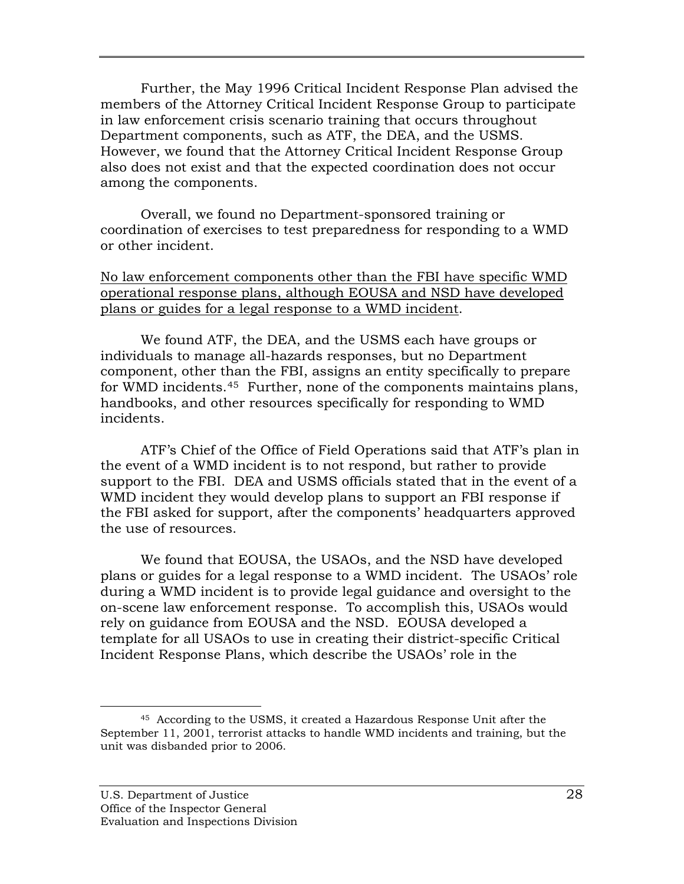Further, the May 1996 Critical Incident Response Plan advised the members of the Attorney Critical Incident Response Group to participate in law enforcement crisis scenario training that occurs throughout Department components, such as ATF, the DEA, and the USMS. However, we found that the Attorney Critical Incident Response Group also does not exist and that the expected coordination does not occur among the components.

Overall, we found no Department-sponsored training or coordination of exercises to test preparedness for responding to a WMD or other incident.

## No law enforcement components other than the FBI have specific WMD operational response plans, although EOUSA and NSD have developed plans or guides for a legal response to a WMD incident.

We found ATF, the DEA, and the USMS each have groups or individuals to manage all-hazards responses, but no Department component, other than the FBI, assigns an entity specifically to prepare for WMD incidents.[45](#page-39-0) Further, none of the components maintains plans, handbooks, and other resources specifically for responding to WMD incidents.

ATF's Chief of the Office of Field Operations said that ATF's plan in the event of a WMD incident is to not respond, but rather to provide support to the FBI. DEA and USMS officials stated that in the event of a WMD incident they would develop plans to support an FBI response if the FBI asked for support, after the components' headquarters approved the use of resources.

We found that EOUSA, the USAOs, and the NSD have developed plans or guides for a legal response to a WMD incident. The USAOs' role during a WMD incident is to provide legal guidance and oversight to the on-scene law enforcement response. To accomplish this, USAOs would rely on guidance from EOUSA and the NSD. EOUSA developed a template for all USAOs to use in creating their district-specific Critical Incident Response Plans, which describe the USAOs' role in the

<span id="page-39-0"></span> <sup>45</sup> According to the USMS, it created a Hazardous Response Unit after the September 11, 2001, terrorist attacks to handle WMD incidents and training, but the unit was disbanded prior to 2006.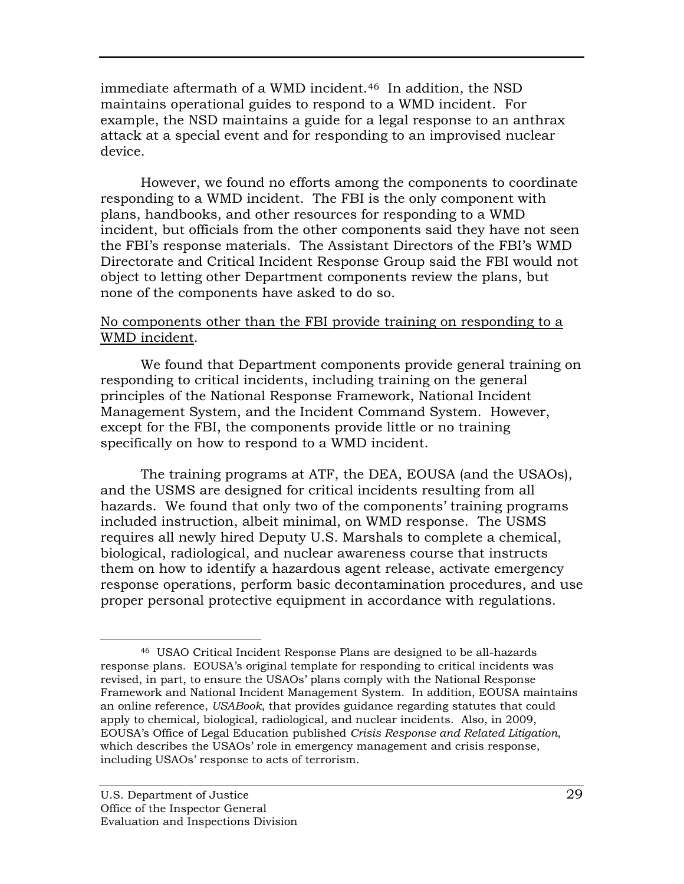immediate aftermath of a WMD incident.[46](#page-40-0) In addition, the NSD maintains operational guides to respond to a WMD incident. For example, the NSD maintains a guide for a legal response to an anthrax attack at a special event and for responding to an improvised nuclear device.

However, we found no efforts among the components to coordinate responding to a WMD incident. The FBI is the only component with plans, handbooks, and other resources for responding to a WMD incident, but officials from the other components said they have not seen the FBI's response materials. The Assistant Directors of the FBI's WMD Directorate and Critical Incident Response Group said the FBI would not object to letting other Department components review the plans, but none of the components have asked to do so.

## No components other than the FBI provide training on responding to a WMD incident.

We found that Department components provide general training on responding to critical incidents, including training on the general principles of the National Response Framework, National Incident Management System, and the Incident Command System. However, except for the FBI, the components provide little or no training specifically on how to respond to a WMD incident.

The training programs at ATF, the DEA, EOUSA (and the USAOs), and the USMS are designed for critical incidents resulting from all hazards. We found that only two of the components' training programs included instruction, albeit minimal, on WMD response. The USMS requires all newly hired Deputy U.S. Marshals to complete a chemical, biological, radiological, and nuclear awareness course that instructs them on how to identify a hazardous agent release, activate emergency response operations, perform basic decontamination procedures, and use proper personal protective equipment in accordance with regulations.

<span id="page-40-0"></span> <sup>46</sup> USAO Critical Incident Response Plans are designed to be all-hazards response plans. EOUSA's original template for responding to critical incidents was revised, in part, to ensure the USAOs' plans comply with the National Response Framework and National Incident Management System. In addition, EOUSA maintains an online reference, *USABook,* that provides guidance regarding statutes that could apply to chemical, biological, radiological, and nuclear incidents. Also, in 2009, EOUSA's Office of Legal Education published *Crisis Response and Related Litigation*, which describes the USAOs' role in emergency management and crisis response, including USAOs' response to acts of terrorism.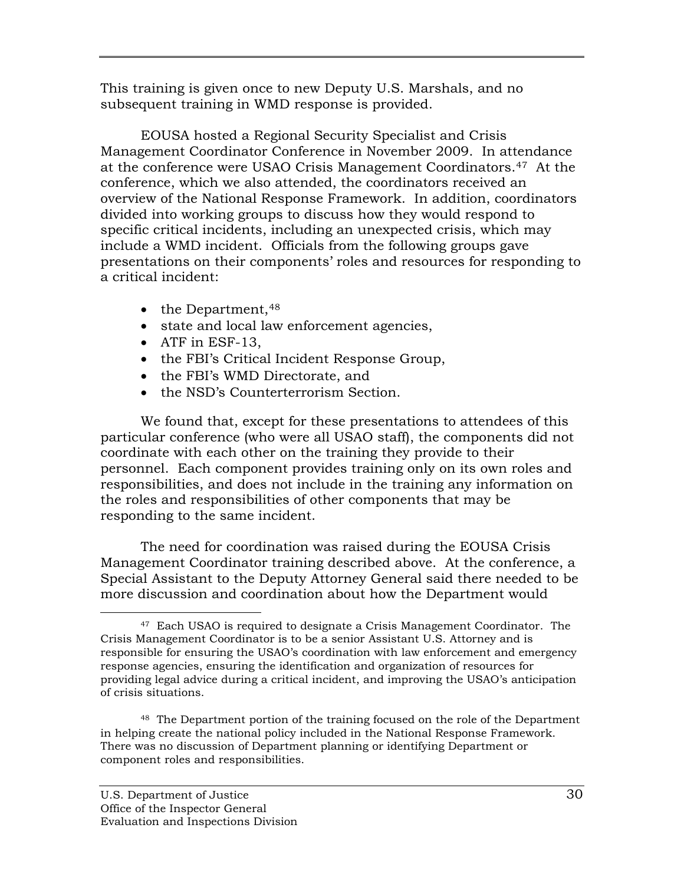This training is given once to new Deputy U.S. Marshals, and no subsequent training in WMD response is provided.

EOUSA hosted a Regional Security Specialist and Crisis Management Coordinator Conference in November 2009. In attendance at the conference were USAO Crisis Management Coordinators.[47](#page-41-0) At the conference, which we also attended, the coordinators received an overview of the National Response Framework. In addition, coordinators divided into working groups to discuss how they would respond to specific critical incidents, including an unexpected crisis, which may include a WMD incident. Officials from the following groups gave presentations on their components' roles and resources for responding to a critical incident:

- the Department,<sup>[48](#page-41-1)</sup>
- state and local law enforcement agencies,
- ATF in ESF-13,
- the FBI's Critical Incident Response Group,
- the FBI's WMD Directorate, and
- the NSD's Counterterrorism Section.

We found that, except for these presentations to attendees of this particular conference (who were all USAO staff), the components did not coordinate with each other on the training they provide to their personnel. Each component provides training only on its own roles and responsibilities, and does not include in the training any information on the roles and responsibilities of other components that may be responding to the same incident.

The need for coordination was raised during the EOUSA Crisis Management Coordinator training described above. At the conference, a Special Assistant to the Deputy Attorney General said there needed to be more discussion and coordination about how the Department would

<span id="page-41-0"></span><sup>&</sup>lt;sup>47</sup> Each USAO is required to designate a Crisis Management Coordinator. The Crisis Management Coordinator is to be a senior Assistant U.S. Attorney and is responsible for ensuring the USAO's coordination with law enforcement and emergency response agencies, ensuring the identification and organization of resources for providing legal advice during a critical incident, and improving the USAO's anticipation of crisis situations.

<span id="page-41-1"></span><sup>48</sup> The Department portion of the training focused on the role of the Department in helping create the national policy included in the National Response Framework. There was no discussion of Department planning or identifying Department or component roles and responsibilities.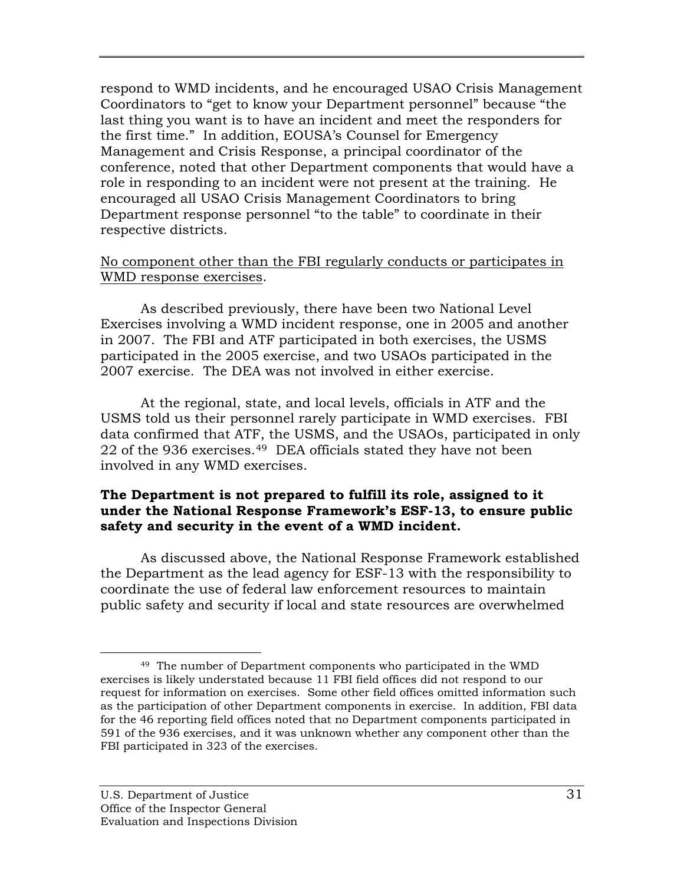respond to WMD incidents, and he encouraged USAO Crisis Management Coordinators to "get to know your Department personnel" because "the last thing you want is to have an incident and meet the responders for the first time." In addition, EOUSA's Counsel for Emergency Management and Crisis Response, a principal coordinator of the conference, noted that other Department components that would have a role in responding to an incident were not present at the training. He encouraged all USAO Crisis Management Coordinators to bring Department response personnel "to the table" to coordinate in their respective districts.

## No component other than the FBI regularly conducts or participates in WMD response exercises.

As described previously, there have been two National Level Exercises involving a WMD incident response, one in 2005 and another in 2007. The FBI and ATF participated in both exercises, the USMS participated in the 2005 exercise, and two USAOs participated in the 2007 exercise. The DEA was not involved in either exercise.

At the regional, state, and local levels, officials in ATF and the USMS told us their personnel rarely participate in WMD exercises. FBI data confirmed that ATF, the USMS, and the USAOs, participated in only 22 of the 936 exercises.[49](#page-42-0) DEA officials stated they have not been involved in any WMD exercises.

## **The Department is not prepared to fulfill its role, assigned to it under the National Response Framework's ESF-13, to ensure public safety and security in the event of a WMD incident.**

As discussed above, the National Response Framework established the Department as the lead agency for ESF-13 with the responsibility to coordinate the use of federal law enforcement resources to maintain public safety and security if local and state resources are overwhelmed

<span id="page-42-0"></span> <sup>49</sup> The number of Department components who participated in the WMD exercises is likely understated because 11 FBI field offices did not respond to our request for information on exercises. Some other field offices omitted information such as the participation of other Department components in exercise. In addition, FBI data for the 46 reporting field offices noted that no Department components participated in 591 of the 936 exercises, and it was unknown whether any component other than the FBI participated in 323 of the exercises.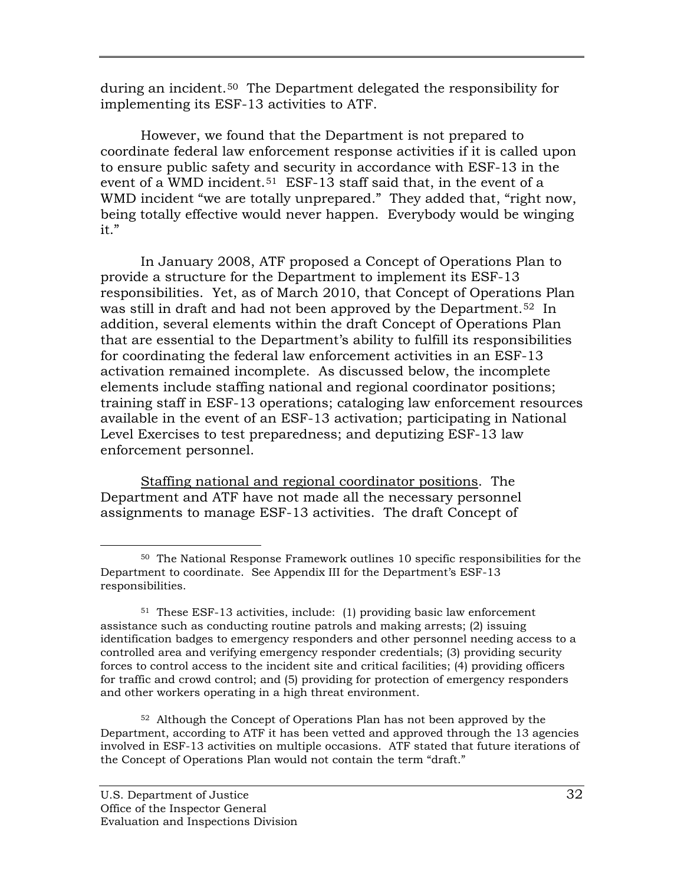during an incident.<sup>[50](#page-43-0)</sup> The Department delegated the responsibility for implementing its ESF-13 activities to ATF.

However, we found that the Department is not prepared to coordinate federal law enforcement response activities if it is called upon to ensure public safety and security in accordance with ESF-13 in the event of a WMD incident. [51](#page-43-1) ESF-13 staff said that, in the event of a WMD incident "we are totally unprepared." They added that, "right now, being totally effective would never happen. Everybody would be winging it."

In January 2008, ATF proposed a Concept of Operations Plan to provide a structure for the Department to implement its ESF-13 responsibilities. Yet, as of March 2010, that Concept of Operations Plan was still in draft and had not been approved by the Department. [52](#page-43-2) In addition, several elements within the draft Concept of Operations Plan that are essential to the Department's ability to fulfill its responsibilities for coordinating the federal law enforcement activities in an ESF-13 activation remained incomplete. As discussed below, the incomplete elements include staffing national and regional coordinator positions; training staff in ESF-13 operations; cataloging law enforcement resources available in the event of an ESF-13 activation; participating in National Level Exercises to test preparedness; and deputizing ESF-13 law enforcement personnel.

Staffing national and regional coordinator positions. The Department and ATF have not made all the necessary personnel assignments to manage ESF-13 activities. The draft Concept of

<span id="page-43-2"></span>52 Although the Concept of Operations Plan has not been approved by the Department, according to ATF it has been vetted and approved through the 13 agencies involved in ESF-13 activities on multiple occasions. ATF stated that future iterations of the Concept of Operations Plan would not contain the term "draft."

<span id="page-43-0"></span> <sup>50</sup> The National Response Framework outlines 10 specific responsibilities for the Department to coordinate. See Appendix III for the Department's ESF-13 responsibilities.

<span id="page-43-1"></span><sup>51</sup> These ESF-13 activities, include: (1) providing basic law enforcement assistance such as conducting routine patrols and making arrests; (2) issuing identification badges to emergency responders and other personnel needing access to a controlled area and verifying emergency responder credentials; (3) providing security forces to control access to the incident site and critical facilities; (4) providing officers for traffic and crowd control; and (5) providing for protection of emergency responders and other workers operating in a high threat environment.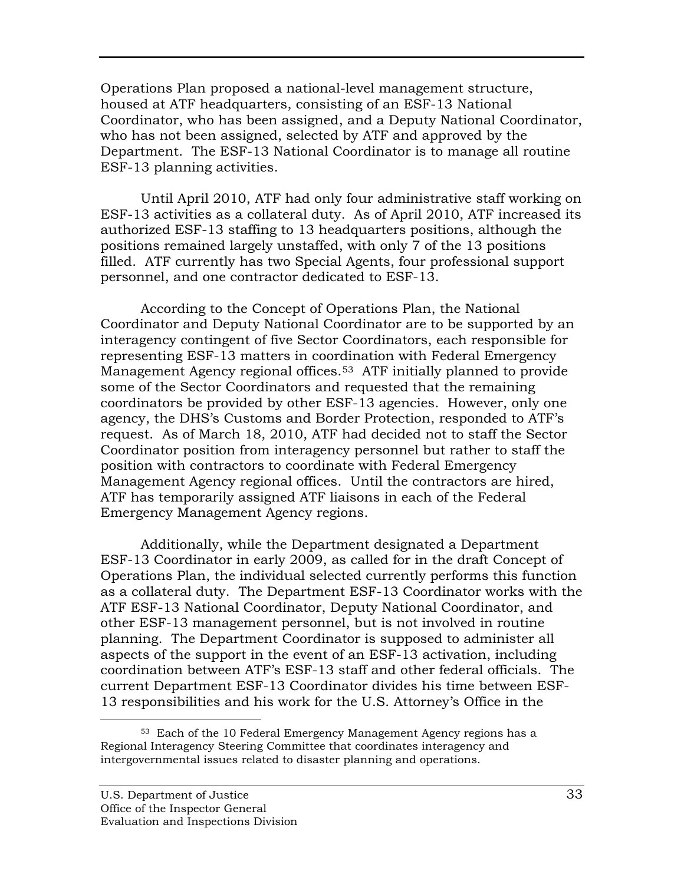Operations Plan proposed a national-level management structure, housed at ATF headquarters, consisting of an ESF-13 National Coordinator, who has been assigned, and a Deputy National Coordinator, who has not been assigned, selected by ATF and approved by the Department. The ESF-13 National Coordinator is to manage all routine ESF-13 planning activities.

Until April 2010, ATF had only four administrative staff working on ESF-13 activities as a collateral duty. As of April 2010, ATF increased its authorized ESF-13 staffing to 13 headquarters positions, although the positions remained largely unstaffed, with only 7 of the 13 positions filled. ATF currently has two Special Agents, four professional support personnel, and one contractor dedicated to ESF-13.

According to the Concept of Operations Plan, the National Coordinator and Deputy National Coordinator are to be supported by an interagency contingent of five Sector Coordinators, each responsible for representing ESF-13 matters in coordination with Federal Emergency Management Agency regional offices.[53](#page-44-0) ATF initially planned to provide some of the Sector Coordinators and requested that the remaining coordinators be provided by other ESF-13 agencies. However, only one agency, the DHS's Customs and Border Protection, responded to ATF's request. As of March 18, 2010, ATF had decided not to staff the Sector Coordinator position from interagency personnel but rather to staff the position with contractors to coordinate with Federal Emergency Management Agency regional offices. Until the contractors are hired, ATF has temporarily assigned ATF liaisons in each of the Federal Emergency Management Agency regions.

Additionally, while the Department designated a Department ESF-13 Coordinator in early 2009, as called for in the draft Concept of Operations Plan, the individual selected currently performs this function as a collateral duty. The Department ESF-13 Coordinator works with the ATF ESF-13 National Coordinator, Deputy National Coordinator, and other ESF-13 management personnel, but is not involved in routine planning. The Department Coordinator is supposed to administer all aspects of the support in the event of an ESF-13 activation, including coordination between ATF's ESF-13 staff and other federal officials. The current Department ESF-13 Coordinator divides his time between ESF-13 responsibilities and his work for the U.S. Attorney's Office in the

<span id="page-44-0"></span> <sup>53</sup> Each of the 10 Federal Emergency Management Agency regions has a Regional Interagency Steering Committee that coordinates interagency and intergovernmental issues related to disaster planning and operations.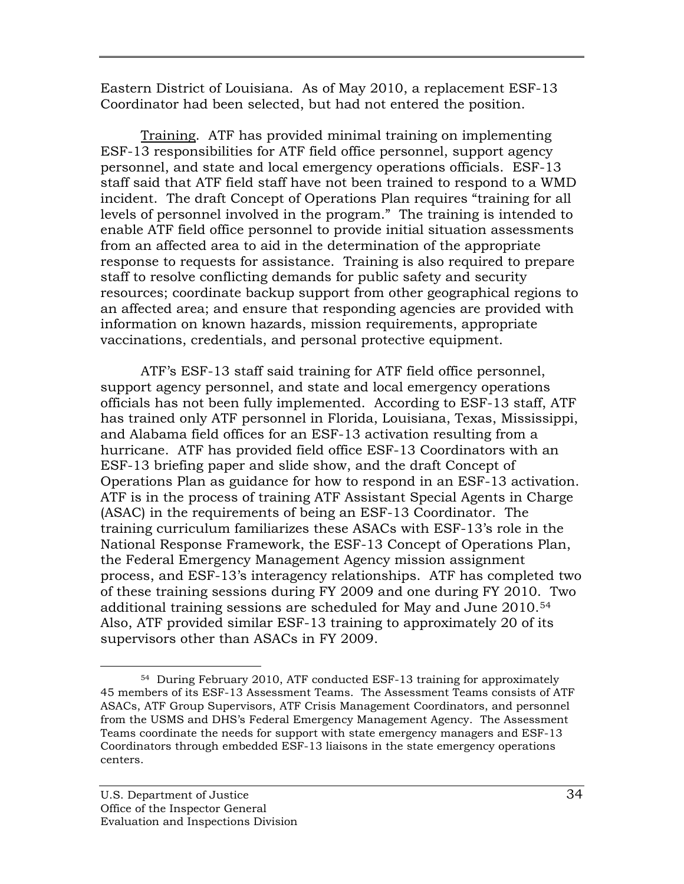Eastern District of Louisiana. As of May 2010, a replacement ESF-13 Coordinator had been selected, but had not entered the position.

Training. ATF has provided minimal training on implementing ESF-13 responsibilities for ATF field office personnel, support agency personnel, and state and local emergency operations officials. ESF-13 staff said that ATF field staff have not been trained to respond to a WMD incident. The draft Concept of Operations Plan requires "training for all levels of personnel involved in the program." The training is intended to enable ATF field office personnel to provide initial situation assessments from an affected area to aid in the determination of the appropriate response to requests for assistance. Training is also required to prepare staff to resolve conflicting demands for public safety and security resources; coordinate backup support from other geographical regions to an affected area; and ensure that responding agencies are provided with information on known hazards, mission requirements, appropriate vaccinations, credentials, and personal protective equipment.

ATF's ESF-13 staff said training for ATF field office personnel, support agency personnel, and state and local emergency operations officials has not been fully implemented. According to ESF-13 staff, ATF has trained only ATF personnel in Florida, Louisiana, Texas, Mississippi, and Alabama field offices for an ESF-13 activation resulting from a hurricane. ATF has provided field office ESF-13 Coordinators with an ESF-13 briefing paper and slide show, and the draft Concept of Operations Plan as guidance for how to respond in an ESF-13 activation. ATF is in the process of training ATF Assistant Special Agents in Charge (ASAC) in the requirements of being an ESF-13 Coordinator. The training curriculum familiarizes these ASACs with ESF-13's role in the National Response Framework, the ESF-13 Concept of Operations Plan, the Federal Emergency Management Agency mission assignment process, and ESF-13's interagency relationships. ATF has completed two of these training sessions during FY 2009 and one during FY 2010. Two additional training sessions are scheduled for May and June 2010.[54](#page-45-0) Also, ATF provided similar ESF-13 training to approximately 20 of its supervisors other than ASACs in FY 2009.

<span id="page-45-0"></span> <sup>54</sup> During February 2010, ATF conducted ESF-13 training for approximately 45 members of its ESF-13 Assessment Teams. The Assessment Teams consists of ATF ASACs, ATF Group Supervisors, ATF Crisis Management Coordinators, and personnel from the USMS and DHS's Federal Emergency Management Agency. The Assessment Teams coordinate the needs for support with state emergency managers and ESF-13 Coordinators through embedded ESF-13 liaisons in the state emergency operations centers.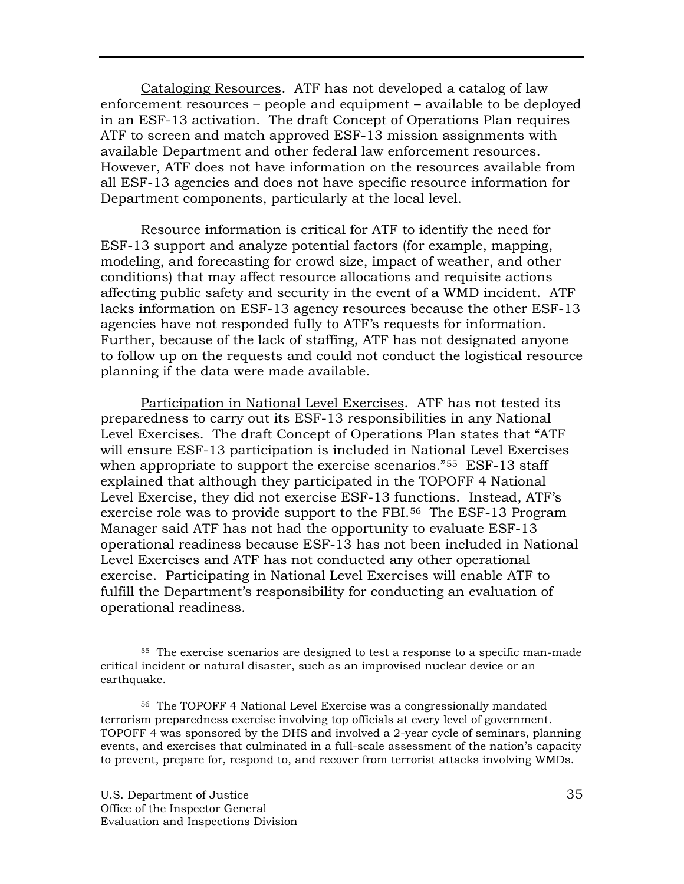Cataloging Resources. ATF has not developed a catalog of law enforcement resources – people and equipment **–** available to be deployed in an ESF-13 activation. The draft Concept of Operations Plan requires ATF to screen and match approved ESF-13 mission assignments with available Department and other federal law enforcement resources. However, ATF does not have information on the resources available from all ESF-13 agencies and does not have specific resource information for Department components, particularly at the local level.

Resource information is critical for ATF to identify the need for ESF-13 support and analyze potential factors (for example, mapping, modeling, and forecasting for crowd size, impact of weather, and other conditions) that may affect resource allocations and requisite actions affecting public safety and security in the event of a WMD incident. ATF lacks information on ESF-13 agency resources because the other ESF-13 agencies have not responded fully to ATF's requests for information. Further, because of the lack of staffing, ATF has not designated anyone to follow up on the requests and could not conduct the logistical resource planning if the data were made available.

Participation in National Level Exercises. ATF has not tested its preparedness to carry out its ESF-13 responsibilities in any National Level Exercises. The draft Concept of Operations Plan states that "ATF will ensure ESF-13 participation is included in National Level Exercises when appropriate to support the exercise scenarios."<sup>55</sup> ESF-13 staff explained that although they participated in the TOPOFF 4 National Level Exercise, they did not exercise ESF-13 functions. Instead, ATF's exercise role was to provide support to the FBI.[56](#page-46-1) The ESF-13 Program Manager said ATF has not had the opportunity to evaluate ESF-13 operational readiness because ESF-13 has not been included in National Level Exercises and ATF has not conducted any other operational exercise. Participating in National Level Exercises will enable ATF to fulfill the Department's responsibility for conducting an evaluation of operational readiness.

<span id="page-46-0"></span> <sup>55</sup> The exercise scenarios are designed to test a response to a specific man-made critical incident or natural disaster, such as an improvised nuclear device or an earthquake.

<span id="page-46-1"></span> <sup>56</sup> The TOPOFF 4 National Level Exercise was a congressionally mandated terrorism preparedness exercise involving top officials at every level of government. TOPOFF 4 was sponsored by the DHS and involved a 2-year cycle of seminars, planning events, and exercises that culminated in a full-scale assessment of the nation's capacity to prevent, prepare for, respond to, and recover from terrorist attacks involving WMDs.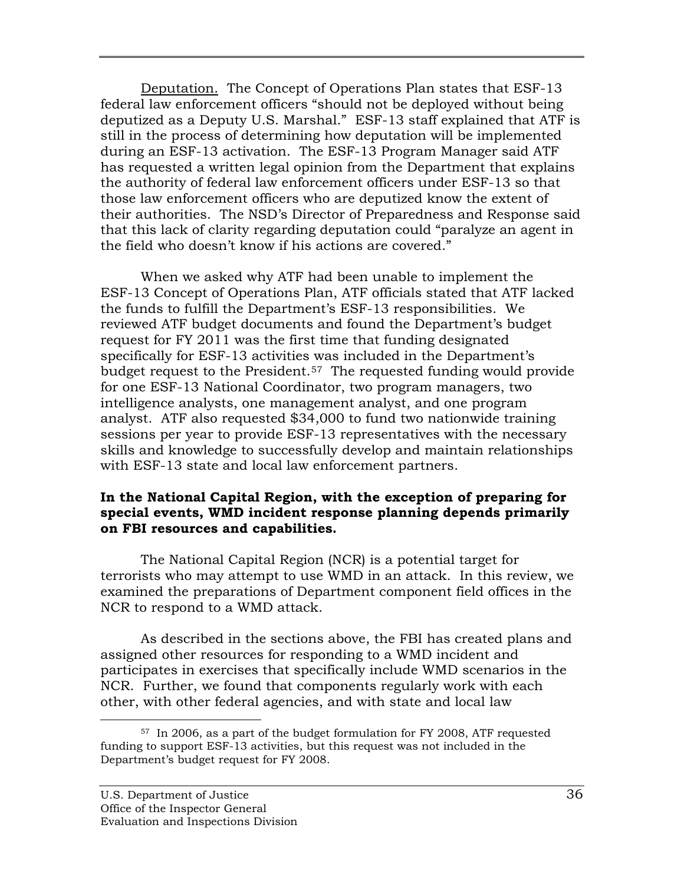Deputation. The Concept of Operations Plan states that ESF-13 federal law enforcement officers "should not be deployed without being deputized as a Deputy U.S. Marshal." ESF-13 staff explained that ATF is still in the process of determining how deputation will be implemented during an ESF-13 activation. The ESF-13 Program Manager said ATF has requested a written legal opinion from the Department that explains the authority of federal law enforcement officers under ESF-13 so that those law enforcement officers who are deputized know the extent of their authorities. The NSD's Director of Preparedness and Response said that this lack of clarity regarding deputation could "paralyze an agent in the field who doesn't know if his actions are covered."

When we asked why ATF had been unable to implement the ESF-13 Concept of Operations Plan, ATF officials stated that ATF lacked the funds to fulfill the Department's ESF-13 responsibilities. We reviewed ATF budget documents and found the Department's budget request for FY 2011 was the first time that funding designated specifically for ESF-13 activities was included in the Department's budget request to the President.<sup>[57](#page-47-0)</sup> The requested funding would provide for one ESF-13 National Coordinator, two program managers, two intelligence analysts, one management analyst, and one program analyst. ATF also requested \$34,000 to fund two nationwide training sessions per year to provide ESF-13 representatives with the necessary skills and knowledge to successfully develop and maintain relationships with ESF-13 state and local law enforcement partners.

## **In the National Capital Region, with the exception of preparing for special events, WMD incident response planning depends primarily on FBI resources and capabilities.**

The National Capital Region (NCR) is a potential target for terrorists who may attempt to use WMD in an attack. In this review, we examined the preparations of Department component field offices in the NCR to respond to a WMD attack.

As described in the sections above, the FBI has created plans and assigned other resources for responding to a WMD incident and participates in exercises that specifically include WMD scenarios in the NCR. Further, we found that components regularly work with each other, with other federal agencies, and with state and local law

<span id="page-47-0"></span> <sup>57</sup> In 2006, as a part of the budget formulation for FY 2008, ATF requested funding to support ESF-13 activities, but this request was not included in the Department's budget request for FY 2008.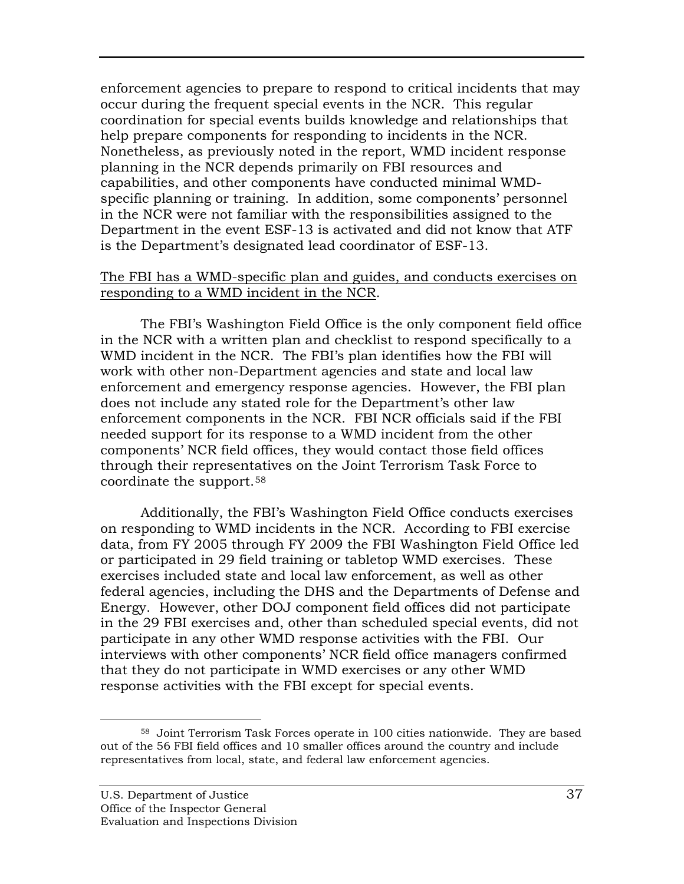enforcement agencies to prepare to respond to critical incidents that may occur during the frequent special events in the NCR. This regular coordination for special events builds knowledge and relationships that help prepare components for responding to incidents in the NCR. Nonetheless, as previously noted in the report, WMD incident response planning in the NCR depends primarily on FBI resources and capabilities, and other components have conducted minimal WMDspecific planning or training. In addition, some components' personnel in the NCR were not familiar with the responsibilities assigned to the Department in the event ESF-13 is activated and did not know that ATF is the Department's designated lead coordinator of ESF-13.

#### The FBI has a WMD-specific plan and guides, and conducts exercises on responding to a WMD incident in the NCR.

The FBI's Washington Field Office is the only component field office in the NCR with a written plan and checklist to respond specifically to a WMD incident in the NCR. The FBI's plan identifies how the FBI will work with other non-Department agencies and state and local law enforcement and emergency response agencies. However, the FBI plan does not include any stated role for the Department's other law enforcement components in the NCR. FBI NCR officials said if the FBI needed support for its response to a WMD incident from the other components' NCR field offices, they would contact those field offices through their representatives on the Joint Terrorism Task Force to coordinate the support.[58](#page-48-0)

Additionally, the FBI's Washington Field Office conducts exercises on responding to WMD incidents in the NCR. According to FBI exercise data, from FY 2005 through FY 2009 the FBI Washington Field Office led or participated in 29 field training or tabletop WMD exercises. These exercises included state and local law enforcement, as well as other federal agencies, including the DHS and the Departments of Defense and Energy. However, other DOJ component field offices did not participate in the 29 FBI exercises and, other than scheduled special events, did not participate in any other WMD response activities with the FBI. Our interviews with other components' NCR field office managers confirmed that they do not participate in WMD exercises or any other WMD response activities with the FBI except for special events.

<span id="page-48-0"></span> <sup>58</sup> Joint Terrorism Task Forces operate in 100 cities nationwide. They are based out of the 56 FBI field offices and 10 smaller offices around the country and include representatives from local, state, and federal law enforcement agencies.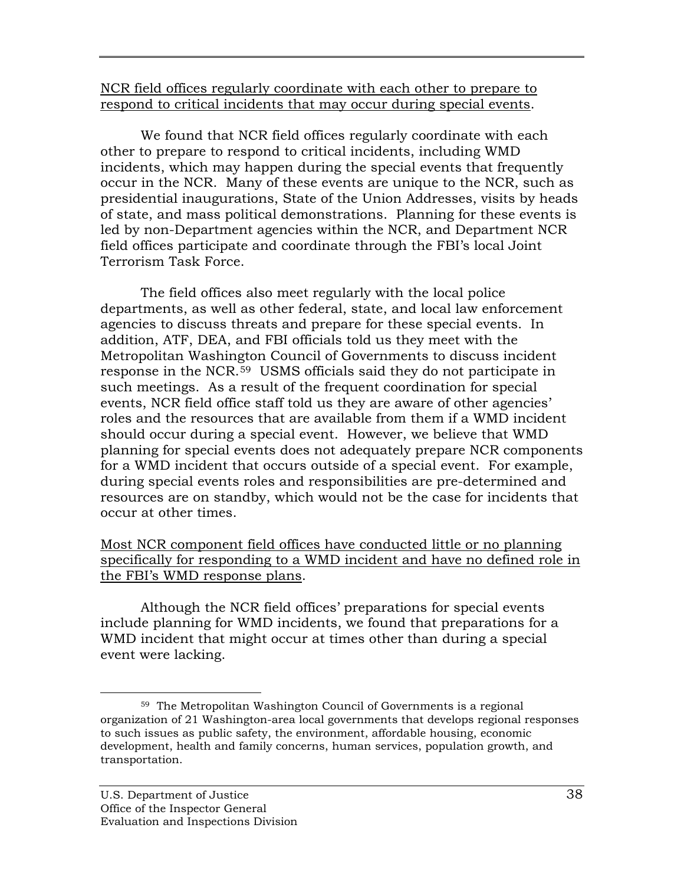## NCR field offices regularly coordinate with each other to prepare to respond to critical incidents that may occur during special events.

We found that NCR field offices regularly coordinate with each other to prepare to respond to critical incidents, including WMD incidents, which may happen during the special events that frequently occur in the NCR. Many of these events are unique to the NCR, such as presidential inaugurations, State of the Union Addresses, visits by heads of state, and mass political demonstrations. Planning for these events is led by non-Department agencies within the NCR, and Department NCR field offices participate and coordinate through the FBI's local Joint Terrorism Task Force.

The field offices also meet regularly with the local police departments, as well as other federal, state, and local law enforcement agencies to discuss threats and prepare for these special events. In addition, ATF, DEA, and FBI officials told us they meet with the Metropolitan Washington Council of Governments to discuss incident response in the NCR.[59](#page-49-0) USMS officials said they do not participate in such meetings. As a result of the frequent coordination for special events, NCR field office staff told us they are aware of other agencies' roles and the resources that are available from them if a WMD incident should occur during a special event. However, we believe that WMD planning for special events does not adequately prepare NCR components for a WMD incident that occurs outside of a special event. For example, during special events roles and responsibilities are pre-determined and resources are on standby, which would not be the case for incidents that occur at other times.

## Most NCR component field offices have conducted little or no planning specifically for responding to a WMD incident and have no defined role in the FBI's WMD response plans.

Although the NCR field offices' preparations for special events include planning for WMD incidents, we found that preparations for a WMD incident that might occur at times other than during a special event were lacking.

<span id="page-49-0"></span> <sup>59</sup> The Metropolitan Washington Council of Governments is a regional organization of 21 Washington-area local governments that develops regional responses to such issues as public safety, the environment, affordable housing, economic development, health and family concerns, human services, population growth, and transportation.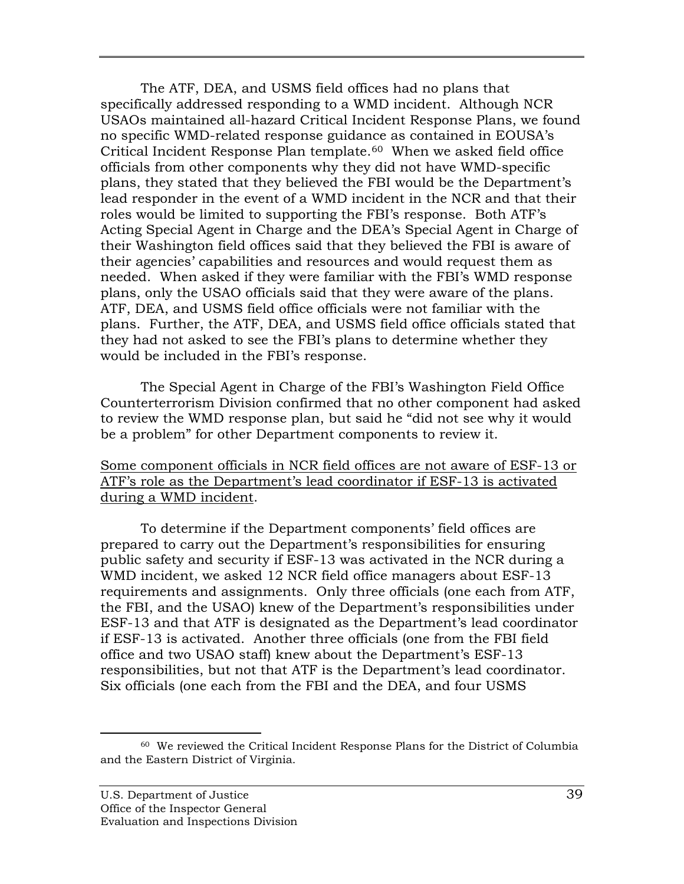The ATF, DEA, and USMS field offices had no plans that specifically addressed responding to a WMD incident. Although NCR USAOs maintained all-hazard Critical Incident Response Plans, we found no specific WMD-related response guidance as contained in EOUSA's Critical Incident Response Plan template.[60](#page-50-0) When we asked field office officials from other components why they did not have WMD-specific plans, they stated that they believed the FBI would be the Department's lead responder in the event of a WMD incident in the NCR and that their roles would be limited to supporting the FBI's response. Both ATF's Acting Special Agent in Charge and the DEA's Special Agent in Charge of their Washington field offices said that they believed the FBI is aware of their agencies' capabilities and resources and would request them as needed. When asked if they were familiar with the FBI's WMD response plans, only the USAO officials said that they were aware of the plans. ATF, DEA, and USMS field office officials were not familiar with the plans. Further, the ATF, DEA, and USMS field office officials stated that they had not asked to see the FBI's plans to determine whether they would be included in the FBI's response.

The Special Agent in Charge of the FBI's Washington Field Office Counterterrorism Division confirmed that no other component had asked to review the WMD response plan, but said he "did not see why it would be a problem" for other Department components to review it.

#### Some component officials in NCR field offices are not aware of ESF-13 or ATF's role as the Department's lead coordinator if ESF-13 is activated during a WMD incident.

 To determine if the Department components' field offices are prepared to carry out the Department's responsibilities for ensuring public safety and security if ESF-13 was activated in the NCR during a WMD incident, we asked 12 NCR field office managers about ESF-13 requirements and assignments. Only three officials (one each from ATF, the FBI, and the USAO) knew of the Department's responsibilities under ESF-13 and that ATF is designated as the Department's lead coordinator if ESF-13 is activated. Another three officials (one from the FBI field office and two USAO staff) knew about the Department's ESF-13 responsibilities, but not that ATF is the Department's lead coordinator. Six officials (one each from the FBI and the DEA, and four USMS

<span id="page-50-0"></span> <sup>60</sup> We reviewed the Critical Incident Response Plans for the District of Columbia and the Eastern District of Virginia.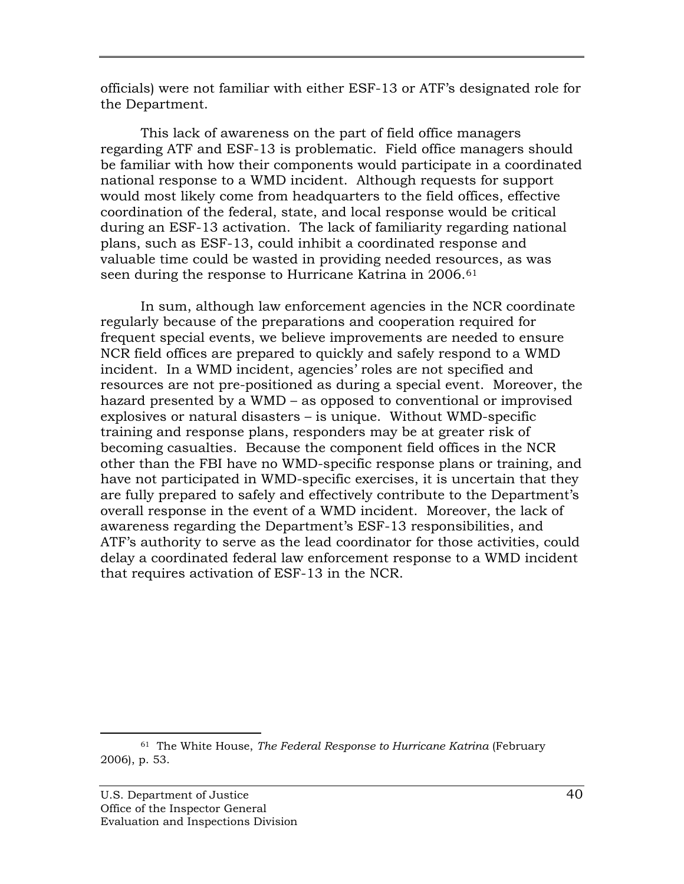officials) were not familiar with either ESF-13 or ATF's designated role for the Department.

This lack of awareness on the part of field office managers regarding ATF and ESF-13 is problematic. Field office managers should be familiar with how their components would participate in a coordinated national response to a WMD incident. Although requests for support would most likely come from headquarters to the field offices, effective coordination of the federal, state, and local response would be critical during an ESF-13 activation. The lack of familiarity regarding national plans, such as ESF-13, could inhibit a coordinated response and valuable time could be wasted in providing needed resources, as was seen during the response to Hurricane Katrina in 2006.<sup>[61](#page-51-0)</sup>

In sum, although law enforcement agencies in the NCR coordinate regularly because of the preparations and cooperation required for frequent special events, we believe improvements are needed to ensure NCR field offices are prepared to quickly and safely respond to a WMD incident. In a WMD incident, agencies' roles are not specified and resources are not pre-positioned as during a special event. Moreover, the hazard presented by a WMD – as opposed to conventional or improvised explosives or natural disasters – is unique. Without WMD-specific training and response plans, responders may be at greater risk of becoming casualties. Because the component field offices in the NCR other than the FBI have no WMD-specific response plans or training, and have not participated in WMD-specific exercises, it is uncertain that they are fully prepared to safely and effectively contribute to the Department's overall response in the event of a WMD incident. Moreover, the lack of awareness regarding the Department's ESF-13 responsibilities, and ATF's authority to serve as the lead coordinator for those activities, could delay a coordinated federal law enforcement response to a WMD incident that requires activation of ESF-13 in the NCR.

<span id="page-51-0"></span> <sup>61</sup> The White House, *The Federal Response to Hurricane Katrina* (February 2006), p. 53.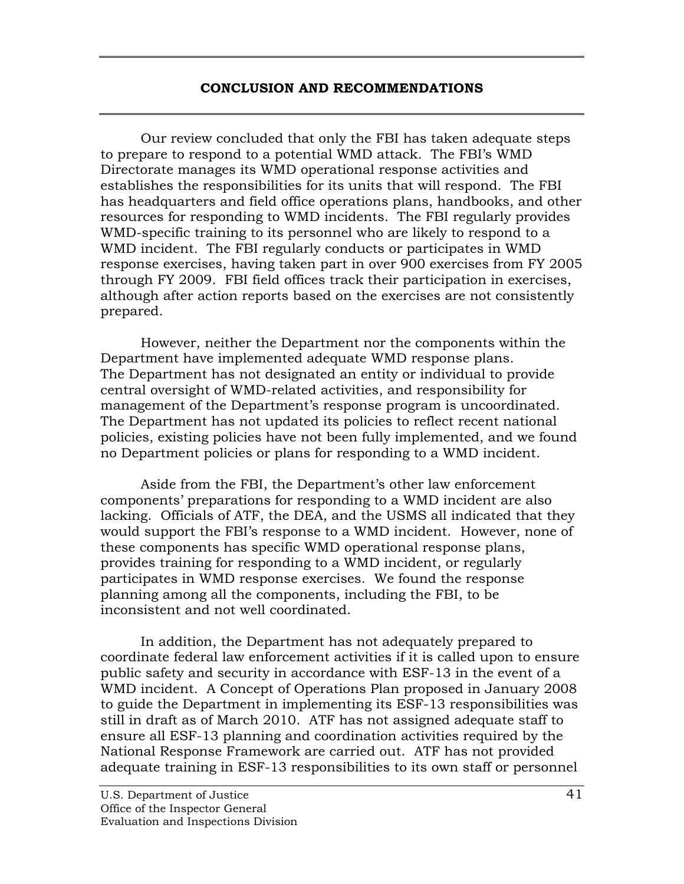#### **CONCLUSION AND RECOMMENDATIONS**

Our review concluded that only the FBI has taken adequate steps to prepare to respond to a potential WMD attack. The FBI's WMD Directorate manages its WMD operational response activities and establishes the responsibilities for its units that will respond. The FBI has headquarters and field office operations plans, handbooks, and other resources for responding to WMD incidents. The FBI regularly provides WMD-specific training to its personnel who are likely to respond to a WMD incident. The FBI regularly conducts or participates in WMD response exercises, having taken part in over 900 exercises from FY 2005 through FY 2009. FBI field offices track their participation in exercises, although after action reports based on the exercises are not consistently prepared.

However, neither the Department nor the components within the Department have implemented adequate WMD response plans. The Department has not designated an entity or individual to provide central oversight of WMD-related activities, and responsibility for management of the Department's response program is uncoordinated. The Department has not updated its policies to reflect recent national policies, existing policies have not been fully implemented, and we found no Department policies or plans for responding to a WMD incident.

Aside from the FBI, the Department's other law enforcement components' preparations for responding to a WMD incident are also lacking. Officials of ATF, the DEA, and the USMS all indicated that they would support the FBI's response to a WMD incident.However, none of these components has specific WMD operational response plans, provides training for responding to a WMD incident, or regularly participates in WMD response exercises. We found the response planning among all the components, including the FBI, to be inconsistent and not well coordinated.

In addition, the Department has not adequately prepared to coordinate federal law enforcement activities if it is called upon to ensure public safety and security in accordance with ESF-13 in the event of a WMD incident. A Concept of Operations Plan proposed in January 2008 to guide the Department in implementing its ESF-13 responsibilities was still in draft as of March 2010. ATF has not assigned adequate staff to ensure all ESF-13 planning and coordination activities required by the National Response Framework are carried out. ATF has not provided adequate training in ESF-13 responsibilities to its own staff or personnel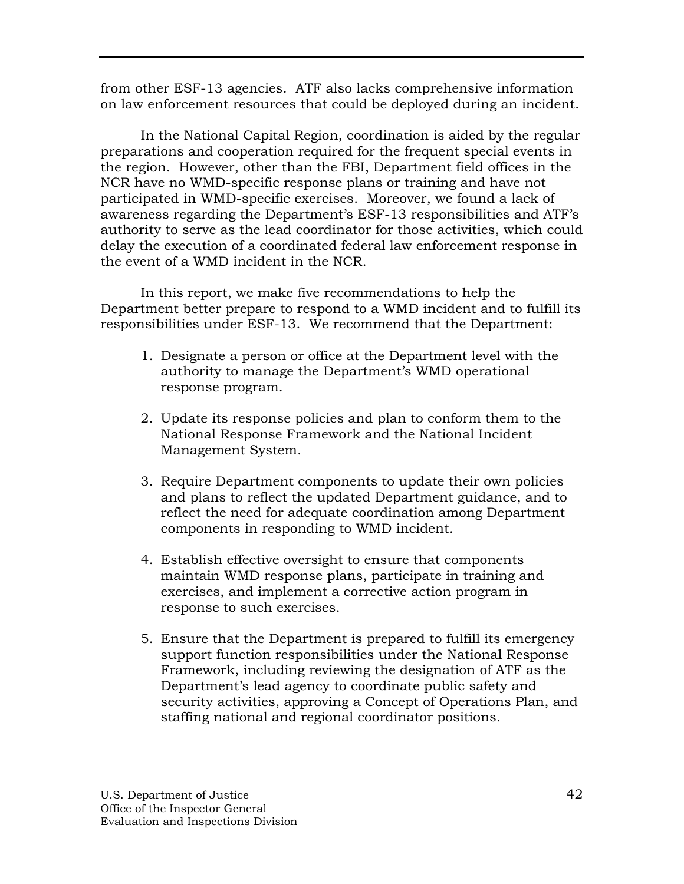from other ESF-13 agencies. ATF also lacks comprehensive information on law enforcement resources that could be deployed during an incident.

In the National Capital Region, coordination is aided by the regular preparations and cooperation required for the frequent special events in the region. However, other than the FBI, Department field offices in the NCR have no WMD-specific response plans or training and have not participated in WMD-specific exercises. Moreover, we found a lack of awareness regarding the Department's ESF-13 responsibilities and ATF's authority to serve as the lead coordinator for those activities, which could delay the execution of a coordinated federal law enforcement response in the event of a WMD incident in the NCR.

In this report, we make five recommendations to help the Department better prepare to respond to a WMD incident and to fulfill its responsibilities under ESF-13. We recommend that the Department:

- 1. Designate a person or office at the Department level with the authority to manage the Department's WMD operational response program.
- 2. Update its response policies and plan to conform them to the National Response Framework and the National Incident Management System.
- 3. Require Department components to update their own policies and plans to reflect the updated Department guidance, and to reflect the need for adequate coordination among Department components in responding to WMD incident.
- 4. Establish effective oversight to ensure that components maintain WMD response plans, participate in training and exercises, and implement a corrective action program in response to such exercises.
- 5. Ensure that the Department is prepared to fulfill its emergency support function responsibilities under the National Response Framework, including reviewing the designation of ATF as the Department's lead agency to coordinate public safety and security activities, approving a Concept of Operations Plan, and staffing national and regional coordinator positions.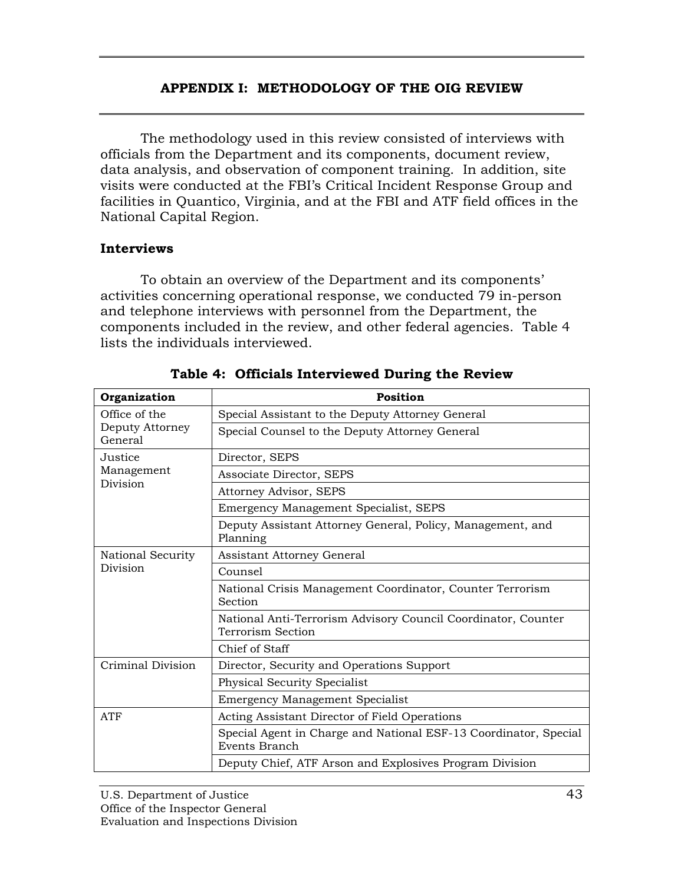## **APPENDIX I: METHODOLOGY OF THE OIG REVIEW**

The methodology used in this review consisted of interviews with officials from the Department and its components, document review, data analysis, and observation of component training. In addition, site visits were conducted at the FBI's Critical Incident Response Group and facilities in Quantico, Virginia, and at the FBI and ATF field offices in the National Capital Region.

## **Interviews**

 To obtain an overview of the Department and its components' activities concerning operational response, we conducted 79 in-person and telephone interviews with personnel from the Department, the components included in the review, and other federal agencies. Table 4 lists the individuals interviewed.

| Organization                                | <b>Position</b>                                                                    |
|---------------------------------------------|------------------------------------------------------------------------------------|
| Office of the<br>Deputy Attorney<br>General | Special Assistant to the Deputy Attorney General                                   |
|                                             | Special Counsel to the Deputy Attorney General                                     |
| Justice<br>Management<br>Division           | Director, SEPS                                                                     |
|                                             | Associate Director, SEPS                                                           |
|                                             | Attorney Advisor, SEPS                                                             |
|                                             | Emergency Management Specialist, SEPS                                              |
|                                             | Deputy Assistant Attorney General, Policy, Management, and<br>Planning             |
| National Security                           | <b>Assistant Attorney General</b>                                                  |
| Division                                    | Counsel                                                                            |
|                                             | National Crisis Management Coordinator, Counter Terrorism<br>Section               |
|                                             | National Anti-Terrorism Advisory Council Coordinator, Counter<br>Terrorism Section |
|                                             | Chief of Staff                                                                     |
| Criminal Division                           | Director, Security and Operations Support                                          |
|                                             | Physical Security Specialist                                                       |
|                                             | <b>Emergency Management Specialist</b>                                             |
| <b>ATF</b>                                  | Acting Assistant Director of Field Operations                                      |
|                                             | Special Agent in Charge and National ESF-13 Coordinator, Special<br>Events Branch  |
|                                             | Deputy Chief, ATF Arson and Explosives Program Division                            |

**Table 4: Officials Interviewed During the Review**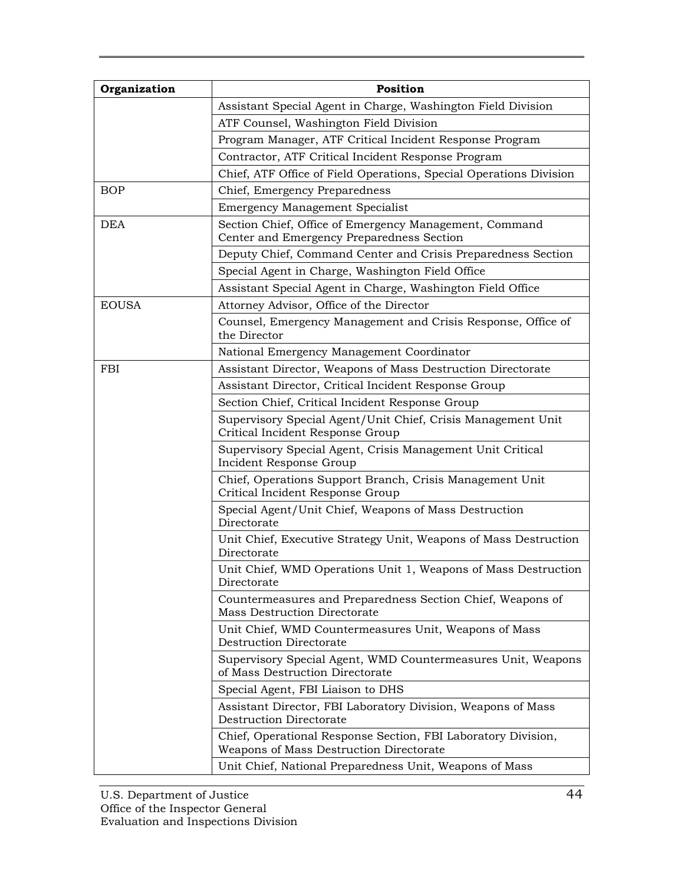| Organization | Position                                                                                                 |
|--------------|----------------------------------------------------------------------------------------------------------|
|              | Assistant Special Agent in Charge, Washington Field Division                                             |
|              | ATF Counsel, Washington Field Division                                                                   |
|              | Program Manager, ATF Critical Incident Response Program                                                  |
|              | Contractor, ATF Critical Incident Response Program                                                       |
|              | Chief, ATF Office of Field Operations, Special Operations Division                                       |
| <b>BOP</b>   | Chief, Emergency Preparedness                                                                            |
|              | <b>Emergency Management Specialist</b>                                                                   |
| <b>DEA</b>   | Section Chief, Office of Emergency Management, Command<br>Center and Emergency Preparedness Section      |
|              | Deputy Chief, Command Center and Crisis Preparedness Section                                             |
|              | Special Agent in Charge, Washington Field Office                                                         |
|              | Assistant Special Agent in Charge, Washington Field Office                                               |
| <b>EOUSA</b> | Attorney Advisor, Office of the Director                                                                 |
|              | Counsel, Emergency Management and Crisis Response, Office of<br>the Director                             |
|              | National Emergency Management Coordinator                                                                |
| <b>FBI</b>   | Assistant Director, Weapons of Mass Destruction Directorate                                              |
|              | Assistant Director, Critical Incident Response Group                                                     |
|              | Section Chief, Critical Incident Response Group                                                          |
|              | Supervisory Special Agent/Unit Chief, Crisis Management Unit<br>Critical Incident Response Group         |
|              | Supervisory Special Agent, Crisis Management Unit Critical<br>Incident Response Group                    |
|              | Chief, Operations Support Branch, Crisis Management Unit<br>Critical Incident Response Group             |
|              | Special Agent/Unit Chief, Weapons of Mass Destruction<br>Directorate                                     |
|              | Unit Chief, Executive Strategy Unit, Weapons of Mass Destruction<br>Directorate                          |
|              | Unit Chief, WMD Operations Unit 1, Weapons of Mass Destruction<br>Directorate                            |
|              | Countermeasures and Preparedness Section Chief, Weapons of<br><b>Mass Destruction Directorate</b>        |
|              | Unit Chief, WMD Countermeasures Unit, Weapons of Mass<br>Destruction Directorate                         |
|              | Supervisory Special Agent, WMD Countermeasures Unit, Weapons<br>of Mass Destruction Directorate          |
|              | Special Agent, FBI Liaison to DHS                                                                        |
|              | Assistant Director, FBI Laboratory Division, Weapons of Mass<br>Destruction Directorate                  |
|              | Chief, Operational Response Section, FBI Laboratory Division,<br>Weapons of Mass Destruction Directorate |
|              | Unit Chief, National Preparedness Unit, Weapons of Mass                                                  |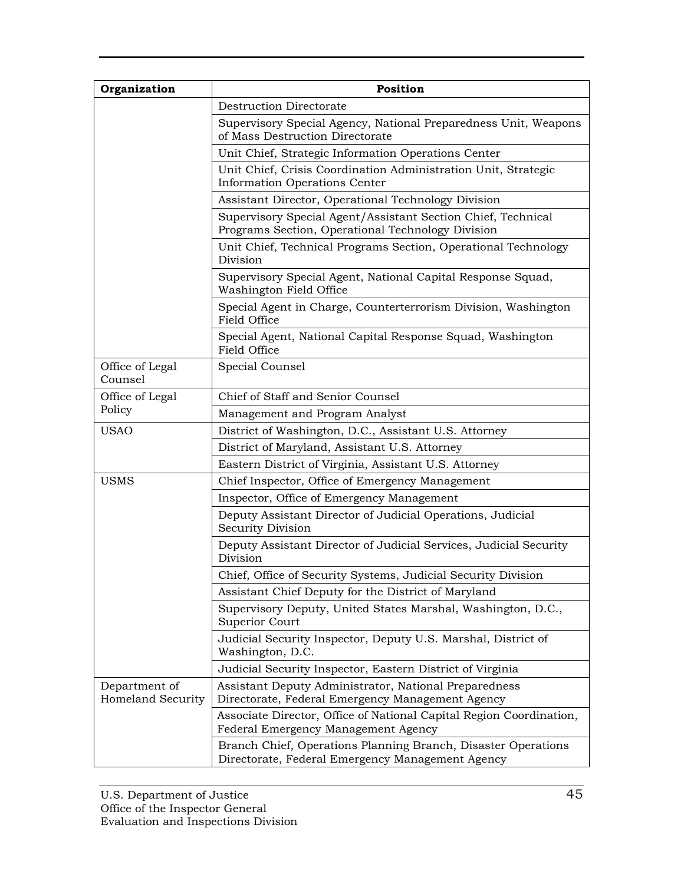| Organization                       | Position                                                                                                          |
|------------------------------------|-------------------------------------------------------------------------------------------------------------------|
|                                    | <b>Destruction Directorate</b>                                                                                    |
|                                    | Supervisory Special Agency, National Preparedness Unit, Weapons<br>of Mass Destruction Directorate                |
|                                    | Unit Chief, Strategic Information Operations Center                                                               |
|                                    | Unit Chief, Crisis Coordination Administration Unit, Strategic<br>Information Operations Center                   |
|                                    | Assistant Director, Operational Technology Division                                                               |
|                                    | Supervisory Special Agent/Assistant Section Chief, Technical<br>Programs Section, Operational Technology Division |
|                                    | Unit Chief, Technical Programs Section, Operational Technology<br>Division                                        |
|                                    | Supervisory Special Agent, National Capital Response Squad,<br>Washington Field Office                            |
|                                    | Special Agent in Charge, Counterterrorism Division, Washington<br>Field Office                                    |
|                                    | Special Agent, National Capital Response Squad, Washington<br>Field Office                                        |
| Office of Legal<br>Counsel         | Special Counsel                                                                                                   |
| Office of Legal                    | Chief of Staff and Senior Counsel                                                                                 |
| Policy                             | Management and Program Analyst                                                                                    |
| <b>USAO</b>                        | District of Washington, D.C., Assistant U.S. Attorney                                                             |
|                                    | District of Maryland, Assistant U.S. Attorney                                                                     |
|                                    | Eastern District of Virginia, Assistant U.S. Attorney                                                             |
| <b>USMS</b>                        | Chief Inspector, Office of Emergency Management                                                                   |
|                                    | Inspector, Office of Emergency Management                                                                         |
|                                    | Deputy Assistant Director of Judicial Operations, Judicial<br><b>Security Division</b>                            |
|                                    | Deputy Assistant Director of Judicial Services, Judicial Security<br>Division                                     |
|                                    | Chief, Office of Security Systems, Judicial Security Division                                                     |
|                                    | Assistant Chief Deputy for the District of Maryland                                                               |
|                                    | Supervisory Deputy, United States Marshal, Washington, D.C.,<br>Superior Court                                    |
|                                    | Judicial Security Inspector, Deputy U.S. Marshal, District of<br>Washington, D.C.                                 |
|                                    | Judicial Security Inspector, Eastern District of Virginia                                                         |
| Department of<br>Homeland Security | Assistant Deputy Administrator, National Preparedness<br>Directorate, Federal Emergency Management Agency         |
|                                    | Associate Director, Office of National Capital Region Coordination,<br>Federal Emergency Management Agency        |
|                                    | Branch Chief, Operations Planning Branch, Disaster Operations<br>Directorate, Federal Emergency Management Agency |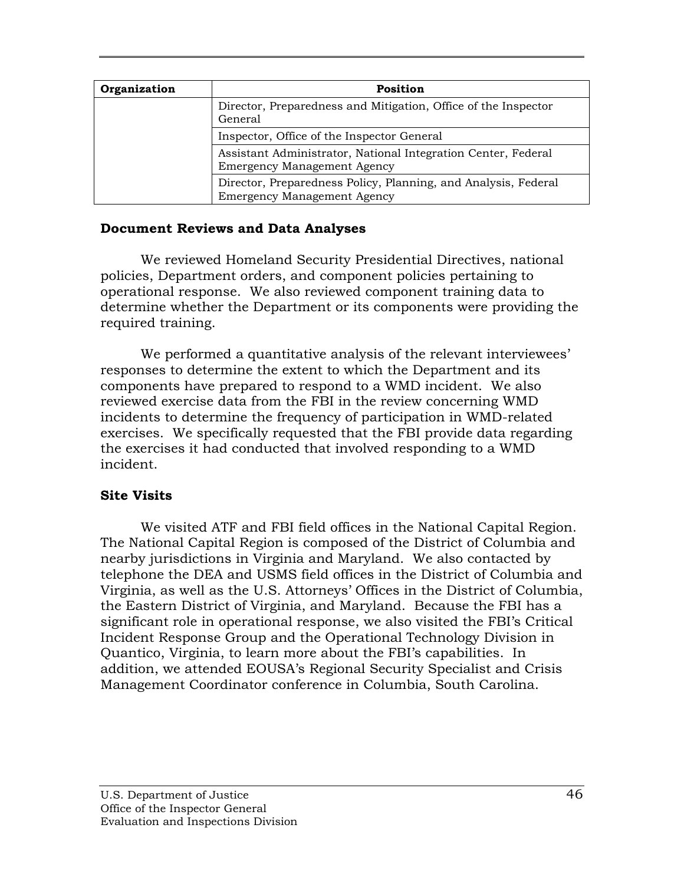| Organization | Position                                                                                             |
|--------------|------------------------------------------------------------------------------------------------------|
|              | Director, Preparedness and Mitigation, Office of the Inspector<br>General                            |
|              | Inspector, Office of the Inspector General                                                           |
|              | Assistant Administrator, National Integration Center, Federal<br><b>Emergency Management Agency</b>  |
|              | Director, Preparedness Policy, Planning, and Analysis, Federal<br><b>Emergency Management Agency</b> |

## **Document Reviews and Data Analyses**

We reviewed Homeland Security Presidential Directives, national policies, Department orders, and component policies pertaining to operational response. We also reviewed component training data to determine whether the Department or its components were providing the required training.

We performed a quantitative analysis of the relevant interviewees' responses to determine the extent to which the Department and its components have prepared to respond to a WMD incident. We also reviewed exercise data from the FBI in the review concerning WMD incidents to determine the frequency of participation in WMD-related exercises. We specifically requested that the FBI provide data regarding the exercises it had conducted that involved responding to a WMD incident.

## **Site Visits**

 We visited ATF and FBI field offices in the National Capital Region. The National Capital Region is composed of the District of Columbia and nearby jurisdictions in Virginia and Maryland. We also contacted by telephone the DEA and USMS field offices in the District of Columbia and Virginia, as well as the U.S. Attorneys' Offices in the District of Columbia, the Eastern District of Virginia, and Maryland. Because the FBI has a significant role in operational response, we also visited the FBI's Critical Incident Response Group and the Operational Technology Division in Quantico, Virginia, to learn more about the FBI's capabilities. In addition, we attended EOUSA's Regional Security Specialist and Crisis Management Coordinator conference in Columbia, South Carolina.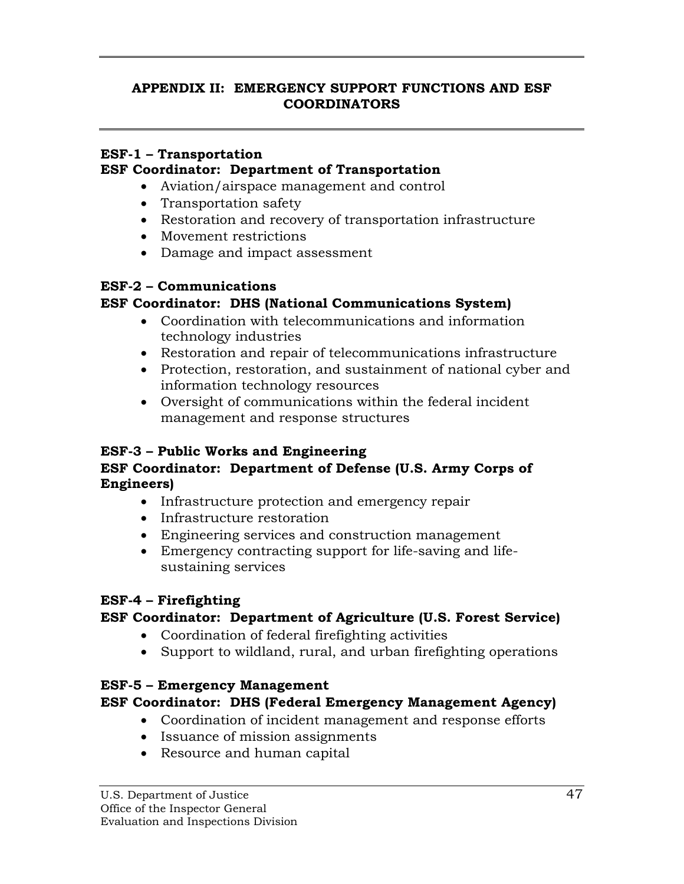## **APPENDIX II: EMERGENCY SUPPORT FUNCTIONS AND ESF COORDINATORS**

## **ESF-1 – Transportation**

## **ESF Coordinator: Department of Transportation**

- Aviation/airspace management and control
- Transportation safety
- Restoration and recovery of transportation infrastructure
- Movement restrictions
- Damage and impact assessment

## **ESF-2 – Communications**

# **ESF Coordinator: DHS (National Communications System)**

- Coordination with telecommunications and information technology industries
- Restoration and repair of telecommunications infrastructure
- Protection, restoration, and sustainment of national cyber and information technology resources
- Oversight of communications within the federal incident management and response structures

# **ESF-3 – Public Works and Engineering**

# **ESF Coordinator: Department of Defense (U.S. Army Corps of Engineers)**

- Infrastructure protection and emergency repair
- Infrastructure restoration
- Engineering services and construction management
- Emergency contracting support for life-saving and lifesustaining services

# **ESF-4 – Firefighting**

# **ESF Coordinator: Department of Agriculture (U.S. Forest Service)**

- Coordination of federal firefighting activities
- Support to wildland, rural, and urban firefighting operations

# **ESF-5 – Emergency Management**

# **ESF Coordinator: DHS (Federal Emergency Management Agency)**

- Coordination of incident management and response efforts
- Issuance of mission assignments
- Resource and human capital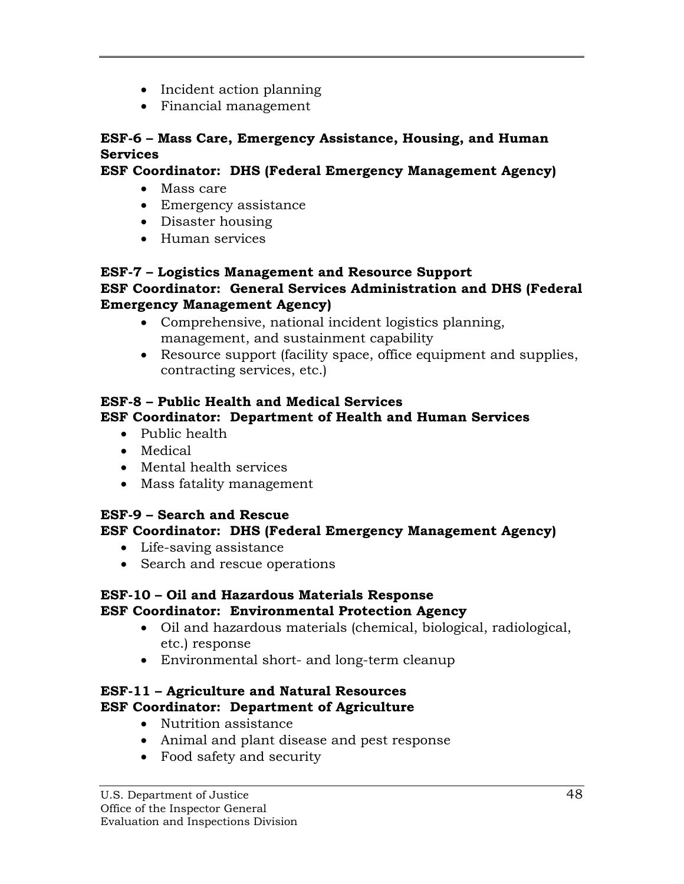- Incident action planning
- Financial management

# **ESF-6 – Mass Care, Emergency Assistance, Housing, and Human Services**

# **ESF Coordinator: DHS (Federal Emergency Management Agency)**

- Mass care
- Emergency assistance
- Disaster housing
- Human services

## **ESF-7 – Logistics Management and Resource Support ESF Coordinator: General Services Administration and DHS (Federal Emergency Management Agency)**

- Comprehensive, national incident logistics planning, management, and sustainment capability
- Resource support (facility space, office equipment and supplies, contracting services, etc.)

# **ESF-8 – Public Health and Medical Services ESF Coordinator: Department of Health and Human Services**

- Public health
- Medical
- Mental health services
- Mass fatality management

# **ESF-9 – Search and Rescue**

# **ESF Coordinator: DHS (Federal Emergency Management Agency)**

- Life-saving assistance
- Search and rescue operations

# **ESF-10 – Oil and Hazardous Materials Response**

# **ESF Coordinator: Environmental Protection Agency**

- Oil and hazardous materials (chemical, biological, radiological, etc.) response
- Environmental short- and long-term cleanup

# **ESF-11 – Agriculture and Natural Resources ESF Coordinator: Department of Agriculture**

- Nutrition assistance
- Animal and plant disease and pest response
- Food safety and security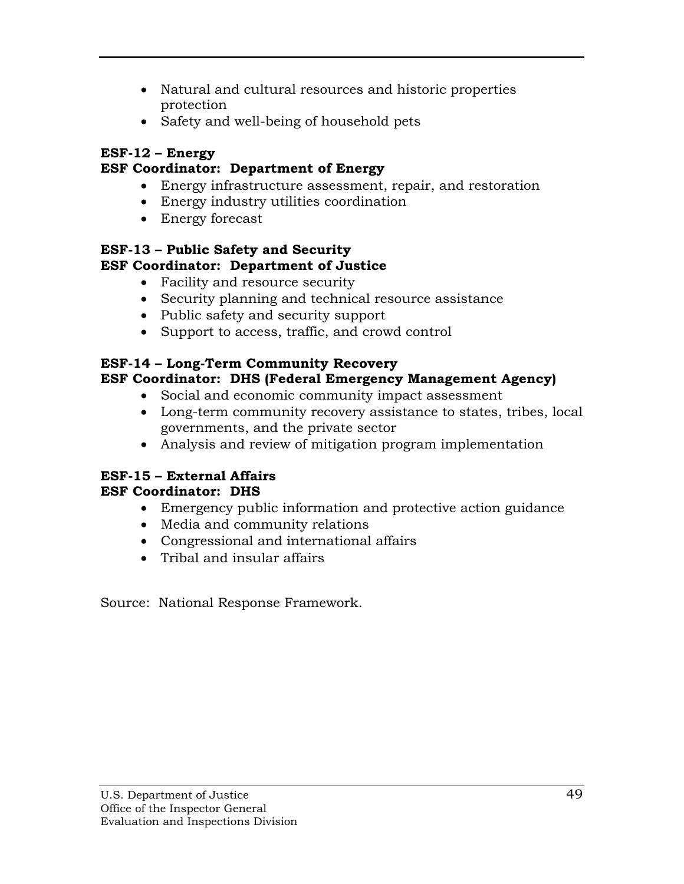- Natural and cultural resources and historic properties protection
- Safety and well-being of household pets

# **ESF-12 – Energy**

# **ESF Coordinator: Department of Energy**

- Energy infrastructure assessment, repair, and restoration
- Energy industry utilities coordination
- Energy forecast

## **ESF-13 – Public Safety and Security ESF Coordinator: Department of Justice**

- Facility and resource security
- Security planning and technical resource assistance
- Public safety and security support
- Support to access, traffic, and crowd control

# **ESF-14 – Long-Term Community Recovery ESF Coordinator: DHS (Federal Emergency Management Agency)**

- Social and economic community impact assessment
- Long-term community recovery assistance to states, tribes, local governments, and the private sector
- Analysis and review of mitigation program implementation

# **ESF-15 – External Affairs**

# **ESF Coordinator: DHS**

- Emergency public information and protective action guidance
- Media and community relations
- Congressional and international affairs
- Tribal and insular affairs

Source: National Response Framework.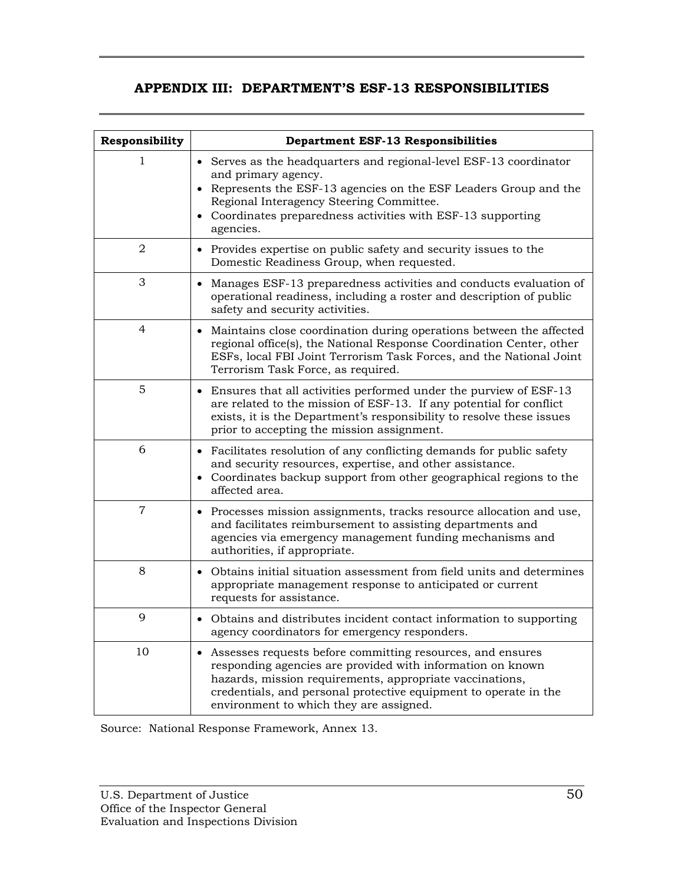# **APPENDIX III: DEPARTMENT'S ESF-13 RESPONSIBILITIES**

| Responsibility | <b>Department ESF-13 Responsibilities</b>                                                                                                                                                                                                                                                             |
|----------------|-------------------------------------------------------------------------------------------------------------------------------------------------------------------------------------------------------------------------------------------------------------------------------------------------------|
| 1              | Serves as the headquarters and regional-level ESF-13 coordinator<br>and primary agency.<br>• Represents the ESF-13 agencies on the ESF Leaders Group and the<br>Regional Interagency Steering Committee.<br>• Coordinates preparedness activities with ESF-13 supporting<br>agencies.                 |
| 2              | • Provides expertise on public safety and security issues to the<br>Domestic Readiness Group, when requested.                                                                                                                                                                                         |
| 3              | Manages ESF-13 preparedness activities and conducts evaluation of<br>operational readiness, including a roster and description of public<br>safety and security activities.                                                                                                                           |
| 4              | • Maintains close coordination during operations between the affected<br>regional office(s), the National Response Coordination Center, other<br>ESFs, local FBI Joint Terrorism Task Forces, and the National Joint<br>Terrorism Task Force, as required.                                            |
| 5              | • Ensures that all activities performed under the purview of ESF-13<br>are related to the mission of ESF-13. If any potential for conflict<br>exists, it is the Department's responsibility to resolve these issues<br>prior to accepting the mission assignment.                                     |
| 6              | • Facilitates resolution of any conflicting demands for public safety<br>and security resources, expertise, and other assistance.<br>• Coordinates backup support from other geographical regions to the<br>affected area.                                                                            |
| $\overline{7}$ | • Processes mission assignments, tracks resource allocation and use,<br>and facilitates reimbursement to assisting departments and<br>agencies via emergency management funding mechanisms and<br>authorities, if appropriate.                                                                        |
| 8              | • Obtains initial situation assessment from field units and determines<br>appropriate management response to anticipated or current<br>requests for assistance.                                                                                                                                       |
| 9              | • Obtains and distributes incident contact information to supporting<br>agency coordinators for emergency responders.                                                                                                                                                                                 |
| 10             | • Assesses requests before committing resources, and ensures<br>responding agencies are provided with information on known<br>hazards, mission requirements, appropriate vaccinations,<br>credentials, and personal protective equipment to operate in the<br>environment to which they are assigned. |

Source: National Response Framework, Annex 13.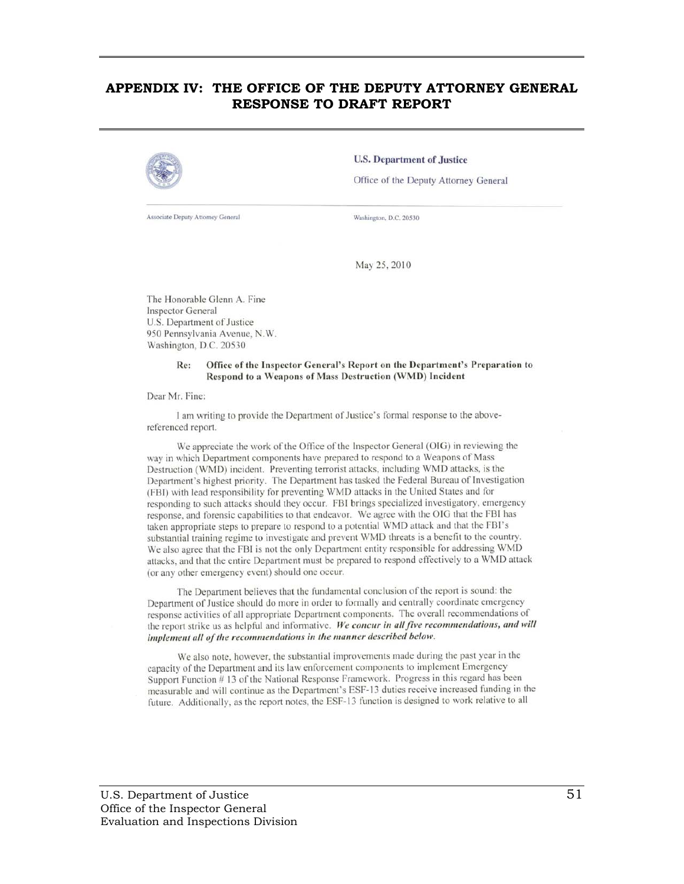#### **APPENDIX IV: THE OFFICE OF THE DEPUTY ATTORNEY GENERAL RESPONSE TO DRAFT REPORT**



Associate Deputy Attorney General

**U.S. Department of Justice** 

Office of the Deputy Attorney General

Washington, D.C. 20530

May 25, 2010

The Honorable Glenn A. Fine **Inspector General** U.S. Department of Justice 950 Pennsylvania Avenue, N.W. Washington, D.C. 20530

#### Office of the Inspector General's Report on the Department's Preparation to Re: Respond to a Weapons of Mass Destruction (WMD) Incident

Dear Mr. Fine:

I am writing to provide the Department of Justice's formal response to the abovereferenced report.

We appreciate the work of the Office of the Inspector General (OIG) in reviewing the way in which Department components have prepared to respond to a Weapons of Mass Destruction (WMD) incident. Preventing terrorist attacks, including WMD attacks, is the Department's highest priority. The Department has tasked the Federal Bureau of Investigation (FBI) with lead responsibility for preventing WMD attacks in the United States and for responding to such attacks should they occur. FBI brings specialized investigatory, emergency response, and forensic capabilities to that endeavor. We agree with the OIG that the FBI has taken appropriate steps to prepare to respond to a potential WMD attack and that the FBI's substantial training regime to investigate and prevent WMD threats is a benefit to the country. We also agree that the FBI is not the only Department entity responsible for addressing WMD attacks, and that the entire Department must be prepared to respond effectively to a WMD attack (or any other emergency event) should one occur.

The Department believes that the fundamental conclusion of the report is sound: the Department of Justice should do more in order to formally and centrally coordinate emergency response activities of all appropriate Department components. The overall recommendations of the report strike us as helpful and informative. We concur in all five recommendations, and will implement all of the recommendations in the manner described below.

We also note, however, the substantial improvements made during the past year in the capacity of the Department and its law enforcement components to implement Emergency Support Function #13 of the National Response Framework. Progress in this regard has been measurable and will continue as the Department's ESF-13 duties receive increased funding in the future. Additionally, as the report notes, the ESF-13 function is designed to work relative to all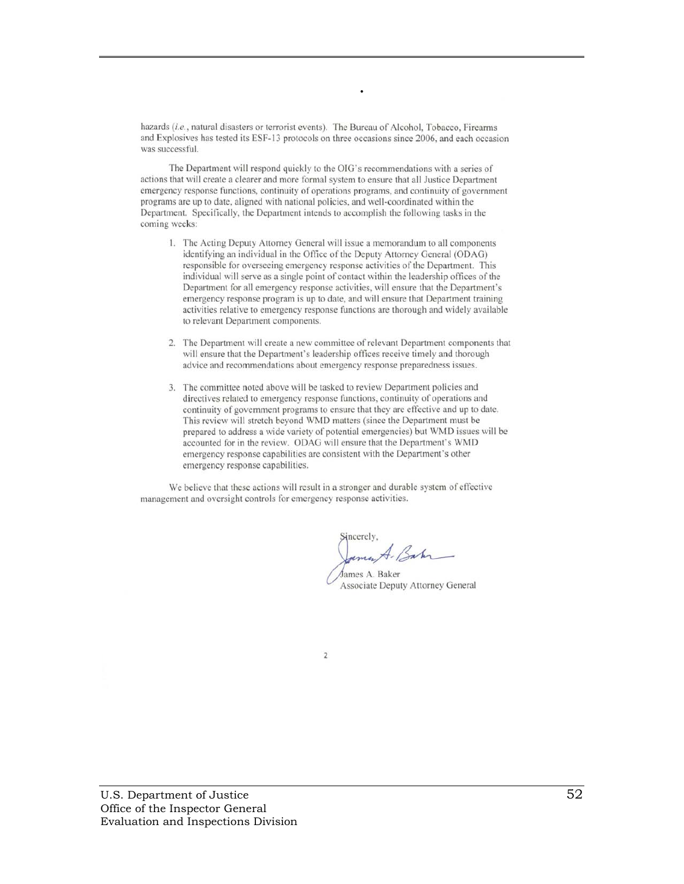hazards (i.e., natural disasters or terrorist events). The Bureau of Alcohol, Tobacco, Firearms and Explosives has tested its ESF-13 protocols on three occasions since 2006, and each occasion was successful.

**.** 

The Department will respond quickly to the OIG's recommendations with a series of actions that will create a clearer and more formal system to ensure that all Justice Department emergency response functions, continuity of operations programs, and continuity of government programs are up to date, aligned with national policies, and well-coordinated within the Department. Specifically, the Department intends to accomplish the following tasks in the coming weeks:

- 1. The Acting Deputy Attorney General will issue a memorandum to all components identifying an individual in the Office of the Deputy Attorney General (ODAG) responsible for overseeing emergency response activities of the Department. This individual will serve as a single point of contact within the leadership offices of the Department for all emergency response activities, will ensure that the Department's emergency response program is up to date, and will ensure that Department training activities relative to emergency response functions are thorough and widely available to relevant Department components.
- 2. The Department will create a new committee of relevant Department components that will ensure that the Department's leadership offices receive timely and thorough advice and recommendations about emergency response preparedness issues.
- 3. The committee noted above will be tasked to review Department policies and directives related to emergency response functions, continuity of operations and continuity of government programs to ensure that they are effective and up to date. This review will stretch beyond WMD matters (since the Department must be prepared to address a wide variety of potential emergencies) but WMD issues will be accounted for in the review. ODAG will ensure that the Department's WMD emergency response capabilities are consistent with the Department's other emergency response capabilities.

We believe that these actions will result in a stronger and durable system of effective management and oversight controls for emergency response activities.

umut-Bahn

James A. Baker Associate Deputy Attorney General

 $\overline{2}$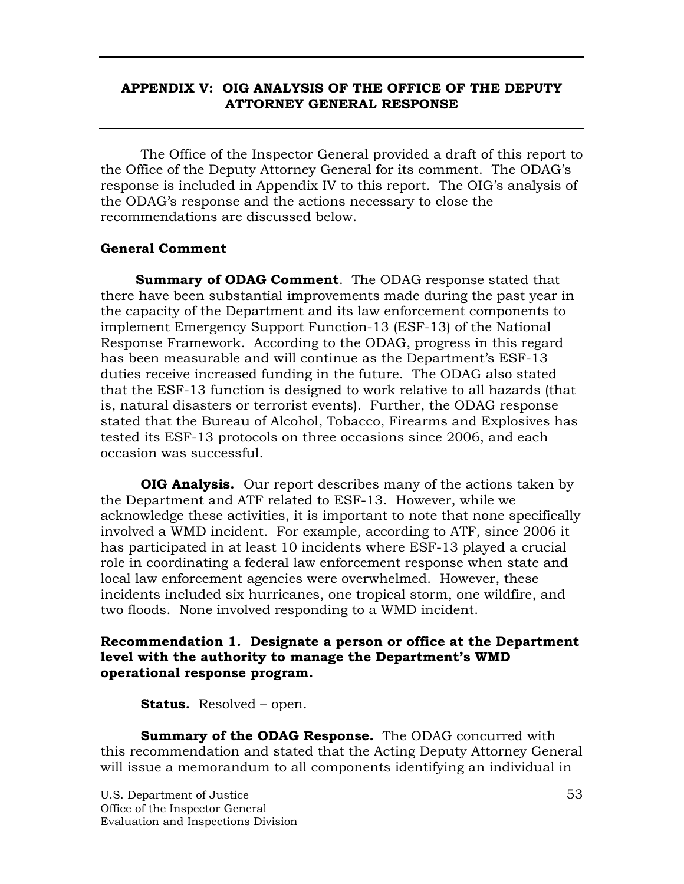## **APPENDIX V: OIG ANALYSIS OF THE OFFICE OF THE DEPUTY ATTORNEY GENERAL RESPONSE**

The Office of the Inspector General provided a draft of this report to the Office of the Deputy Attorney General for its comment. The ODAG's response is included in Appendix IV to this report. The OIG's analysis of the ODAG's response and the actions necessary to close the recommendations are discussed below.

# **General Comment**

**Summary of ODAG Comment**. The ODAG response stated that there have been substantial improvements made during the past year in the capacity of the Department and its law enforcement components to implement Emergency Support Function-13 (ESF-13) of the National Response Framework. According to the ODAG, progress in this regard has been measurable and will continue as the Department's ESF-13 duties receive increased funding in the future. The ODAG also stated that the ESF-13 function is designed to work relative to all hazards (that is, natural disasters or terrorist events). Further, the ODAG response stated that the Bureau of Alcohol, Tobacco, Firearms and Explosives has tested its ESF-13 protocols on three occasions since 2006, and each occasion was successful.

**OIG Analysis.** Our report describes many of the actions taken by the Department and ATF related to ESF-13. However, while we acknowledge these activities, it is important to note that none specifically involved a WMD incident. For example, according to ATF, since 2006 it has participated in at least 10 incidents where ESF-13 played a crucial role in coordinating a federal law enforcement response when state and local law enforcement agencies were overwhelmed. However, these incidents included six hurricanes, one tropical storm, one wildfire, and two floods. None involved responding to a WMD incident.

## **Recommendation 1. Designate a person or office at the Department level with the authority to manage the Department's WMD operational response program.**

**Status.** Resolved – open.

**Summary of the ODAG Response.** The ODAG concurred with this recommendation and stated that the Acting Deputy Attorney General will issue a memorandum to all components identifying an individual in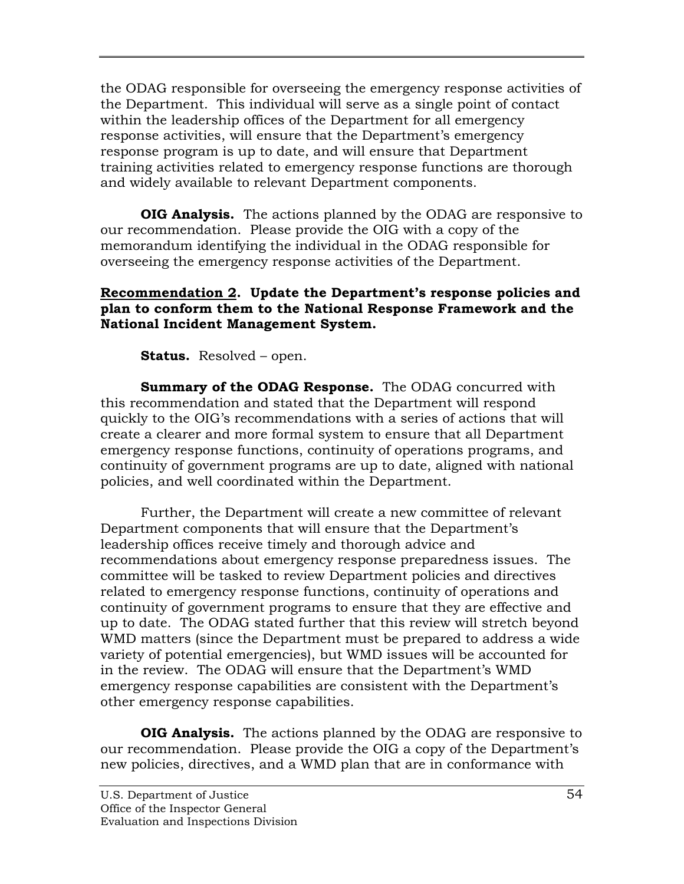the ODAG responsible for overseeing the emergency response activities of the Department. This individual will serve as a single point of contact within the leadership offices of the Department for all emergency response activities, will ensure that the Department's emergency response program is up to date, and will ensure that Department training activities related to emergency response functions are thorough and widely available to relevant Department components.

**OIG Analysis.** The actions planned by the ODAG are responsive to our recommendation. Please provide the OIG with a copy of the memorandum identifying the individual in the ODAG responsible for overseeing the emergency response activities of the Department.

## **Recommendation 2. Update the Department's response policies and plan to conform them to the National Response Framework and the National Incident Management System.**

**Status.** Resolved – open.

**Summary of the ODAG Response.** The ODAG concurred with this recommendation and stated that the Department will respond quickly to the OIG's recommendations with a series of actions that will create a clearer and more formal system to ensure that all Department emergency response functions, continuity of operations programs, and continuity of government programs are up to date, aligned with national policies, and well coordinated within the Department.

Further, the Department will create a new committee of relevant Department components that will ensure that the Department's leadership offices receive timely and thorough advice and recommendations about emergency response preparedness issues. The committee will be tasked to review Department policies and directives related to emergency response functions, continuity of operations and continuity of government programs to ensure that they are effective and up to date. The ODAG stated further that this review will stretch beyond WMD matters (since the Department must be prepared to address a wide variety of potential emergencies), but WMD issues will be accounted for in the review. The ODAG will ensure that the Department's WMD emergency response capabilities are consistent with the Department's other emergency response capabilities.

**OIG Analysis.** The actions planned by the ODAG are responsive to our recommendation. Please provide the OIG a copy of the Department's new policies, directives, and a WMD plan that are in conformance with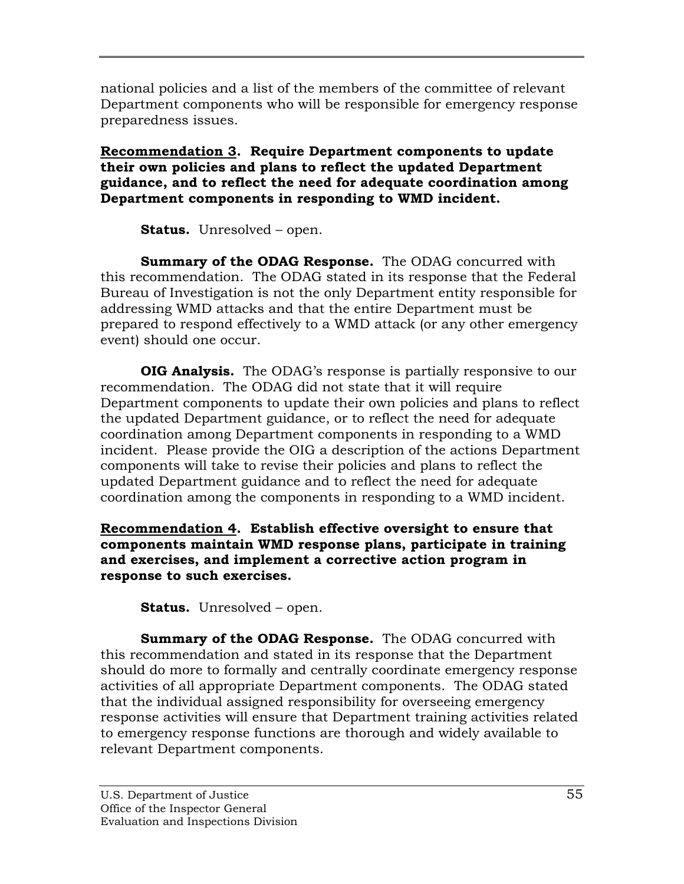national policies and a list of the members of the committee of relevant Department components who will be responsible for emergency response preparedness issues.

## **Recommendation 3. Require Department components to update their own policies and plans to reflect the updated Department guidance, and to reflect the need for adequate coordination among Department components in responding to WMD incident.**

**Status.** Unresolved – open.

**Summary of the ODAG Response.** The ODAG concurred with this recommendation. The ODAG stated in its response that the Federal Bureau of Investigation is not the only Department entity responsible for addressing WMD attacks and that the entire Department must be prepared to respond effectively to a WMD attack (or any other emergency event) should one occur.

**OIG Analysis.** The ODAG's response is partially responsive to our recommendation. The ODAG did not state that it will require Department components to update their own policies and plans to reflect the updated Department guidance, or to reflect the need for adequate coordination among Department components in responding to a WMD incident. Please provide the OIG a description of the actions Department components will take to revise their policies and plans to reflect the updated Department guidance and to reflect the need for adequate coordination among the components in responding to a WMD incident.

**Recommendation 4. Establish effective oversight to ensure that components maintain WMD response plans, participate in training and exercises, and implement a corrective action program in response to such exercises.** 

**Status.** Unresolved – open.

**Summary of the ODAG Response.** The ODAG concurred with this recommendation and stated in its response that the Department should do more to formally and centrally coordinate emergency response activities of all appropriate Department components. The ODAG stated that the individual assigned responsibility for overseeing emergency response activities will ensure that Department training activities related to emergency response functions are thorough and widely available to relevant Department components.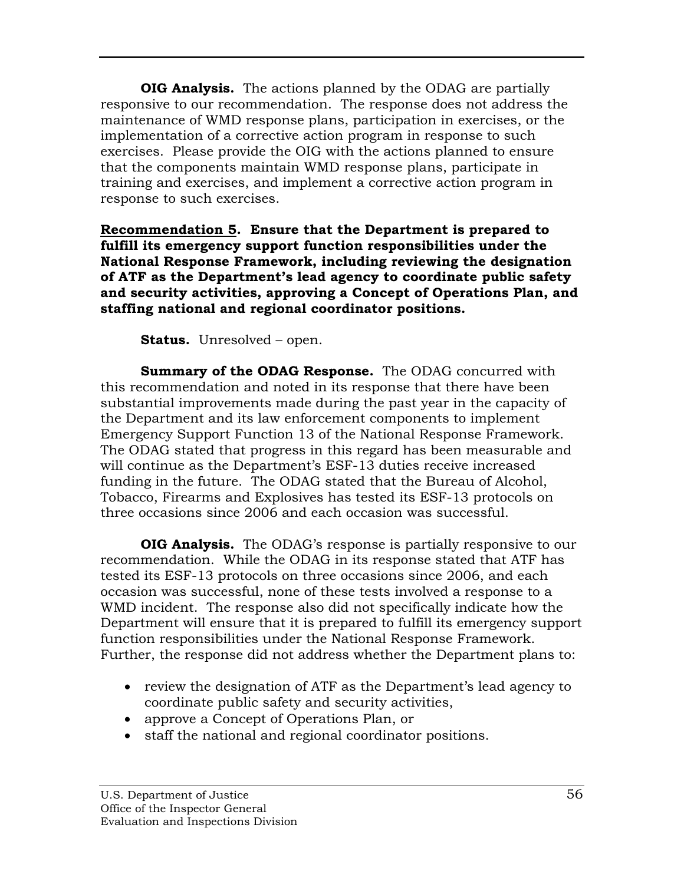**OIG Analysis.** The actions planned by the ODAG are partially responsive to our recommendation. The response does not address the maintenance of WMD response plans, participation in exercises, or the implementation of a corrective action program in response to such exercises. Please provide the OIG with the actions planned to ensure that the components maintain WMD response plans, participate in training and exercises, and implement a corrective action program in response to such exercises.

**Recommendation 5. Ensure that the Department is prepared to fulfill its emergency support function responsibilities under the National Response Framework, including reviewing the designation of ATF as the Department's lead agency to coordinate public safety and security activities, approving a Concept of Operations Plan, and staffing national and regional coordinator positions.** 

**Status.** Unresolved – open.

**Summary of the ODAG Response.** The ODAG concurred with this recommendation and noted in its response that there have been substantial improvements made during the past year in the capacity of the Department and its law enforcement components to implement Emergency Support Function 13 of the National Response Framework. The ODAG stated that progress in this regard has been measurable and will continue as the Department's ESF-13 duties receive increased funding in the future. The ODAG stated that the Bureau of Alcohol, Tobacco, Firearms and Explosives has tested its ESF-13 protocols on three occasions since 2006 and each occasion was successful.

**OIG Analysis.** The ODAG's response is partially responsive to our recommendation. While the ODAG in its response stated that ATF has tested its ESF-13 protocols on three occasions since 2006, and each occasion was successful, none of these tests involved a response to a WMD incident. The response also did not specifically indicate how the Department will ensure that it is prepared to fulfill its emergency support function responsibilities under the National Response Framework. Further, the response did not address whether the Department plans to:

- review the designation of ATF as the Department's lead agency to coordinate public safety and security activities,
- approve a Concept of Operations Plan, or
- staff the national and regional coordinator positions.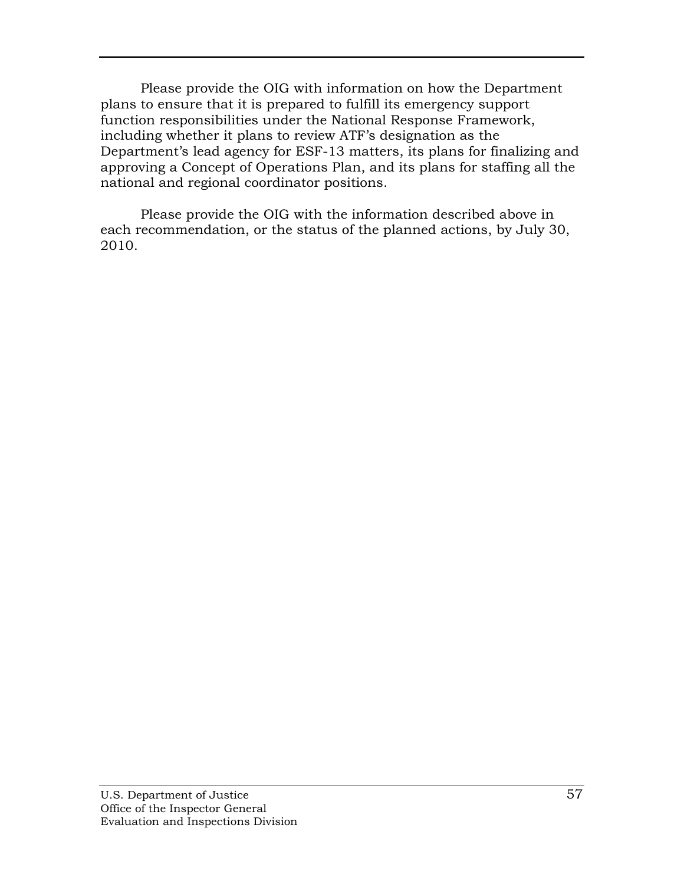Please provide the OIG with information on how the Department plans to ensure that it is prepared to fulfill its emergency support function responsibilities under the National Response Framework, including whether it plans to review ATF's designation as the Department's lead agency for ESF-13 matters, its plans for finalizing and approving a Concept of Operations Plan, and its plans for staffing all the national and regional coordinator positions.

Please provide the OIG with the information described above in each recommendation, or the status of the planned actions, by July 30, 2010.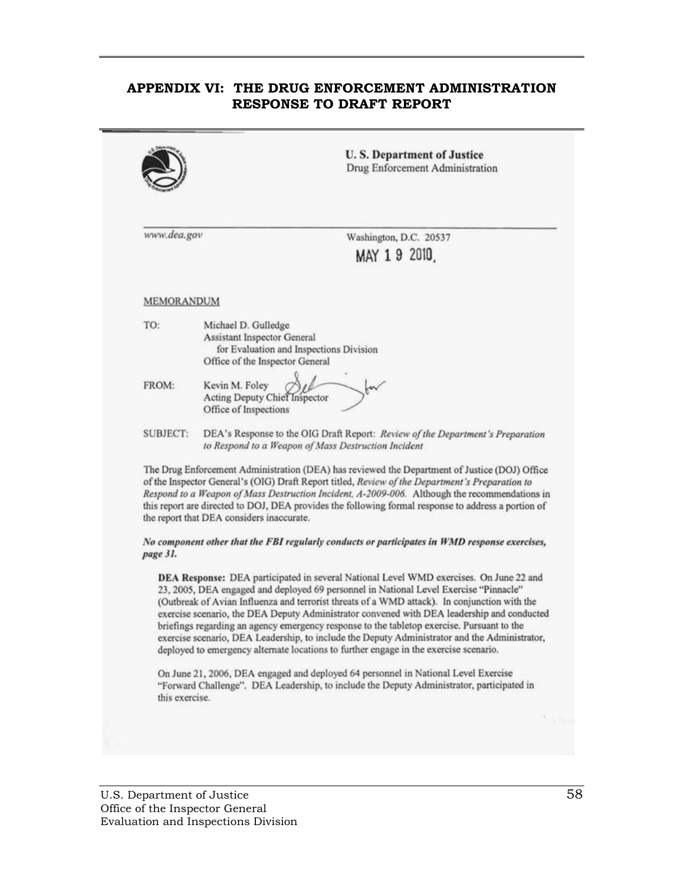## **APPENDIX VI: THE DRUG ENFORCEMENT ADMINISTRATION RESPONSE TO DRAFT REPORT**

|                   | <b>U.S. Department of Justice</b><br>Drug Enforcement Administration                                                                                                                                                                                                                                                                                                                                                                                                                                                                                                                                                                                                  |
|-------------------|-----------------------------------------------------------------------------------------------------------------------------------------------------------------------------------------------------------------------------------------------------------------------------------------------------------------------------------------------------------------------------------------------------------------------------------------------------------------------------------------------------------------------------------------------------------------------------------------------------------------------------------------------------------------------|
| www.dea.gov       | Washington, D.C. 20537<br>MAY 19 2010                                                                                                                                                                                                                                                                                                                                                                                                                                                                                                                                                                                                                                 |
| <b>MEMORANDUM</b> |                                                                                                                                                                                                                                                                                                                                                                                                                                                                                                                                                                                                                                                                       |
| TO:               | Michael D. Gulledge<br>Assistant Inspector General<br>for Evaluation and Inspections Division<br>Office of the Inspector General                                                                                                                                                                                                                                                                                                                                                                                                                                                                                                                                      |
| FROM:             | Kevin M. Foley<br>W<br>Acting Deputy Chief Inspector<br>Office of Inspections                                                                                                                                                                                                                                                                                                                                                                                                                                                                                                                                                                                         |
| SUBJECT:          | DEA's Response to the OIG Draft Report: Review of the Department's Preparation<br>to Respond to a Weapon of Mass Destruction Incident                                                                                                                                                                                                                                                                                                                                                                                                                                                                                                                                 |
|                   | The Drug Enforcement Administration (DEA) has reviewed the Department of Justice (DOJ) Office<br>of the Inspector General's (OIG) Draft Report titled, Review of the Department's Preparation to<br>Respond to a Weapon of Mass Destruction Incident, A-2009-006. Although the recommendations in<br>this report are directed to DOJ, DEA provides the following formal response to address a portion of<br>the report that DEA considers inaccurate.                                                                                                                                                                                                                 |
| page 31.          | No component other that the FBI regularly conducts or participates in WMD response exercises,                                                                                                                                                                                                                                                                                                                                                                                                                                                                                                                                                                         |
|                   | DEA Response: DEA participated in several National Level WMD exercises. On June 22 and<br>23, 2005, DEA engaged and deployed 69 personnel in National Level Exercise "Pinnacle"<br>(Outbreak of Avian Influenza and terrorist threats of a WMD attack). In conjunction with the<br>exercise scenario, the DEA Deputy Administrator convened with DEA leadership and conducted<br>briefings regarding an agency emergency response to the tabletop exercise. Pursuant to the<br>exercise scenario, DEA Leadership, to include the Deputy Administrator and the Administrator,<br>deployed to emergency alternate locations to further engage in the exercise scenario. |
| this exercise.    | On June 21, 2006, DEA engaged and deployed 64 personnel in National Level Exercise<br>"Forward Challenge". DEA Leadership, to include the Deputy Administrator, participated in                                                                                                                                                                                                                                                                                                                                                                                                                                                                                       |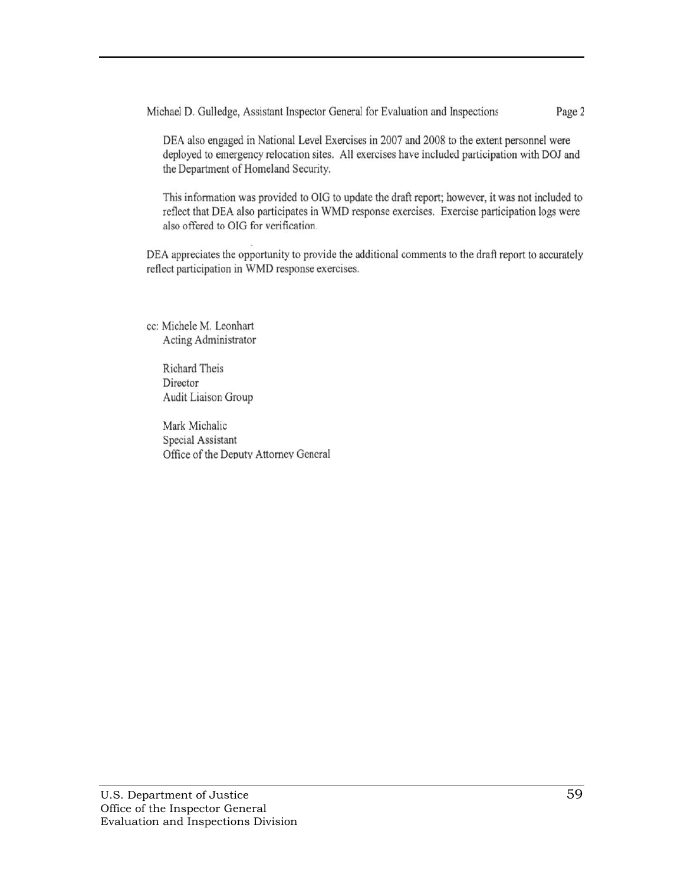Michael D. Gulledge, Assistant Inspector General for Evaluation and Inspections Page 2

DEA also engaged in National Level Exercises in 2007 and 2008 to the extent personnel were deployed to emergency relocation sites. All exercises have included participation with DOJ and the Department of Homeland Security.

This information was provided to OIG to update the draft report; however, it was not included to reflect that DEA also participates in WMD response exercises. Exercise participation logs were also offered to OIG for verification.

DEA appreciates the opportunity to provide the additional comments to the draft report to accurately reflect participation in WMD response exercises.

cc: Michele M. Leonhart Acting Administrator

> Richard Theis Director Audit Liaison Group

Mark Michalic Special Assistant Office of the Deputy Attorney General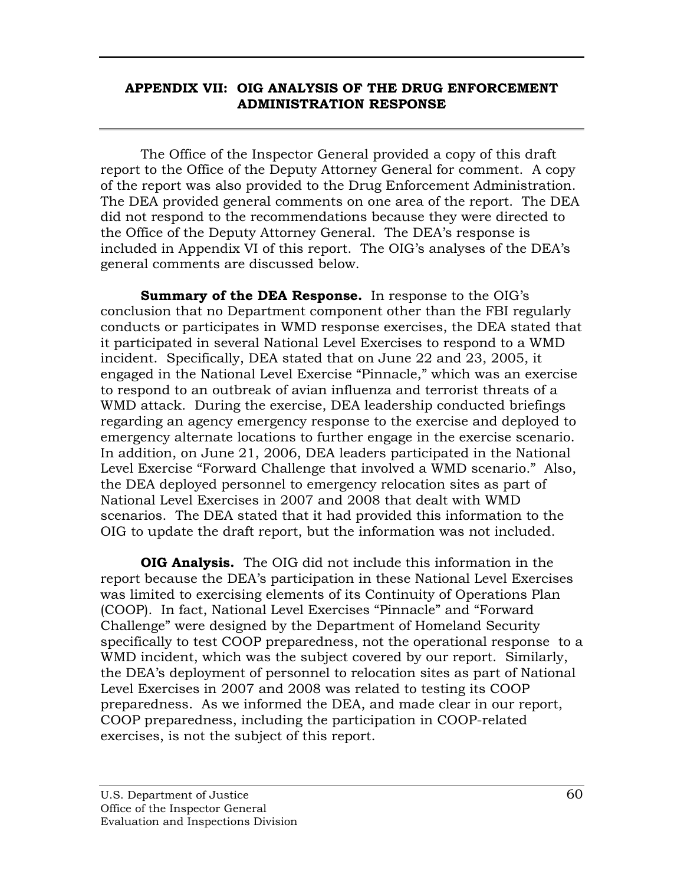## **APPENDIX VII: OIG ANALYSIS OF THE DRUG ENFORCEMENT ADMINISTRATION RESPONSE**

The Office of the Inspector General provided a copy of this draft report to the Office of the Deputy Attorney General for comment. A copy of the report was also provided to the Drug Enforcement Administration. The DEA provided general comments on one area of the report. The DEA did not respond to the recommendations because they were directed to the Office of the Deputy Attorney General. The DEA's response is included in Appendix VI of this report. The OIG's analyses of the DEA's general comments are discussed below.

**Summary of the DEA Response.** In response to the OIG's conclusion that no Department component other than the FBI regularly conducts or participates in WMD response exercises, the DEA stated that it participated in several National Level Exercises to respond to a WMD incident. Specifically, DEA stated that on June 22 and 23, 2005, it engaged in the National Level Exercise "Pinnacle," which was an exercise to respond to an outbreak of avian influenza and terrorist threats of a WMD attack. During the exercise, DEA leadership conducted briefings regarding an agency emergency response to the exercise and deployed to emergency alternate locations to further engage in the exercise scenario. In addition, on June 21, 2006, DEA leaders participated in the National Level Exercise "Forward Challenge that involved a WMD scenario." Also, the DEA deployed personnel to emergency relocation sites as part of National Level Exercises in 2007 and 2008 that dealt with WMD scenarios. The DEA stated that it had provided this information to the OIG to update the draft report, but the information was not included.

**OIG Analysis.** The OIG did not include this information in the report because the DEA's participation in these National Level Exercises was limited to exercising elements of its Continuity of Operations Plan (COOP). In fact, National Level Exercises "Pinnacle" and "Forward Challenge" were designed by the Department of Homeland Security specifically to test COOP preparedness, not the operational response to a WMD incident, which was the subject covered by our report. Similarly, the DEA's deployment of personnel to relocation sites as part of National Level Exercises in 2007 and 2008 was related to testing its COOP preparedness. As we informed the DEA, and made clear in our report, COOP preparedness, including the participation in COOP-related exercises, is not the subject of this report.